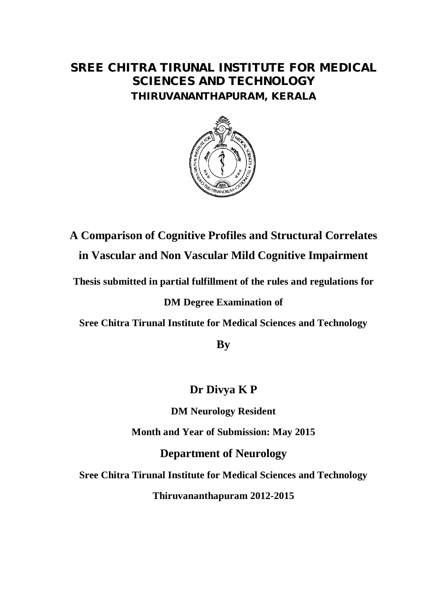# **SREE CHITRA TIRUNAL INSTITUTE FOR MEDICAL SCIENCES AND TECHNOLOGY THIRUVANANTHAPURAM, KERALA**



**A Comparison of Cognitive Profiles and Structural Correlates in Vascular and Non Vascular Mild Cognitive Impairment**

**Thesis submitted in partial fulfillment of the rules and regulations for** 

# **DM Degree Examination of**

**Sree Chitra Tirunal Institute for Medical Sciences and Technology**

**By**

# **Dr Divya K P**

**DM Neurology Resident**

**Month and Year of Submission: May 2015** 

**Department of Neurology**

**Sree Chitra Tirunal Institute for Medical Sciences and Technology**

**Thiruvananthapuram 2012-2015**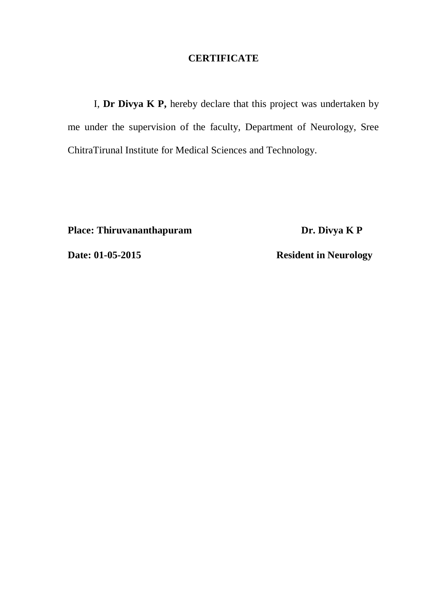### **CERTIFICATE**

I, **Dr Divya K P,** hereby declare that this project was undertaken by me under the supervision of the faculty, Department of Neurology, Sree ChitraTirunal Institute for Medical Sciences and Technology.

**Place: Thiruvananthapuram Dr. Divya K P** 

**Date: 01-05-2015 Resident in Neurology**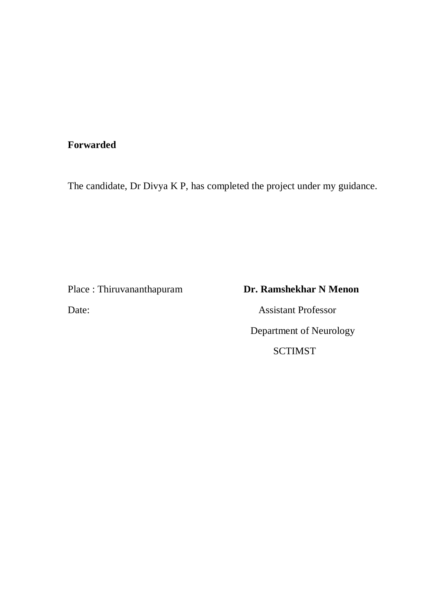# **Forwarded**

The candidate, Dr Divya K P, has completed the project under my guidance.

Date: Assistant Professor

# Place : Thiruvananthapuram **Dr. Ramshekhar N Menon**

 Department of Neurology SCTIMST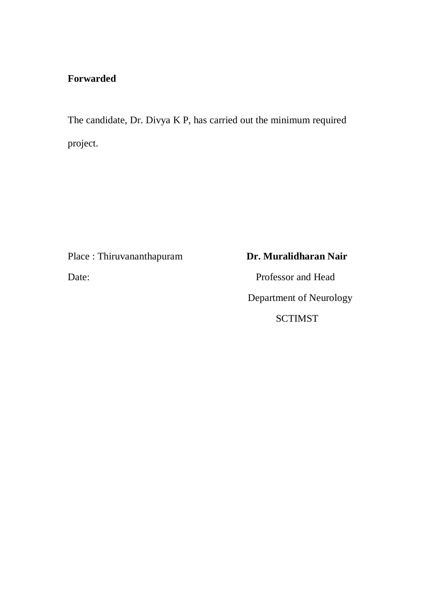# **Forwarded**

The candidate, Dr. Divya K P, has carried out the minimum required project.

Place : Thiruvananthapuram **Dr. Muralidharan Nair** 

Date: Professor and Head Department of Neurology SCTIMST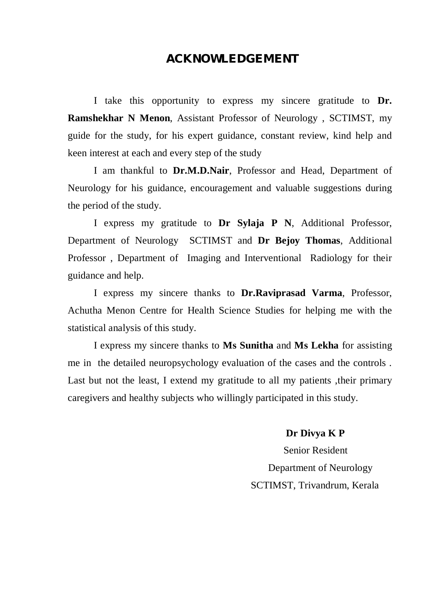## **ACKNOWLEDGEMENT**

I take this opportunity to express my sincere gratitude to **Dr. Ramshekhar N Menon**, Assistant Professor of Neurology , SCTIMST, my guide for the study, for his expert guidance, constant review, kind help and keen interest at each and every step of the study

I am thankful to **Dr.M.D.Nair**, Professor and Head, Department of Neurology for his guidance, encouragement and valuable suggestions during the period of the study.

I express my gratitude to **Dr Sylaja P N**, Additional Professor, Department of Neurology SCTIMST and **Dr Bejoy Thomas**, Additional Professor , Department of Imaging and Interventional Radiology for their guidance and help.

I express my sincere thanks to **Dr.Raviprasad Varma**, Professor, Achutha Menon Centre for Health Science Studies for helping me with the statistical analysis of this study.

I express my sincere thanks to **Ms Sunitha** and **Ms Lekha** for assisting me in the detailed neuropsychology evaluation of the cases and the controls . Last but not the least, I extend my gratitude to all my patients , their primary caregivers and healthy subjects who willingly participated in this study.

 **Dr Divya K P**

 Senior Resident Department of Neurology SCTIMST, Trivandrum, Kerala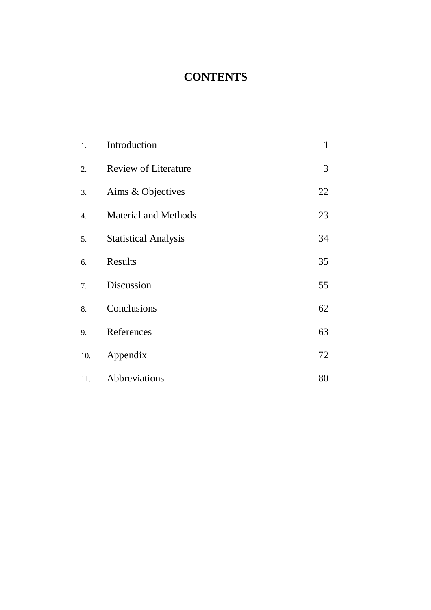# **CONTENTS**

| 1.               | Introduction                | $\mathbf{1}$ |
|------------------|-----------------------------|--------------|
| 2.               | <b>Review of Literature</b> | 3            |
| 3.               | Aims & Objectives           | 22           |
| $\overline{4}$ . | <b>Material and Methods</b> | 23           |
| 5.               | <b>Statistical Analysis</b> | 34           |
| 6.               | Results                     | 35           |
| 7.               | Discussion                  | 55           |
| 8.               | Conclusions                 | 62           |
| 9.               | References                  | 63           |
| 10.              | Appendix                    | 72           |
| 11.              | Abbreviations               | 80           |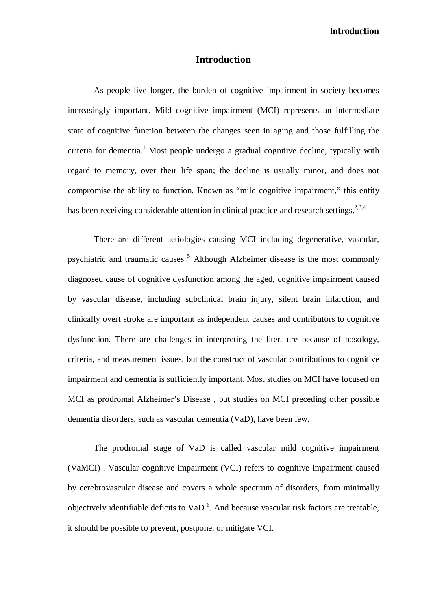### **Introduction**

As people live longer, the burden of cognitive impairment in society becomes increasingly important. Mild cognitive impairment (MCI) represents an intermediate state of cognitive function between the changes seen in aging and those fulfilling the criteria for dementia.<sup>1</sup> Most people undergo a gradual cognitive decline, typically with regard to memory, over their life span; the decline is usually minor, and does not compromise the ability to function. Known as "mild cognitive impairment," this entity has been receiving considerable attention in clinical practice and research settings.<sup>2,3,4</sup>

There are different aetiologies causing MCI including degenerative, vascular, psychiatric and traumatic causes  $5$  Although Alzheimer disease is the most commonly diagnosed cause of cognitive dysfunction among the aged, cognitive impairment caused by vascular disease, including subclinical brain injury, silent brain infarction, and clinically overt stroke are important as independent causes and contributors to cognitive dysfunction. There are challenges in interpreting the literature because of nosology, criteria, and measurement issues, but the construct of vascular contributions to cognitive impairment and dementia is sufficiently important. Most studies on MCI have focused on MCI as prodromal Alzheimer's Disease , but studies on MCI preceding other possible dementia disorders, such as vascular dementia (VaD), have been few.

The prodromal stage of VaD is called vascular mild cognitive impairment (VaMCI) . Vascular cognitive impairment (VCI) refers to cognitive impairment caused by cerebrovascular disease and covers a whole spectrum of disorders, from minimally objectively identifiable deficits to VaD<sup>6</sup>. And because vascular risk factors are treatable, it should be possible to prevent, postpone, or mitigate VCI.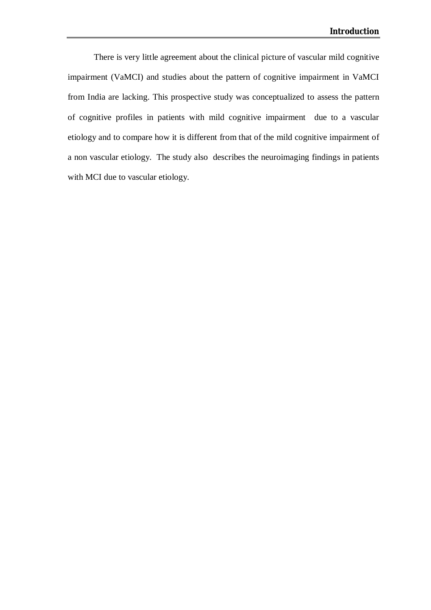There is very little agreement about the clinical picture of vascular mild cognitive impairment (VaMCI) and studies about the pattern of cognitive impairment in VaMCI from India are lacking. This prospective study was conceptualized to assess the pattern of cognitive profiles in patients with mild cognitive impairment due to a vascular etiology and to compare how it is different from that of the mild cognitive impairment of a non vascular etiology. The study also describes the neuroimaging findings in patients with MCI due to vascular etiology.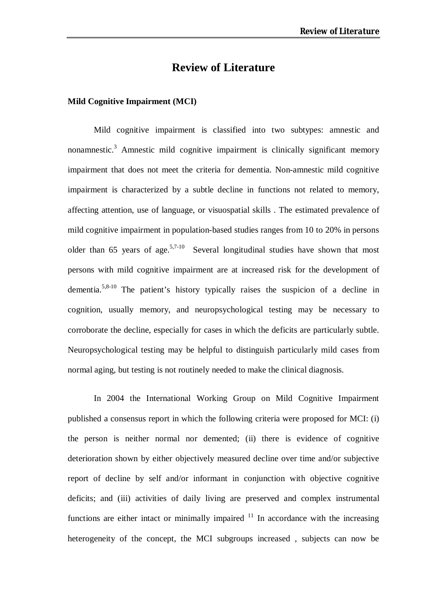## **Review of Literature**

#### **Mild Cognitive Impairment (MCI)**

Mild cognitive impairment is classified into two subtypes: amnestic and nonamnestic.<sup>3</sup> Amnestic mild cognitive impairment is clinically significant memory impairment that does not meet the criteria for dementia. Non-amnestic mild cognitive impairment is characterized by a subtle decline in functions not related to memory, affecting attention, use of language, or visuospatial skills . The estimated prevalence of mild cognitive impairment in population-based studies ranges from 10 to 20% in persons older than  $65$  years of age.<sup>5,7-10</sup> Several longitudinal studies have shown that most persons with mild cognitive impairment are at increased risk for the development of dementia.5,8-10 The patient's history typically raises the suspicion of a decline in cognition, usually memory, and neuropsychological testing may be necessary to corroborate the decline, especially for cases in which the deficits are particularly subtle. Neuropsychological testing may be helpful to distinguish particularly mild cases from normal aging, but testing is not routinely needed to make the clinical diagnosis.

In 2004 the International Working Group on Mild Cognitive Impairment published a consensus report in which the following criteria were proposed for MCI: (i) the person is neither normal nor demented; (ii) there is evidence of cognitive deterioration shown by either objectively measured decline over time and/or subjective report of decline by self and/or informant in conjunction with objective cognitive deficits; and (iii) activities of daily living are preserved and complex instrumental functions are either intact or minimally impaired  $11$  In accordance with the increasing heterogeneity of the concept, the MCI subgroups increased , subjects can now be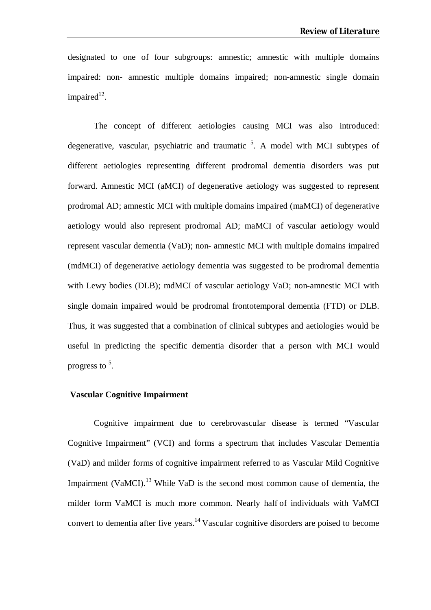designated to one of four subgroups: amnestic; amnestic with multiple domains impaired: non- amnestic multiple domains impaired; non-amnestic single domain impaired $12$ .

The concept of different aetiologies causing MCI was also introduced: degenerative, vascular, psychiatric and traumatic  $5$ . A model with MCI subtypes of different aetiologies representing different prodromal dementia disorders was put forward. Amnestic MCI (aMCI) of degenerative aetiology was suggested to represent prodromal AD; amnestic MCI with multiple domains impaired (maMCI) of degenerative aetiology would also represent prodromal AD; maMCI of vascular aetiology would represent vascular dementia (VaD); non- amnestic MCI with multiple domains impaired (mdMCI) of degenerative aetiology dementia was suggested to be prodromal dementia with Lewy bodies (DLB); mdMCI of vascular aetiology VaD; non-amnestic MCI with single domain impaired would be prodromal frontotemporal dementia (FTD) or DLB. Thus, it was suggested that a combination of clinical subtypes and aetiologies would be useful in predicting the specific dementia disorder that a person with MCI would progress to <sup>5</sup>.

#### **Vascular Cognitive Impairment**

Cognitive impairment due to cerebrovascular disease is termed "Vascular Cognitive Impairment" (VCI) and forms a spectrum that includes Vascular Dementia (VaD) and milder forms of cognitive impairment referred to as Vascular Mild Cognitive Impairment (VaMCI).<sup>13</sup> While VaD is the second most common cause of dementia, the milder form VaMCI is much more common. Nearly half of individuals with VaMCI convert to dementia after five years.<sup>14</sup> Vascular cognitive disorders are poised to become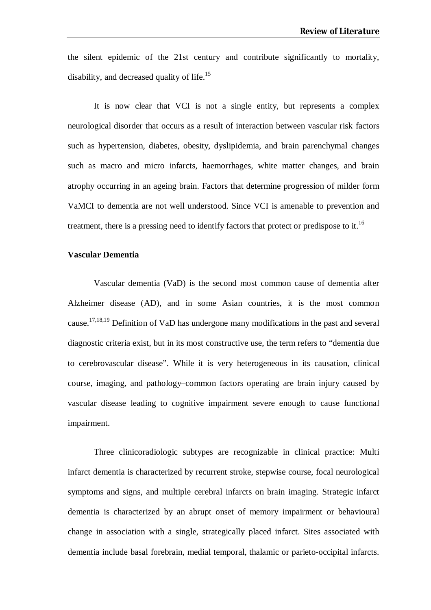the silent epidemic of the 21st century and contribute significantly to mortality, disability, and decreased quality of life.<sup>15</sup>

It is now clear that VCI is not a single entity, but represents a complex neurological disorder that occurs as a result of interaction between vascular risk factors such as hypertension, diabetes, obesity, dyslipidemia, and brain parenchymal changes such as macro and micro infarcts, haemorrhages, white matter changes, and brain atrophy occurring in an ageing brain. Factors that determine progression of milder form VaMCI to dementia are not well understood. Since VCI is amenable to prevention and treatment, there is a pressing need to identify factors that protect or predispose to it.<sup>16</sup>

#### **Vascular Dementia**

Vascular dementia (VaD) is the second most common cause of dementia after Alzheimer disease (AD), and in some Asian countries, it is the most common cause.<sup>17,18,19</sup> Definition of VaD has undergone many modifications in the past and several diagnostic criteria exist, but in its most constructive use, the term refers to "dementia due to cerebrovascular disease". While it is very heterogeneous in its causation, clinical course, imaging, and pathology–common factors operating are brain injury caused by vascular disease leading to cognitive impairment severe enough to cause functional impairment.

Three clinicoradiologic subtypes are recognizable in clinical practice: Multi infarct dementia is characterized by recurrent stroke, stepwise course, focal neurological symptoms and signs, and multiple cerebral infarcts on brain imaging. Strategic infarct dementia is characterized by an abrupt onset of memory impairment or behavioural change in association with a single, strategically placed infarct. Sites associated with dementia include basal forebrain, medial temporal, thalamic or parieto-occipital infarcts.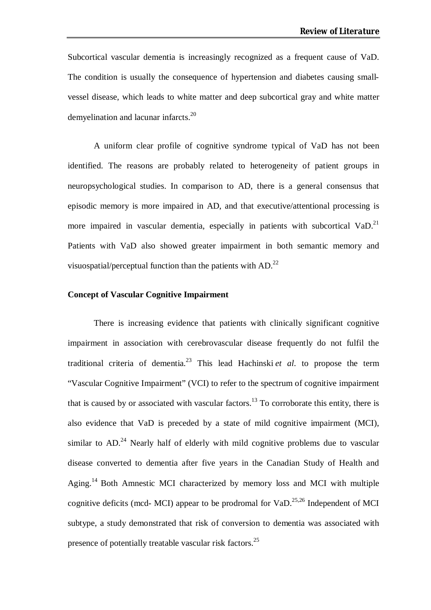Subcortical vascular dementia is increasingly recognized as a frequent cause of VaD. The condition is usually the consequence of hypertension and diabetes causing smallvessel disease, which leads to white matter and deep subcortical gray and white matter demyelination and lacunar infarcts.<sup>20</sup>

A uniform clear profile of cognitive syndrome typical of VaD has not been identified. The reasons are probably related to heterogeneity of patient groups in neuropsychological studies. In comparison to AD, there is a general consensus that episodic memory is more impaired in AD, and that executive/attentional processing is more impaired in vascular dementia, especially in patients with subcortical VaD.<sup>21</sup> Patients with VaD also showed greater impairment in both semantic memory and visuospatial/perceptual function than the patients with AD.<sup>22</sup>

#### **Concept of Vascular Cognitive Impairment**

There is increasing evidence that patients with clinically significant cognitive impairment in association with cerebrovascular disease frequently do not fulfil the traditional criteria of dementia.<sup>23</sup> This lead Hachinski *et al*. to propose the term "Vascular Cognitive Impairment" (VCI) to refer to the spectrum of cognitive impairment that is caused by or associated with vascular factors.<sup>13</sup> To corroborate this entity, there is also evidence that VaD is preceded by a state of mild cognitive impairment (MCI), similar to AD.<sup>24</sup> Nearly half of elderly with mild cognitive problems due to vascular disease converted to dementia after five years in the Canadian Study of Health and Aging.<sup>14</sup> Both Amnestic MCI characterized by memory loss and MCI with multiple cognitive deficits (mcd- MCI) appear to be prodromal for  $VaD$ <sup>25,26</sup> Independent of MCI subtype, a study demonstrated that risk of conversion to dementia was associated with presence of potentially treatable vascular risk factors.<sup>25</sup>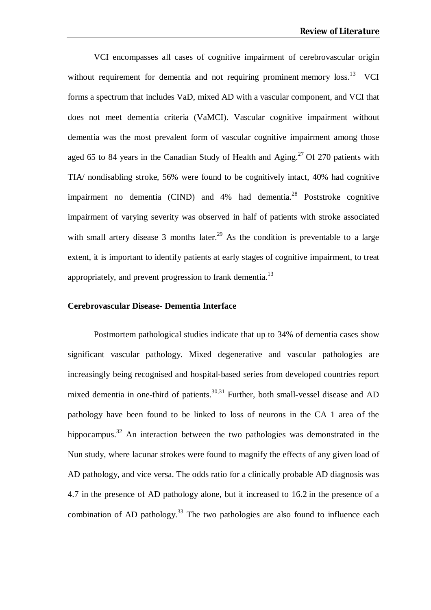VCI encompasses all cases of cognitive impairment of cerebrovascular origin without requirement for dementia and not requiring prominent memory  $loss^{13}$  VCI forms a spectrum that includes VaD, mixed AD with a vascular component, and VCI that does not meet dementia criteria (VaMCI). Vascular cognitive impairment without dementia was the most prevalent form of vascular cognitive impairment among those aged 65 to 84 years in the Canadian Study of Health and Aging.<sup>27</sup> Of 270 patients with TIA/ nondisabling stroke, 56% were found to be cognitively intact, 40% had cognitive impairment no dementia (CIND) and  $4%$  had dementia.<sup>28</sup> Poststroke cognitive impairment of varying severity was observed in half of patients with stroke associated with small artery disease 3 months later.<sup>29</sup> As the condition is preventable to a large extent, it is important to identify patients at early stages of cognitive impairment, to treat appropriately, and prevent progression to frank dementia.<sup>13</sup>

#### **Cerebrovascular Disease- Dementia Interface**

Postmortem pathological studies indicate that up to 34% of dementia cases show significant vascular pathology. Mixed degenerative and vascular pathologies are increasingly being recognised and hospital-based series from developed countries report mixed dementia in one-third of patients. $30,31$  Further, both small-vessel disease and AD pathology have been found to be linked to loss of neurons in the CA 1 area of the hippocampus.<sup>32</sup> An interaction between the two pathologies was demonstrated in the Nun study, where lacunar strokes were found to magnify the effects of any given load of AD pathology, and vice versa. The odds ratio for a clinically probable AD diagnosis was 4.7 in the presence of AD pathology alone, but it increased to 16.2 in the presence of a combination of AD pathology.<sup>33</sup> The two pathologies are also found to influence each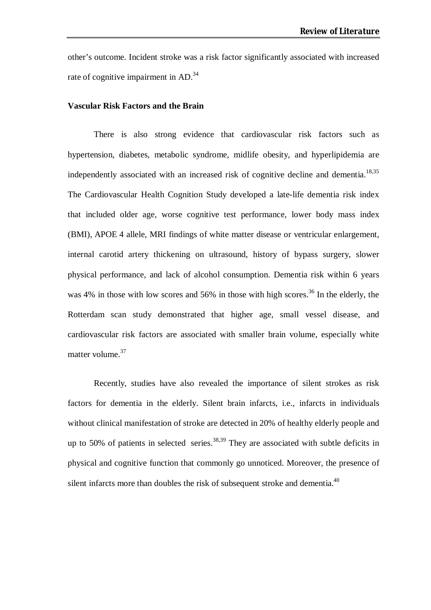other's outcome. Incident stroke was a risk factor significantly associated with increased rate of cognitive impairment in AD.<sup>34</sup>

#### **Vascular Risk Factors and the Brain**

There is also strong evidence that cardiovascular risk factors such as hypertension, diabetes, metabolic syndrome, midlife obesity, and hyperlipidemia are independently associated with an increased risk of cognitive decline and dementia.<sup>18,35</sup> The Cardiovascular Health Cognition Study developed a late-life dementia risk index that included older age, worse cognitive test performance, lower body mass index (BMI), APOE 4 allele, MRI findings of white matter disease or ventricular enlargement, internal carotid artery thickening on ultrasound, history of bypass surgery, slower physical performance, and lack of alcohol consumption. Dementia risk within 6 years was 4% in those with low scores and 56% in those with high scores.<sup>36</sup> In the elderly, the Rotterdam scan study demonstrated that higher age, small vessel disease, and cardiovascular risk factors are associated with smaller brain volume, especially white matter volume.<sup>37</sup>

Recently, studies have also revealed the importance of silent strokes as risk factors for dementia in the elderly. Silent brain infarcts, i.e., infarcts in individuals without clinical manifestation of stroke are detected in 20% of healthy elderly people and up to 50% of patients in selected series.<sup>38,39</sup> They are associated with subtle deficits in physical and cognitive function that commonly go unnoticed. Moreover, the presence of silent infarcts more than doubles the risk of subsequent stroke and dementia.<sup>40</sup>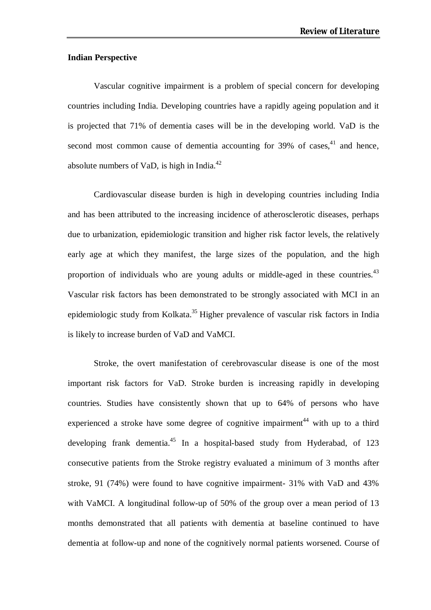#### **Indian Perspective**

Vascular cognitive impairment is a problem of special concern for developing countries including India. Developing countries have a rapidly ageing population and it is projected that 71% of dementia cases will be in the developing world. VaD is the second most common cause of dementia accounting for  $39\%$  of cases,  $41$  and hence, absolute numbers of VaD, is high in India. $^{42}$ 

Cardiovascular disease burden is high in developing countries including India and has been attributed to the increasing incidence of atherosclerotic diseases, perhaps due to urbanization, epidemiologic transition and higher risk factor levels, the relatively early age at which they manifest, the large sizes of the population, and the high proportion of individuals who are young adults or middle-aged in these countries.<sup>43</sup> Vascular risk factors has been demonstrated to be strongly associated with MCI in an epidemiologic study from Kolkata.<sup>35</sup> Higher prevalence of vascular risk factors in India is likely to increase burden of VaD and VaMCI.

Stroke, the overt manifestation of cerebrovascular disease is one of the most important risk factors for VaD. Stroke burden is increasing rapidly in developing countries. Studies have consistently shown that up to 64% of persons who have experienced a stroke have some degree of cognitive impairment<sup>44</sup> with up to a third developing frank dementia.<sup>45</sup> In a hospital-based study from Hyderabad, of 123 consecutive patients from the Stroke registry evaluated a minimum of 3 months after stroke, 91 (74%) were found to have cognitive impairment- 31% with VaD and 43% with VaMCI. A longitudinal follow-up of 50% of the group over a mean period of 13 months demonstrated that all patients with dementia at baseline continued to have dementia at follow-up and none of the cognitively normal patients worsened. Course of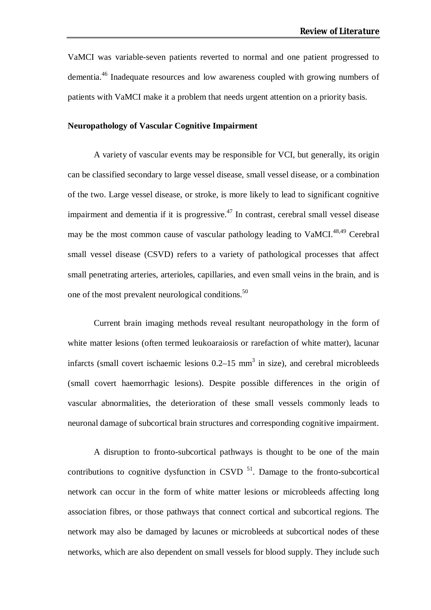VaMCI was variable-seven patients reverted to normal and one patient progressed to dementia.<sup>46</sup> Inadequate resources and low awareness coupled with growing numbers of patients with VaMCI make it a problem that needs urgent attention on a priority basis.

#### **Neuropathology of Vascular Cognitive Impairment**

A variety of vascular events may be responsible for VCI, but generally, its origin can be classified secondary to large vessel disease, small vessel disease, or a combination of the two. Large vessel disease, or stroke, is more likely to lead to significant cognitive impairment and dementia if it is progressive.<sup>47</sup> In contrast, cerebral small vessel disease may be the most common cause of vascular pathology leading to VaMCI.<sup>48,49</sup> Cerebral small vessel disease (CSVD) refers to a variety of pathological processes that affect small penetrating arteries, arterioles, capillaries, and even small veins in the brain, and is one of the most prevalent neurological conditions.<sup>50</sup>

Current brain imaging methods reveal resultant neuropathology in the form of white matter lesions (often termed leukoaraiosis or rarefaction of white matter), lacunar infarcts (small covert ischaemic lesions  $0.2-15$  mm<sup>3</sup> in size), and cerebral microbleeds (small covert haemorrhagic lesions). Despite possible differences in the origin of vascular abnormalities, the deterioration of these small vessels commonly leads to neuronal damage of subcortical brain structures and corresponding cognitive impairment.

A disruption to fronto-subcortical pathways is thought to be one of the main contributions to cognitive dysfunction in CSVD  $^{51}$ . Damage to the fronto-subcortical network can occur in the form of white matter lesions or microbleeds affecting long association fibres, or those pathways that connect cortical and subcortical regions. The network may also be damaged by lacunes or microbleeds at subcortical nodes of these networks, which are also dependent on small vessels for blood supply. They include such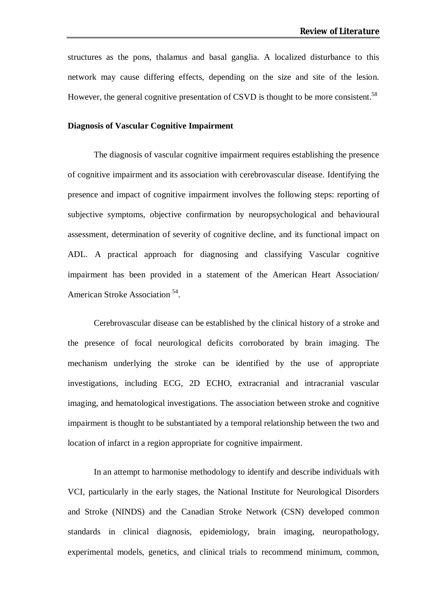structures as the pons, thalamus and basal ganglia. A localized disturbance to this network may cause differing effects, depending on the size and site of the lesion. However, the general cognitive presentation of CSVD is thought to be more consistent.<sup>58</sup>

#### **Diagnosis of Vascular Cognitive Impairment**

The diagnosis of vascular cognitive impairment requires establishing the presence of cognitive impairment and its association with cerebrovascular disease. Identifying the presence and impact of cognitive impairment involves the following steps: reporting of subjective symptoms, objective confirmation by neuropsychological and behavioural assessment, determination of severity of cognitive decline, and its functional impact on ADL. A practical approach for diagnosing and classifying Vascular cognitive impairment has been provided in a statement of the American Heart Association/ American Stroke Association<sup>54</sup>.

Cerebrovascular disease can be established by the clinical history of a stroke and the presence of focal neurological deficits corroborated by brain imaging. The mechanism underlying the stroke can be identified by the use of appropriate investigations, including ECG, 2D ECHO, extracranial and intracranial vascular imaging, and hematological investigations. The association between stroke and cognitive impairment is thought to be substantiated by a temporal relationship between the two and location of infarct in a region appropriate for cognitive impairment.

In an attempt to harmonise methodology to identify and describe individuals with VCI, particularly in the early stages, the National Institute for Neurological Disorders and Stroke (NINDS) and the Canadian Stroke Network (CSN) developed common standards in clinical diagnosis, epidemiology, brain imaging, neuropathology, experimental models, genetics, and clinical trials to recommend minimum, common,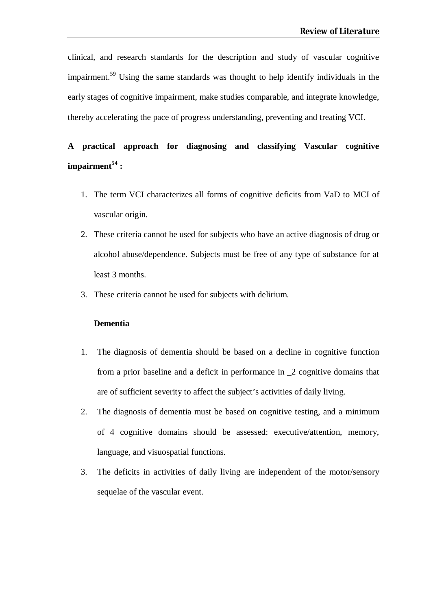clinical, and research standards for the description and study of vascular cognitive impairment.<sup>59</sup> Using the same standards was thought to help identify individuals in the early stages of cognitive impairment, make studies comparable, and integrate knowledge, thereby accelerating the pace of progress understanding, preventing and treating VCI.

# **A practical approach for diagnosing and classifying Vascular cognitive impairment<sup>54</sup> :**

- 1. The term VCI characterizes all forms of cognitive deficits from VaD to MCI of vascular origin.
- 2. These criteria cannot be used for subjects who have an active diagnosis of drug or alcohol abuse/dependence. Subjects must be free of any type of substance for at least 3 months.
- 3. These criteria cannot be used for subjects with delirium.

#### **Dementia**

- 1. The diagnosis of dementia should be based on a decline in cognitive function from a prior baseline and a deficit in performance in \_2 cognitive domains that are of sufficient severity to affect the subject's activities of daily living.
- 2. The diagnosis of dementia must be based on cognitive testing, and a minimum of 4 cognitive domains should be assessed: executive/attention, memory, language, and visuospatial functions.
- 3. The deficits in activities of daily living are independent of the motor/sensory sequelae of the vascular event.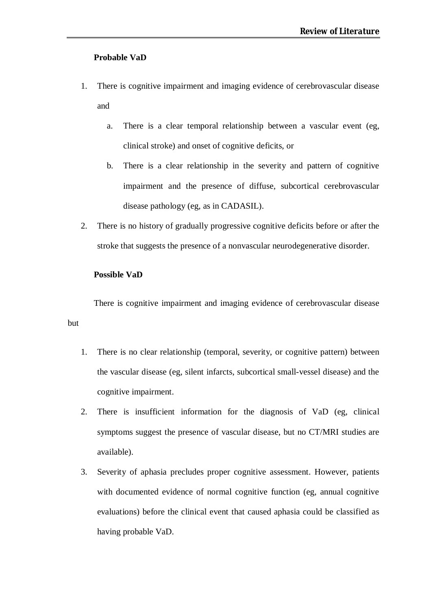#### **Probable VaD**

- 1. There is cognitive impairment and imaging evidence of cerebrovascular disease and
	- a. There is a clear temporal relationship between a vascular event (eg, clinical stroke) and onset of cognitive deficits, or
	- b. There is a clear relationship in the severity and pattern of cognitive impairment and the presence of diffuse, subcortical cerebrovascular disease pathology (eg, as in CADASIL).
- 2. There is no history of gradually progressive cognitive deficits before or after the stroke that suggests the presence of a nonvascular neurodegenerative disorder.

#### **Possible VaD**

but

There is cognitive impairment and imaging evidence of cerebrovascular disease

- 1. There is no clear relationship (temporal, severity, or cognitive pattern) between the vascular disease (eg, silent infarcts, subcortical small-vessel disease) and the cognitive impairment.
- 2. There is insufficient information for the diagnosis of VaD (eg, clinical symptoms suggest the presence of vascular disease, but no CT/MRI studies are available).
- 3. Severity of aphasia precludes proper cognitive assessment. However, patients with documented evidence of normal cognitive function (eg, annual cognitive evaluations) before the clinical event that caused aphasia could be classified as having probable VaD.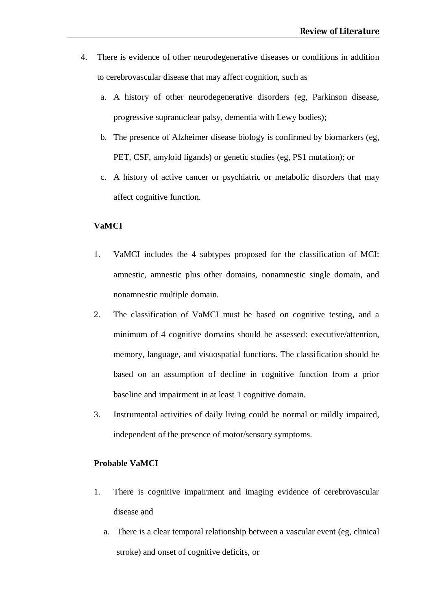- 4. There is evidence of other neurodegenerative diseases or conditions in addition to cerebrovascular disease that may affect cognition, such as
	- a. A history of other neurodegenerative disorders (eg, Parkinson disease, progressive supranuclear palsy, dementia with Lewy bodies);
	- b. The presence of Alzheimer disease biology is confirmed by biomarkers (eg, PET, CSF, amyloid ligands) or genetic studies (eg, PS1 mutation); or
	- c. A history of active cancer or psychiatric or metabolic disorders that may affect cognitive function.

#### **VaMCI**

- 1. VaMCI includes the 4 subtypes proposed for the classification of MCI: amnestic, amnestic plus other domains, nonamnestic single domain, and nonamnestic multiple domain.
- 2. The classification of VaMCI must be based on cognitive testing, and a minimum of 4 cognitive domains should be assessed: executive/attention, memory, language, and visuospatial functions. The classification should be based on an assumption of decline in cognitive function from a prior baseline and impairment in at least 1 cognitive domain.
- 3. Instrumental activities of daily living could be normal or mildly impaired, independent of the presence of motor/sensory symptoms.

#### **Probable VaMCI**

- 1. There is cognitive impairment and imaging evidence of cerebrovascular disease and
	- a. There is a clear temporal relationship between a vascular event (eg, clinical stroke) and onset of cognitive deficits, or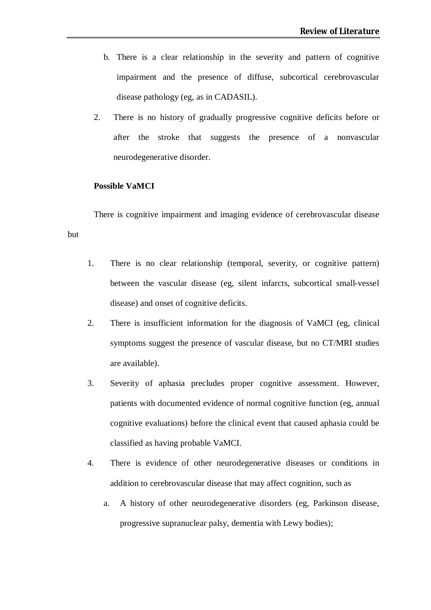- b. There is a clear relationship in the severity and pattern of cognitive impairment and the presence of diffuse, subcortical cerebrovascular disease pathology (eg, as in CADASIL).
- 2. There is no history of gradually progressive cognitive deficits before or after the stroke that suggests the presence of a nonvascular neurodegenerative disorder.

#### **Possible VaMCI**

but

There is cognitive impairment and imaging evidence of cerebrovascular disease

- 1. There is no clear relationship (temporal, severity, or cognitive pattern) between the vascular disease (eg, silent infarcts, subcortical small-vessel disease) and onset of cognitive deficits.
- 2. There is insufficient information for the diagnosis of VaMCI (eg, clinical symptoms suggest the presence of vascular disease, but no CT/MRI studies are available).
- 3. Severity of aphasia precludes proper cognitive assessment. However, patients with documented evidence of normal cognitive function (eg, annual cognitive evaluations) before the clinical event that caused aphasia could be classified as having probable VaMCI.
- 4. There is evidence of other neurodegenerative diseases or conditions in addition to cerebrovascular disease that may affect cognition, such as
	- a. A history of other neurodegenerative disorders (eg, Parkinson disease, progressive supranuclear palsy, dementia with Lewy bodies);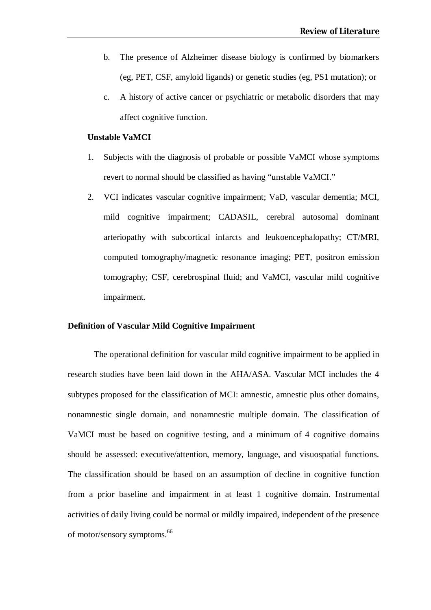- b. The presence of Alzheimer disease biology is confirmed by biomarkers (eg, PET, CSF, amyloid ligands) or genetic studies (eg, PS1 mutation); or
- c. A history of active cancer or psychiatric or metabolic disorders that may affect cognitive function.

#### **Unstable VaMCI**

- 1. Subjects with the diagnosis of probable or possible VaMCI whose symptoms revert to normal should be classified as having "unstable VaMCI."
- 2. VCI indicates vascular cognitive impairment; VaD, vascular dementia; MCI, mild cognitive impairment; CADASIL, cerebral autosomal dominant arteriopathy with subcortical infarcts and leukoencephalopathy; CT/MRI, computed tomography/magnetic resonance imaging; PET, positron emission tomography; CSF, cerebrospinal fluid; and VaMCI, vascular mild cognitive impairment.

#### **Definition of Vascular Mild Cognitive Impairment**

The operational definition for vascular mild cognitive impairment to be applied in research studies have been laid down in the AHA/ASA. Vascular MCI includes the 4 subtypes proposed for the classification of MCI: amnestic, amnestic plus other domains, nonamnestic single domain, and nonamnestic multiple domain. The classification of VaMCI must be based on cognitive testing, and a minimum of 4 cognitive domains should be assessed: executive/attention, memory, language, and visuospatial functions. The classification should be based on an assumption of decline in cognitive function from a prior baseline and impairment in at least 1 cognitive domain. Instrumental activities of daily living could be normal or mildly impaired, independent of the presence of motor/sensory symptoms.<sup>66</sup>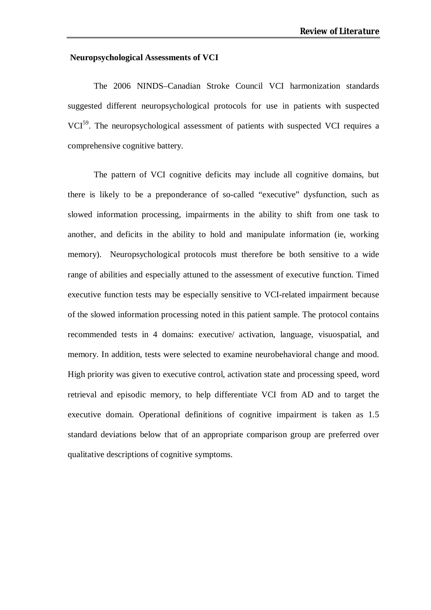#### **Neuropsychological Assessments of VCI**

The 2006 NINDS–Canadian Stroke Council VCI harmonization standards suggested different neuropsychological protocols for use in patients with suspected VCI<sup>59</sup>. The neuropsychological assessment of patients with suspected VCI requires a comprehensive cognitive battery.

The pattern of VCI cognitive deficits may include all cognitive domains, but there is likely to be a preponderance of so-called "executive" dysfunction, such as slowed information processing, impairments in the ability to shift from one task to another, and deficits in the ability to hold and manipulate information (ie, working memory). Neuropsychological protocols must therefore be both sensitive to a wide range of abilities and especially attuned to the assessment of executive function. Timed executive function tests may be especially sensitive to VCI-related impairment because of the slowed information processing noted in this patient sample. The protocol contains recommended tests in 4 domains: executive/ activation, language, visuospatial, and memory. In addition, tests were selected to examine neurobehavioral change and mood. High priority was given to executive control, activation state and processing speed, word retrieval and episodic memory, to help differentiate VCI from AD and to target the executive domain. Operational definitions of cognitive impairment is taken as 1.5 standard deviations below that of an appropriate comparison group are preferred over qualitative descriptions of cognitive symptoms.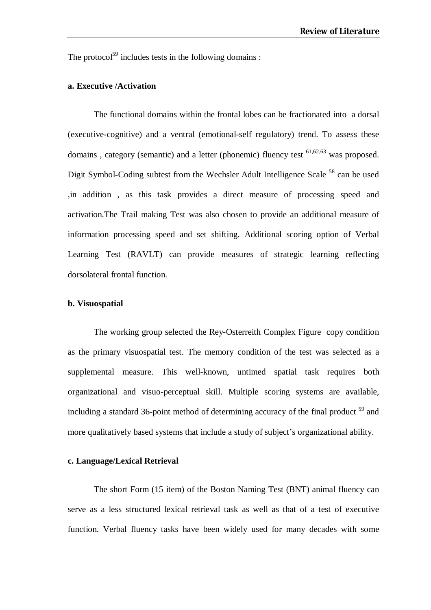The protocol<sup>59</sup> includes tests in the following domains :

#### **a. Executive /Activation**

The functional domains within the frontal lobes can be fractionated into a dorsal (executive-cognitive) and a ventral (emotional-self regulatory) trend. To assess these domains, category (semantic) and a letter (phonemic) fluency test <sup>61,62,63</sup> was proposed. Digit Symbol-Coding subtest from the Wechsler Adult Intelligence Scale <sup>58</sup> can be used ,in addition , as this task provides a direct measure of processing speed and activation.The Trail making Test was also chosen to provide an additional measure of information processing speed and set shifting. Additional scoring option of Verbal Learning Test (RAVLT) can provide measures of strategic learning reflecting dorsolateral frontal function.

#### **b. Visuospatial**

The working group selected the Rey-Osterreith Complex Figure copy condition as the primary visuospatial test. The memory condition of the test was selected as a supplemental measure. This well-known, untimed spatial task requires both organizational and visuo-perceptual skill. Multiple scoring systems are available, including a standard 36-point method of determining accuracy of the final product <sup>59</sup> and more qualitatively based systems that include a study of subject's organizational ability.

#### **c. Language/Lexical Retrieval**

The short Form (15 item) of the Boston Naming Test (BNT) animal fluency can serve as a less structured lexical retrieval task as well as that of a test of executive function. Verbal fluency tasks have been widely used for many decades with some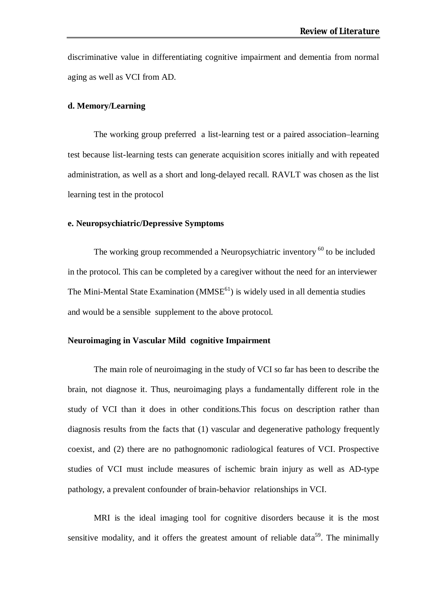discriminative value in differentiating cognitive impairment and dementia from normal aging as well as VCI from AD.

#### **d. Memory/Learning**

The working group preferred a list-learning test or a paired association–learning test because list-learning tests can generate acquisition scores initially and with repeated administration, as well as a short and long-delayed recall. RAVLT was chosen as the list learning test in the protocol

#### **e. Neuropsychiatric/Depressive Symptoms**

The working group recommended a Neuropsychiatric inventory <sup>60</sup> to be included in the protocol. This can be completed by a caregiver without the need for an interviewer The Mini-Mental State Examination  $(MMSE<sup>61</sup>)$  is widely used in all dementia studies and would be a sensible supplement to the above protocol.

#### **Neuroimaging in Vascular Mild cognitive Impairment**

The main role of neuroimaging in the study of VCI so far has been to describe the brain, not diagnose it. Thus, neuroimaging plays a fundamentally different role in the study of VCI than it does in other conditions.This focus on description rather than diagnosis results from the facts that (1) vascular and degenerative pathology frequently coexist, and (2) there are no pathognomonic radiological features of VCI. Prospective studies of VCI must include measures of ischemic brain injury as well as AD-type pathology, a prevalent confounder of brain-behavior relationships in VCI.

MRI is the ideal imaging tool for cognitive disorders because it is the most sensitive modality, and it offers the greatest amount of reliable data<sup>59</sup>. The minimally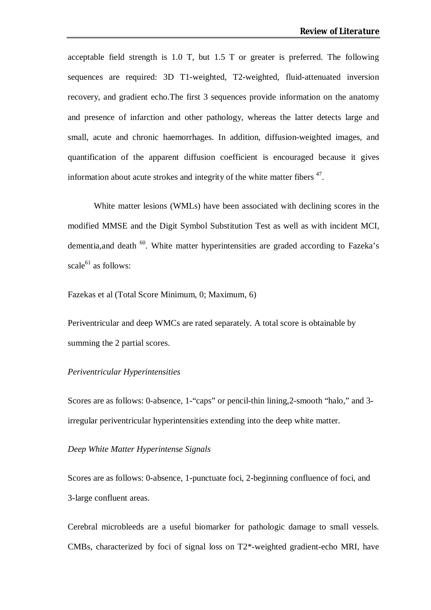acceptable field strength is 1.0 T, but 1.5 T or greater is preferred. The following sequences are required: 3D T1-weighted, T2-weighted, fluid-attenuated inversion recovery, and gradient echo.The first 3 sequences provide information on the anatomy and presence of infarction and other pathology, whereas the latter detects large and small, acute and chronic haemorrhages. In addition, diffusion-weighted images, and quantification of the apparent diffusion coefficient is encouraged because it gives information about acute strokes and integrity of the white matter fibers  $47$ .

White matter lesions (WMLs) have been associated with declining scores in the modified MMSE and the Digit Symbol Substitution Test as well as with incident MCI, dementia, and death <sup>60</sup>. White matter hyperintensities are graded according to Fazeka's scale $^{61}$  as follows:

Fazekas et al (Total Score Minimum, 0; Maximum, 6)

Periventricular and deep WMCs are rated separately. A total score is obtainable by summing the 2 partial scores.

#### *Periventricular Hyperintensities*

Scores are as follows: 0-absence, 1-"caps" or pencil-thin lining,2-smooth "halo," and 3 irregular periventricular hyperintensities extending into the deep white matter.

#### *Deep White Matter Hyperintense Signals*

Scores are as follows: 0-absence, 1-punctuate foci, 2-beginning confluence of foci, and 3-large confluent areas.

Cerebral microbleeds are a useful biomarker for pathologic damage to small vessels. CMBs, characterized by foci of signal loss on T2\*-weighted gradient-echo MRI, have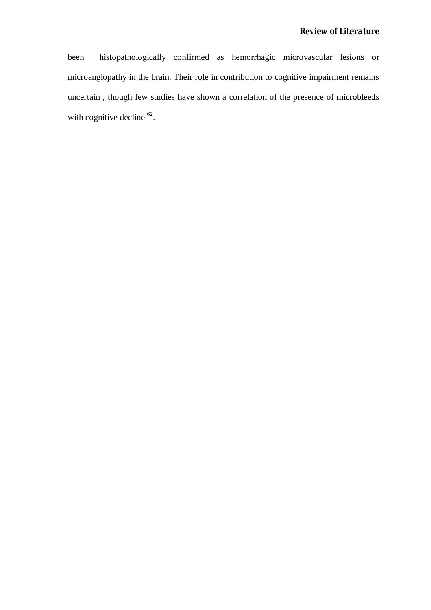been histopathologically confirmed as hemorrhagic microvascular lesions or microangiopathy in the brain. Their role in contribution to cognitive impairment remains uncertain , though few studies have shown a correlation of the presence of microbleeds with cognitive decline  $62$ .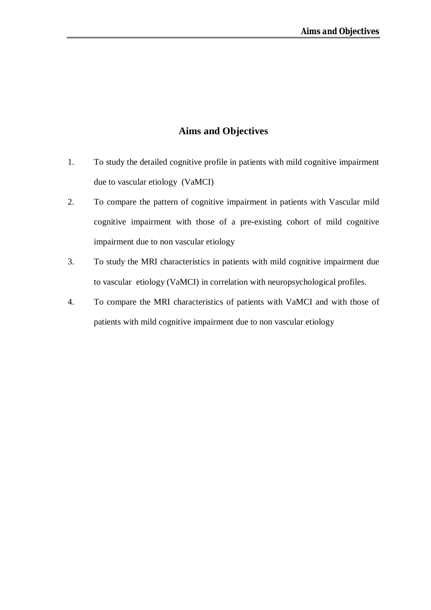# **Aims and Objectives**

- 1. To study the detailed cognitive profile in patients with mild cognitive impairment due to vascular etiology (VaMCI)
- 2. To compare the pattern of cognitive impairment in patients with Vascular mild cognitive impairment with those of a pre-existing cohort of mild cognitive impairment due to non vascular etiology
- 3. To study the MRI characteristics in patients with mild cognitive impairment due to vascular etiology (VaMCI) in correlation with neuropsychological profiles.
- 4. To compare the MRI characteristics of patients with VaMCI and with those of patients with mild cognitive impairment due to non vascular etiology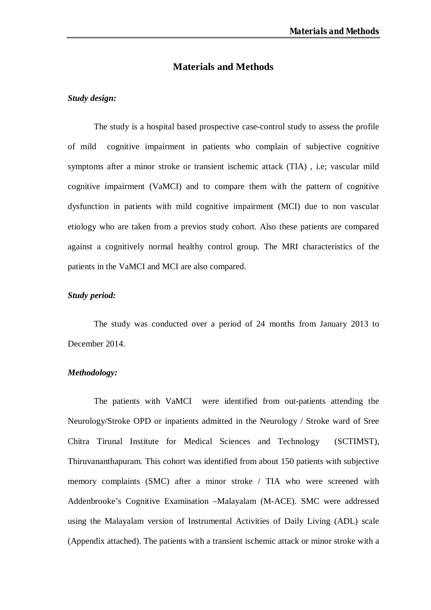#### **Materials and Methods**

#### *Study design:*

The study is a hospital based prospective case-control study to assess the profile of mild cognitive impairment in patients who complain of subjective cognitive symptoms after a minor stroke or transient ischemic attack (TIA) , i.e; vascular mild cognitive impairment (VaMCI) and to compare them with the pattern of cognitive dysfunction in patients with mild cognitive impairment (MCI) due to non vascular etiology who are taken from a previos study cohort. Also these patients are compared against a cognitively normal healthy control group. The MRI characteristics of the patients in the VaMCI and MCI are also compared.

#### *Study period:*

The study was conducted over a period of 24 months from January 2013 to December 2014.

#### *Methodology:*

The patients with VaMCI were identified from out-patients attending the Neurology/Stroke OPD or inpatients admitted in the Neurology / Stroke ward of Sree Chitra Tirunal Institute for Medical Sciences and Technology (SCTIMST), Thiruvananthapuram. This cohort was identified from about 150 patients with subjective memory complaints (SMC) after a minor stroke / TIA who were screened with Addenbrooke's Cognitive Examination –Malayalam (M-ACE). SMC were addressed using the Malayalam version of Instrumental Activities of Daily Living (ADL) scale (Appendix attached). The patients with a transient ischemic attack or minor stroke with a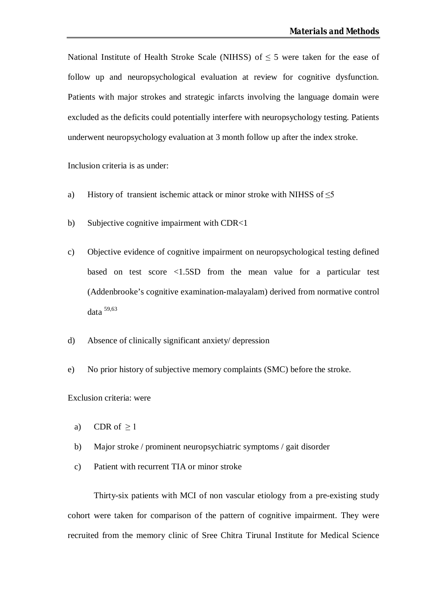National Institute of Health Stroke Scale (NIHSS) of  $\leq$  5 were taken for the ease of follow up and neuropsychological evaluation at review for cognitive dysfunction. Patients with major strokes and strategic infarcts involving the language domain were excluded as the deficits could potentially interfere with neuropsychology testing. Patients underwent neuropsychology evaluation at 3 month follow up after the index stroke.

Inclusion criteria is as under:

- a) History of transient ischemic attack or minor stroke with NIHSS of  $\leq$ 5
- b) Subjective cognitive impairment with CDR<1
- c) Objective evidence of cognitive impairment on neuropsychological testing defined based on test score <1.5SD from the mean value for a particular test (Addenbrooke's cognitive examination-malayalam) derived from normative control data 59,63
- d) Absence of clinically significant anxiety/ depression
- e) No prior history of subjective memory complaints (SMC) before the stroke.

Exclusion criteria: were

- a) CDR of  $\geq$  1
- b) Major stroke / prominent neuropsychiatric symptoms / gait disorder
- c) Patient with recurrent TIA or minor stroke

Thirty-six patients with MCI of non vascular etiology from a pre-existing study cohort were taken for comparison of the pattern of cognitive impairment. They were recruited from the memory clinic of Sree Chitra Tirunal Institute for Medical Science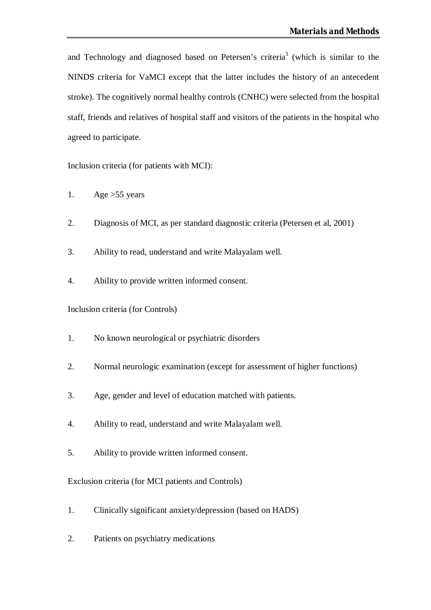and Technology and diagnosed based on Petersen's criteria<sup>3</sup> (which is similar to the NINDS criteria for VaMCI except that the latter includes the history of an antecedent stroke). The cognitively normal healthy controls (CNHC) were selected from the hospital staff, friends and relatives of hospital staff and visitors of the patients in the hospital who agreed to participate.

Inclusion criteria (for patients with MCI):

- 1. Age  $>55$  years
- 2. Diagnosis of MCI, as per standard diagnostic criteria (Petersen et al, 2001)
- 3. Ability to read, understand and write Malayalam well.
- 4. Ability to provide written informed consent.

Inclusion criteria (for Controls)

- 1. No known neurological or psychiatric disorders
- 2. Normal neurologic examination (except for assessment of higher functions)
- 3. Age, gender and level of education matched with patients.
- 4. Ability to read, understand and write Malayalam well.
- 5. Ability to provide written informed consent.

Exclusion criteria (for MCI patients and Controls)

- 1. Clinically significant anxiety/depression (based on HADS)
- 2. Patients on psychiatry medications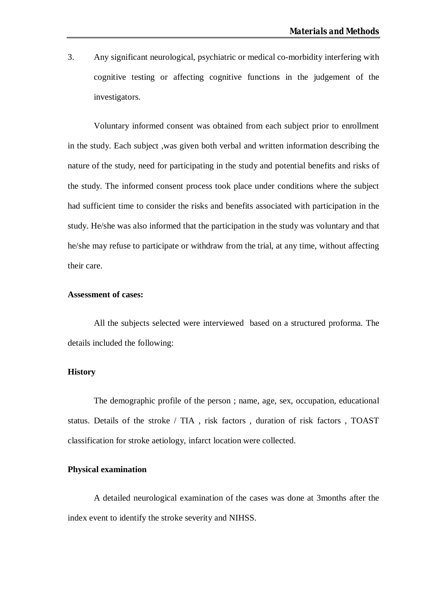3. Any significant neurological, psychiatric or medical co-morbidity interfering with cognitive testing or affecting cognitive functions in the judgement of the investigators.

Voluntary informed consent was obtained from each subject prior to enrollment in the study. Each subject ,was given both verbal and written information describing the nature of the study, need for participating in the study and potential benefits and risks of the study. The informed consent process took place under conditions where the subject had sufficient time to consider the risks and benefits associated with participation in the study. He/she was also informed that the participation in the study was voluntary and that he/she may refuse to participate or withdraw from the trial, at any time, without affecting their care.

#### **Assessment of cases:**

All the subjects selected were interviewed based on a structured proforma. The details included the following:

#### **History**

The demographic profile of the person ; name, age, sex, occupation, educational status. Details of the stroke / TIA , risk factors , duration of risk factors , TOAST classification for stroke aetiology, infarct location were collected.

#### **Physical examination**

A detailed neurological examination of the cases was done at 3months after the index event to identify the stroke severity and NIHSS.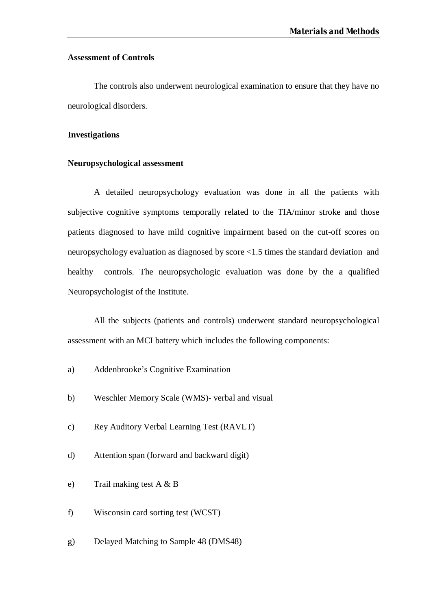#### **Assessment of Controls**

The controls also underwent neurological examination to ensure that they have no neurological disorders.

#### **Investigations**

#### **Neuropsychological assessment**

A detailed neuropsychology evaluation was done in all the patients with subjective cognitive symptoms temporally related to the TIA/minor stroke and those patients diagnosed to have mild cognitive impairment based on the cut-off scores on neuropsychology evaluation as diagnosed by score <1.5 times the standard deviation and healthy controls. The neuropsychologic evaluation was done by the a qualified Neuropsychologist of the Institute.

All the subjects (patients and controls) underwent standard neuropsychological assessment with an MCI battery which includes the following components:

- a) Addenbrooke's Cognitive Examination
- b) Weschler Memory Scale (WMS)- verbal and visual
- c) Rey Auditory Verbal Learning Test (RAVLT)
- d) Attention span (forward and backward digit)
- e) Trail making test A & B
- f) Wisconsin card sorting test (WCST)
- g) Delayed Matching to Sample 48 (DMS48)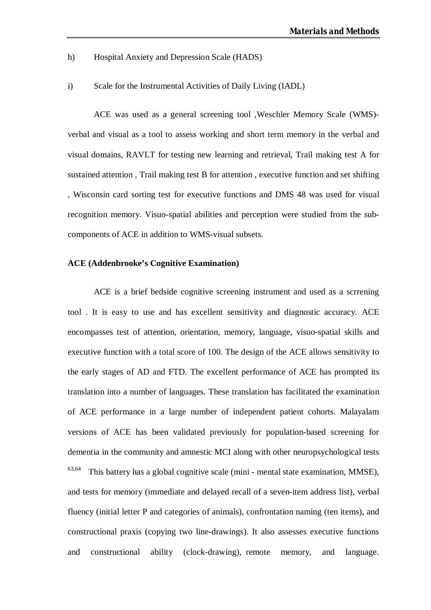- h) Hospital Anxiety and Depression Scale (HADS)
- i) Scale for the Instrumental Activities of Daily Living (IADL)

ACE was used as a general screening tool ,Weschler Memory Scale (WMS) verbal and visual as a tool to assess working and short term memory in the verbal and visual domains, RAVLT for testing new learning and retrieval, Trail making test A for sustained attention , Trail making test B for attention , executive function and set shifting , Wisconsin card sorting test for executive functions and DMS 48 was used for visual recognition memory. Visuo-spatial abilities and perception were studied from the subcomponents of ACE in addition to WMS-visual subsets.

#### **ACE (Addenbrooke's Cognitive Examination)**

ACE is a brief bedside cognitive screening instrument and used as a scrrening tool . It is easy to use and has excellent sensitivity and diagnostic accuracy. ACE encompasses test of attention, orientation, memory, language, visuo-spatial skills and executive function with a total score of 100. The design of the ACE allows sensitivity to the early stages of AD and FTD. The excellent performance of ACE has prompted its translation into a number of languages. These translation has facilitated the examination of ACE performance in a large number of independent patient cohorts. Malayalam versions of ACE has been validated previously for population-based screening for dementia in the community and amnestic MCI along with other neuropsychological tests  $63,64$  This battery has a global cognitive scale (mini - mental state examination, MMSE), and tests for memory (immediate and delayed recall of a seven-item address list), verbal fluency (initial letter P and categories of animals), confrontation naming (ten items), and constructional praxis (copying two line-drawings). It also assesses executive functions and constructional ability (clock-drawing), remote memory, and language.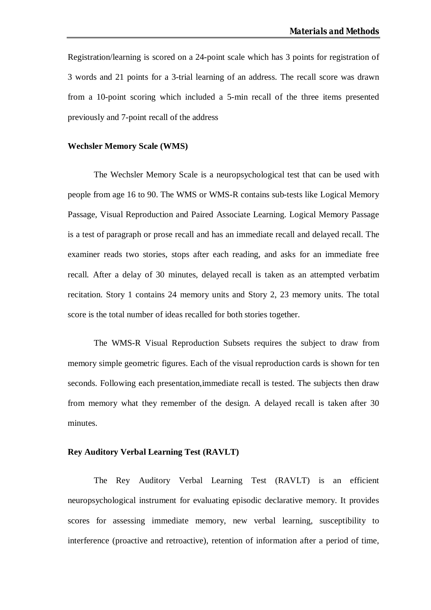Registration/learning is scored on a 24-point scale which has 3 points for registration of 3 words and 21 points for a 3-trial learning of an address. The recall score was drawn from a 10-point scoring which included a 5-min recall of the three items presented previously and 7-point recall of the address

#### **Wechsler Memory Scale (WMS)**

The Wechsler Memory Scale is a neuropsychological test that can be used with people from age 16 to 90. The WMS or WMS-R contains sub-tests like Logical Memory Passage, Visual Reproduction and Paired Associate Learning. Logical Memory Passage is a test of paragraph or prose recall and has an immediate recall and delayed recall. The examiner reads two stories, stops after each reading, and asks for an immediate free recall. After a delay of 30 minutes, delayed recall is taken as an attempted verbatim recitation. Story 1 contains 24 memory units and Story 2, 23 memory units. The total score is the total number of ideas recalled for both stories together.

The WMS-R Visual Reproduction Subsets requires the subject to draw from memory simple geometric figures. Each of the visual reproduction cards is shown for ten seconds. Following each presentation,immediate recall is tested. The subjects then draw from memory what they remember of the design. A delayed recall is taken after 30 minutes.

#### **Rey Auditory Verbal Learning Test (RAVLT)**

The Rey Auditory Verbal Learning Test (RAVLT) is an efficient neuropsychological instrument for evaluating episodic declarative memory. It provides scores for assessing immediate memory, new verbal learning, susceptibility to interference (proactive and retroactive), retention of information after a period of time,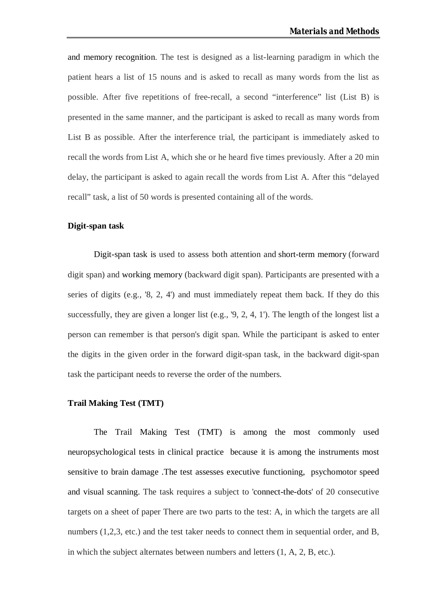and memory recognition. The test is designed as a list-learning paradigm in which the patient hears a list of 15 nouns and is asked to recall as many words from the list as possible. After five repetitions of free-recall, a second "interference" list (List B) is presented in the same manner, and the participant is asked to recall as many words from List B as possible. After the interference trial, the participant is immediately asked to recall the words from List A, which she or he heard five times previously. After a 20 min delay, the participant is asked to again recall the words from List A. After this "delayed recall" task, a list of 50 words is presented containing all of the words.

#### **Digit-span task**

Digit-span task is used to assess both attention and short-term memory (forward digit span) and working memory (backward digit span). Participants are presented with a series of digits (e.g., '8, 2, 4') and must immediately repeat them back. If they do this successfully, they are given a longer list (e.g., '9, 2, 4, 1'). The length of the longest list a person can remember is that person's digit span. While the participant is asked to enter the digits in the given order in the forward digit-span task, in the backward digit-span task the participant needs to reverse the order of the numbers.

#### **Trail Making Test (TMT)**

The Trail Making Test (TMT) is among the most commonly used neuropsychological tests in clinical practice because it is among the instruments most sensitive to brain damage .The test assesses executive functioning, psychomotor speed and visual scanning. The task requires a subject to 'connect-the-dots' of 20 consecutive targets on a sheet of paper There are two parts to the test: A, in which the targets are all numbers (1,2,3, etc.) and the test taker needs to connect them in sequential order, and B, in which the subject alternates between numbers and letters (1, A, 2, B, etc.).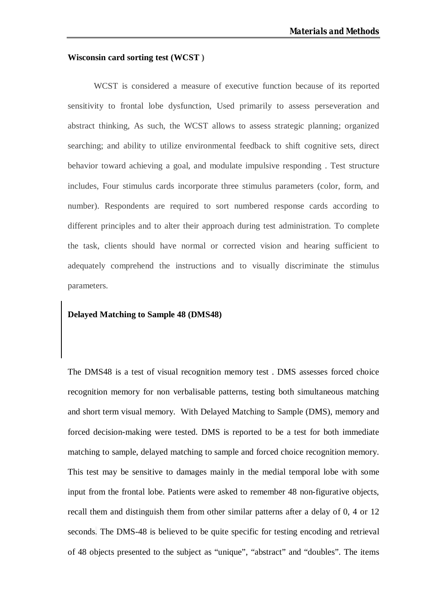#### **Wisconsin card sorting test (WCST )**

WCST is considered a measure of executive function because of its reported sensitivity to frontal lobe dysfunction, Used primarily to assess perseveration and abstract thinking, As such, the WCST allows to assess strategic planning; organized searching; and ability to utilize environmental feedback to shift cognitive sets, direct behavior toward achieving a goal, and modulate impulsive responding . Test structure includes, Four stimulus cards incorporate three stimulus parameters (color, form, and number). Respondents are required to sort numbered response cards according to different principles and to alter their approach during test administration. To complete the task, clients should have normal or corrected vision and hearing sufficient to adequately comprehend the instructions and to visually discriminate the stimulus parameters.

#### **Delayed Matching to Sample 48 (DMS48)**

The DMS48 is a test of visual recognition memory test . DMS assesses forced choice recognition memory for non verbalisable patterns, testing both simultaneous matching and short term visual memory. With Delayed Matching to Sample (DMS), memory and forced decision-making were tested. DMS is reported to be a test for both immediate matching to sample, delayed matching to sample and forced choice recognition memory. This test may be sensitive to damages mainly in the medial temporal lobe with some input from the frontal lobe. Patients were asked to remember 48 non-figurative objects, recall them and distinguish them from other similar patterns after a delay of 0, 4 or 12 seconds. The DMS-48 is believed to be quite specific for testing encoding and retrieval of 48 objects presented to the subject as "unique", "abstract" and "doubles". The items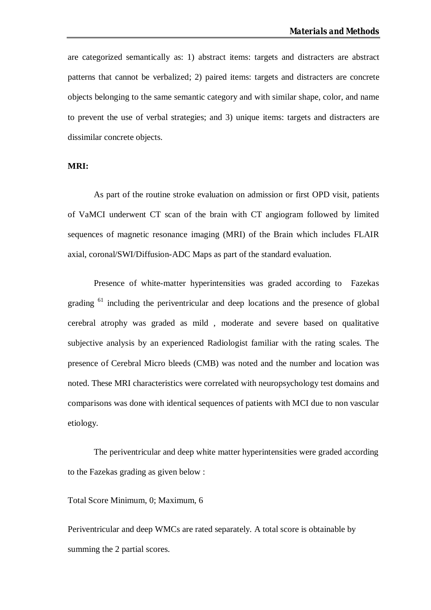are categorized semantically as: 1) abstract items: targets and distracters are abstract patterns that cannot be verbalized; 2) paired items: targets and distracters are concrete objects belonging to the same semantic category and with similar shape, color, and name to prevent the use of verbal strategies; and 3) unique items: targets and distracters are dissimilar concrete objects.

#### **MRI:**

As part of the routine stroke evaluation on admission or first OPD visit, patients of VaMCI underwent CT scan of the brain with CT angiogram followed by limited sequences of magnetic resonance imaging (MRI) of the Brain which includes FLAIR axial, coronal/SWI/Diffusion-ADC Maps as part of the standard evaluation.

Presence of white-matter hyperintensities was graded according to Fazekas grading <sup>61</sup> including the periventricular and deep locations and the presence of global cerebral atrophy was graded as mild , moderate and severe based on qualitative subjective analysis by an experienced Radiologist familiar with the rating scales. The presence of Cerebral Micro bleeds (CMB) was noted and the number and location was noted. These MRI characteristics were correlated with neuropsychology test domains and comparisons was done with identical sequences of patients with MCI due to non vascular etiology.

The periventricular and deep white matter hyperintensities were graded according to the Fazekas grading as given below :

#### Total Score Minimum, 0; Maximum, 6

Periventricular and deep WMCs are rated separately. A total score is obtainable by summing the 2 partial scores.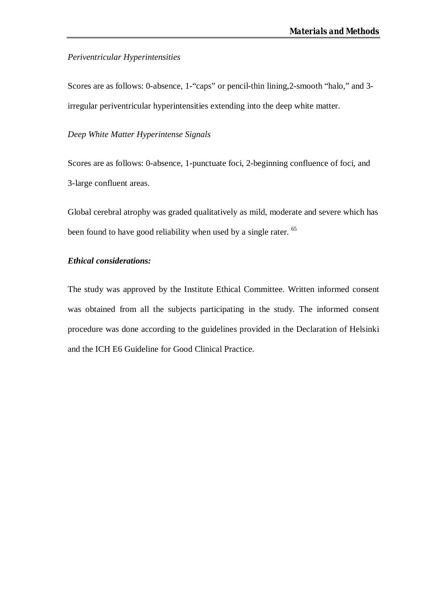#### *Periventricular Hyperintensities*

Scores are as follows: 0-absence, 1-"caps" or pencil-thin lining,2-smooth "halo," and 3 irregular periventricular hyperintensities extending into the deep white matter.

*Deep White Matter Hyperintense Signals*

Scores are as follows: 0-absence, 1-punctuate foci, 2-beginning confluence of foci, and 3-large confluent areas.

Global cerebral atrophy was graded qualitatively as mild, moderate and severe which has been found to have good reliability when used by a single rater. <sup>65</sup>

## *Ethical considerations:*

The study was approved by the Institute Ethical Committee. Written informed consent was obtained from all the subjects participating in the study. The informed consent procedure was done according to the guidelines provided in the Declaration of Helsinki and the ICH E6 Guideline for Good Clinical Practice.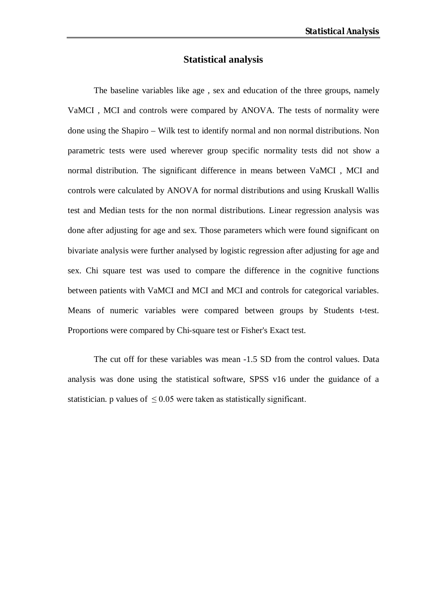## **Statistical analysis**

The baseline variables like age , sex and education of the three groups, namely VaMCI , MCI and controls were compared by ANOVA. The tests of normality were done using the Shapiro – Wilk test to identify normal and non normal distributions. Non parametric tests were used wherever group specific normality tests did not show a normal distribution. The significant difference in means between VaMCI , MCI and controls were calculated by ANOVA for normal distributions and using Kruskall Wallis test and Median tests for the non normal distributions. Linear regression analysis was done after adjusting for age and sex. Those parameters which were found significant on bivariate analysis were further analysed by logistic regression after adjusting for age and sex. Chi square test was used to compare the difference in the cognitive functions between patients with VaMCI and MCI and MCI and controls for categorical variables. Means of numeric variables were compared between groups by Students t-test. Proportions were compared by Chi-square test or Fisher's Exact test.

The cut off for these variables was mean -1.5 SD from the control values. Data analysis was done using the statistical software, SPSS v16 under the guidance of a statistician. p values of  $\leq 0.05$  were taken as statistically significant.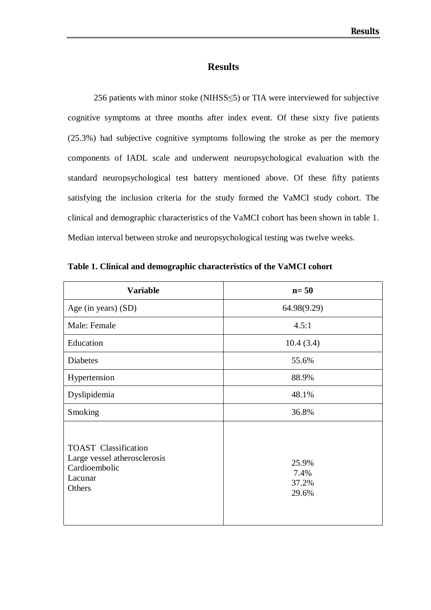## **Results**

256 patients with minor stoke (NIHSS≤5) or TIA were interviewed for subjective cognitive symptoms at three months after index event. Of these sixty five patients (25.3%) had subjective cognitive symptoms following the stroke as per the memory components of IADL scale and underwent neuropsychological evaluation with the standard neuropsychological test battery mentioned above. Of these fifty patients satisfying the inclusion criteria for the study formed the VaMCI study cohort. The clinical and demographic characteristics of the VaMCI cohort has been shown in table 1. Median interval between stroke and neuropsychological testing was twelve weeks.

| <b>Variable</b>                                                                                   | $n=50$                          |
|---------------------------------------------------------------------------------------------------|---------------------------------|
| Age (in years) (SD)                                                                               | 64.98(9.29)                     |
| Male: Female                                                                                      | 4.5:1                           |
| Education                                                                                         | 10.4(3.4)                       |
| <b>Diabetes</b>                                                                                   | 55.6%                           |
| Hypertension                                                                                      | 88.9%                           |
| Dyslipidemia                                                                                      | 48.1%                           |
| Smoking                                                                                           | 36.8%                           |
| <b>TOAST</b> Classification<br>Large vessel atherosclerosis<br>Cardioembolic<br>Lacunar<br>Others | 25.9%<br>7.4%<br>37.2%<br>29.6% |

**Table 1. Clinical and demographic characteristics of the VaMCI cohort**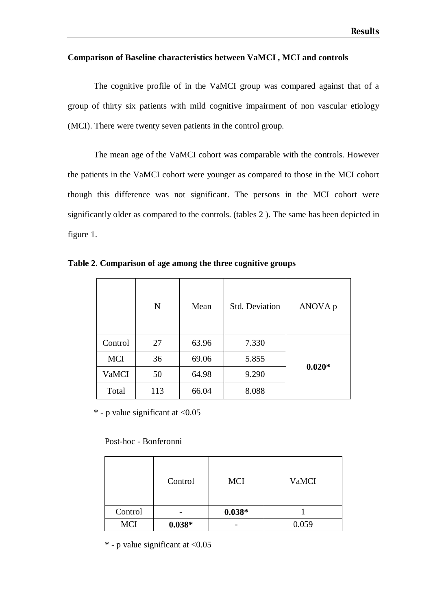#### **Comparison of Baseline characteristics between VaMCI , MCI and controls**

The cognitive profile of in the VaMCI group was compared against that of a group of thirty six patients with mild cognitive impairment of non vascular etiology (MCI). There were twenty seven patients in the control group.

The mean age of the VaMCI cohort was comparable with the controls. However the patients in the VaMCI cohort were younger as compared to those in the MCI cohort though this difference was not significant. The persons in the MCI cohort were significantly older as compared to the controls. (tables 2 ). The same has been depicted in figure 1.

|            | N   | Mean  | <b>Std. Deviation</b> | ANOVA p  |
|------------|-----|-------|-----------------------|----------|
| Control    | 27  | 63.96 | 7.330                 |          |
| <b>MCI</b> | 36  | 69.06 | 5.855                 |          |
| VaMCI      | 50  | 64.98 | 9.290                 | $0.020*$ |
| Total      | 113 | 66.04 | 8.088                 |          |

**Table 2. Comparison of age among the three cognitive groups** 

 $*$  - p value significant at  $< 0.05$ 

Post-hoc - Bonferonni

|            | Control  | <b>MCI</b> | VaMCI |
|------------|----------|------------|-------|
| Control    |          | $0.038*$   |       |
| <b>MCI</b> | $0.038*$ |            | 0.059 |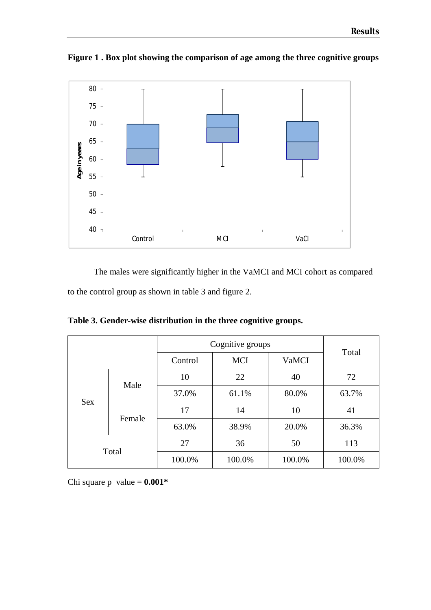

**Figure 1 . Box plot showing the comparison of age among the three cognitive groups**

The males were significantly higher in the VaMCI and MCI cohort as compared to the control group as shown in table 3 and figure 2.

**Table 3. Gender-wise distribution in the three cognitive groups.**

|       |                      | Cognitive groups                      | Total  |        |        |  |
|-------|----------------------|---------------------------------------|--------|--------|--------|--|
|       |                      | <b>MCI</b><br><b>VaMCI</b><br>Control |        |        |        |  |
|       |                      | 22<br>10                              |        | 40     | 72     |  |
|       | Male                 | 37.0%                                 | 61.1%  | 80.0%  | 63.7%  |  |
|       | <b>Sex</b><br>Female | 17                                    | 14     | 10     | 41     |  |
|       |                      | 63.0%                                 | 38.9%  | 20.0%  | 36.3%  |  |
| Total |                      | 27                                    | 36     | 50     | 113    |  |
|       |                      | 100.0%                                | 100.0% | 100.0% | 100.0% |  |

Chi square p value  $= 0.001*$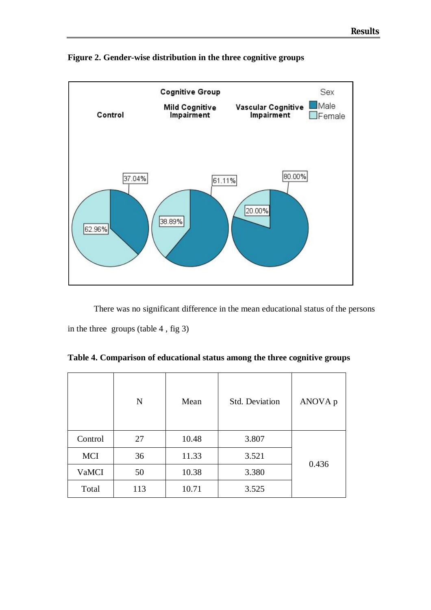



There was no significant difference in the mean educational status of the persons in the three groups (table 4 , fig 3)

**Table 4. Comparison of educational status among the three cognitive groups**

|              | N   | Mean  | <b>Std. Deviation</b> | ANOVA p |  |
|--------------|-----|-------|-----------------------|---------|--|
| Control      | 27  | 10.48 | 3.807                 |         |  |
| <b>MCI</b>   | 36  | 11.33 | 3.521                 |         |  |
| <b>VaMCI</b> | 50  |       | 3.380                 | 0.436   |  |
| Total        | 113 |       | 3.525                 |         |  |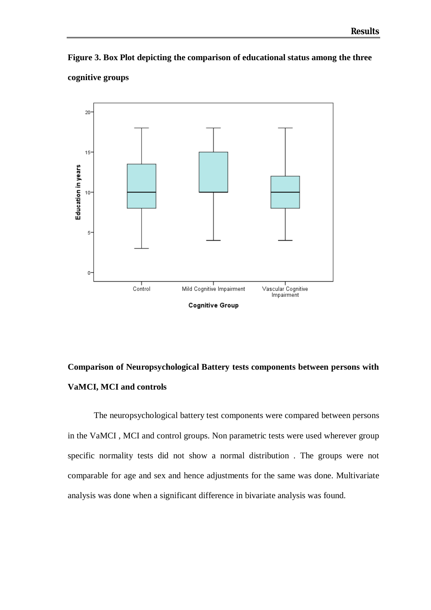**Figure 3. Box Plot depicting the comparison of educational status among the three** 





# **Comparison of Neuropsychological Battery tests components between persons with VaMCI, MCI and controls**

The neuropsychological battery test components were compared between persons in the VaMCI , MCI and control groups. Non parametric tests were used wherever group specific normality tests did not show a normal distribution . The groups were not comparable for age and sex and hence adjustments for the same was done. Multivariate analysis was done when a significant difference in bivariate analysis was found.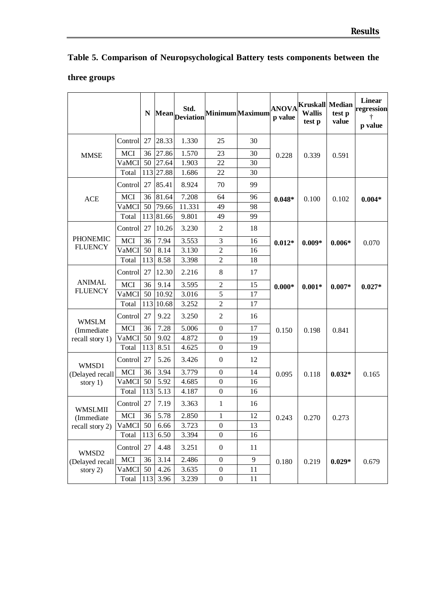## **three groups**

|                               |              | N   | <b>Mean</b> | Std.<br><b>Deviation</b> |                  | Minimum Maximum | p value  | <b>ANOVA</b> <sup>Kruskall</sup><br><b>Wallis</b><br>test p | <b>Median</b><br>test p<br>value | <b>Linear</b><br>regression<br>p value |
|-------------------------------|--------------|-----|-------------|--------------------------|------------------|-----------------|----------|-------------------------------------------------------------|----------------------------------|----------------------------------------|
|                               | Control      | 27  | 28.33       | 1.330                    | 25               | 30              |          |                                                             |                                  |                                        |
| <b>MMSE</b>                   | MCI          | 36  | 27.86       | 1.570                    | 23               | 30              | 0.228    | 0.339                                                       | 0.591                            |                                        |
|                               | VaMCI        | 50  | 27.64       | 1.903                    | 22               | 30              |          |                                                             |                                  |                                        |
|                               | Total        |     | 113 27.88   | 1.686                    | 22               | 30              |          |                                                             |                                  |                                        |
|                               | Control      | 27  | 85.41       | 8.924                    | 70               | 99              |          |                                                             |                                  |                                        |
| <b>ACE</b>                    | <b>MCI</b>   | 36  | 81.64       | 7.208                    | 64               | 96              | $0.048*$ | 0.100                                                       | 0.102                            | $0.004*$                               |
|                               | VaMCI        | 50  | 79.66       | 11.331                   | 49               | 98              |          |                                                             |                                  |                                        |
|                               | Total        |     | 113 81.66   | 9.801                    | 49               | 99              |          |                                                             |                                  |                                        |
|                               | Control      | 27  | 10.26       | 3.230                    | 2                | 18              |          |                                                             |                                  |                                        |
| <b>PHONEMIC</b>               | <b>MCI</b>   | 36  | 7.94        | 3.553                    | 3                | 16              | $0.012*$ | $0.009*$                                                    | $0.006*$                         | 0.070                                  |
| <b>FLUENCY</b>                | VaMCI        | 50  | 8.14        | 3.130                    | $\mathbf{2}$     | 16              |          |                                                             |                                  |                                        |
|                               | Total        | 113 | 8.58        | 3.398                    | $\overline{2}$   | 18              |          |                                                             |                                  |                                        |
|                               | Control      | 27  | 12.30       | 2.216                    | 8                | 17              |          |                                                             |                                  |                                        |
| <b>ANIMAL</b>                 | <b>MCI</b>   | 36  | 9.14        | 3.595                    | $\overline{c}$   | 15              | $0.000*$ | $0.001*$                                                    | $0.007*$                         | $0.027*$                               |
| <b>FLUENCY</b>                | VaMCI        | 50  | 10.92       | 3.016                    | 5                | 17              |          |                                                             |                                  |                                        |
|                               | Total        | 113 | 10.68       | 3.252                    | $\overline{2}$   | 17              |          |                                                             |                                  |                                        |
| <b>WMSLM</b>                  | Control      | 27  | 9.22        | 3.250                    | $\overline{2}$   | 16              |          |                                                             |                                  |                                        |
| (Immediate                    | <b>MCI</b>   | 36  | 7.28        | 5.006                    | $\boldsymbol{0}$ | 17              | 0.150    | 0.198                                                       | 0.841                            |                                        |
| recall story 1)               | VaMCI        | 50  | 9.02        | 4.872                    | $\boldsymbol{0}$ | 19              |          |                                                             |                                  |                                        |
|                               | Total        | 113 | 8.51        | 4.625                    | $\boldsymbol{0}$ | 19              |          |                                                             |                                  |                                        |
| WMSD1                         | Control      | 27  | 5.26        | 3.426                    | $\boldsymbol{0}$ | 12              |          |                                                             |                                  |                                        |
| (Delayed recall               | <b>MCI</b>   | 36  | 3.94        | 3.779                    | $\boldsymbol{0}$ | 14              | 0.095    | 0.118                                                       | $0.032*$                         | 0.165                                  |
| story $1)$                    | <b>VaMCI</b> | 50  | 5.92        | 4.685                    | $\boldsymbol{0}$ | 16              |          |                                                             |                                  |                                        |
|                               | Total        | 113 | 5.13        | 4.187                    | $\boldsymbol{0}$ | 16              |          |                                                             |                                  |                                        |
| <b>WMSLMII</b>                | Control      | 27  | 7.19        | 3.363                    | 1                | 16              |          |                                                             |                                  |                                        |
| (Immediate<br>recall story 2) | MCI          | 36  | 5.78        | 2.850                    | 1                | 12              | 0.243    | 0.270                                                       | 0.273                            |                                        |
|                               | VaMCI 50     |     | 6.66        | 3.723                    | $\boldsymbol{0}$ | 13              |          |                                                             |                                  |                                        |
|                               | Total        | 113 | 6.50        | 3.394                    | $\boldsymbol{0}$ | 16              |          |                                                             |                                  |                                        |
| WMSD2                         | Control      | 27  | 4.48        | 3.251                    | $\boldsymbol{0}$ | 11              |          |                                                             |                                  |                                        |
| (Delayed recall               | MCI          | 36  | 3.14        | 2.486                    | $\boldsymbol{0}$ | 9               | 0.180    | 0.219                                                       | $0.029*$                         | 0.679                                  |
| story 2)                      | VaMCI        | 50  | 4.26        | 3.635                    | $\boldsymbol{0}$ | 11              |          |                                                             |                                  |                                        |
|                               | Total        | 113 | 3.96        | 3.239                    | $\boldsymbol{0}$ | 11              |          |                                                             |                                  |                                        |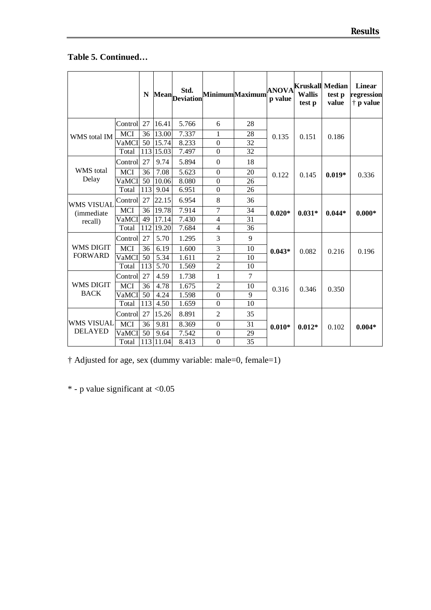# **Table 5. Continued…**

|                    |            | N   |           | Std.<br>Mean Deviation |                  | MinimumMaximum | <b>ANOVA</b><br>p value | Kruskall Median<br><b>Wallis</b><br>test p | test p<br>value | <b>Linear</b><br>regression<br>$\dagger$ p value |
|--------------------|------------|-----|-----------|------------------------|------------------|----------------|-------------------------|--------------------------------------------|-----------------|--------------------------------------------------|
|                    | Control    | 27  | 16.41     | 5.766                  | 6                | 28             |                         |                                            |                 |                                                  |
| WMS total IM       | MCI        | 36  | 13.00     | 7.337                  | 1                | 28             | 0.135                   | 0.151                                      | 0.186           |                                                  |
|                    | VaMCI      | 50  | 15.74     | 8.233                  | $\boldsymbol{0}$ | 32             |                         |                                            |                 |                                                  |
|                    | Total      |     | 113 15.03 | 7.497                  | $\boldsymbol{0}$ | 32             |                         |                                            |                 |                                                  |
|                    | Control    | 27  | 9.74      | 5.894                  | $\Omega$         | 18             |                         |                                            |                 |                                                  |
| <b>WMS</b> total   | <b>MCI</b> | 36  | 7.08      | 5.623                  | $\boldsymbol{0}$ | 20             | 0.122                   | 0.145                                      | $0.019*$        | 0.336                                            |
| Delay              | VaMCI      | 50  | 10.06     | 8.080                  | $\mathbf{0}$     | 26             |                         |                                            |                 |                                                  |
|                    | Total      | 113 | 9.04      | 6.951                  | $\boldsymbol{0}$ | 26             |                         |                                            |                 |                                                  |
| <b>WMS VISUAL</b>  | Controll   | 27  | 22.15     | 6.954                  | 8                | 36             |                         |                                            |                 |                                                  |
| <i>(immediate)</i> | <b>MCI</b> | 36  | 19.78     | 7.914                  | 7                | 34             | $0.020*$                | $0.031*$                                   | $0.044*$        | $0.000*$                                         |
| recall)            | VaMCI      | 49  | 17.14     | 7.430                  | $\overline{4}$   | 31             |                         |                                            |                 |                                                  |
|                    | Total      |     | 112 19.20 | 7.684                  | 4                | 36             |                         |                                            |                 |                                                  |
|                    | Control    | 27  | 5.70      | 1.295                  | 3                | 9              |                         |                                            |                 |                                                  |
| <b>WMS DIGIT</b>   | <b>MCI</b> | 36  | 6.19      | 1.600                  | $\overline{3}$   | 10             | $0.043*$                | 0.082                                      | 0.216           | 0.196                                            |
| <b>FORWARD</b>     | VaMCI      | 50  | 5.34      | 1.611                  | $\overline{2}$   | 10             |                         |                                            |                 |                                                  |
|                    | Total      | 113 | 5.70      | 1.569                  | $\overline{c}$   | 10             |                         |                                            |                 |                                                  |
|                    | Control    | 27  | 4.59      | 1.738                  | 1                | $\overline{7}$ |                         |                                            |                 |                                                  |
| <b>WMS DIGIT</b>   | <b>MCI</b> | 36  | 4.78      | 1.675                  | $\overline{2}$   | 10             | 0.316                   | 0.346                                      | 0.350           |                                                  |
| <b>BACK</b>        | VaMCI      | 50  | 4.24      | 1.598                  | $\boldsymbol{0}$ | 9              |                         |                                            |                 |                                                  |
|                    | Total      | 113 | 4.50      | 1.659                  | $\Omega$         | 10             |                         |                                            |                 |                                                  |
|                    | Control    | 27  | 15.26     | 8.891                  | $\overline{2}$   | 35             |                         |                                            |                 |                                                  |
| <b>WMS VISUAL</b>  | <b>MCI</b> | 36  | 9.81      | 8.369                  | $\boldsymbol{0}$ | 31             | $0.010*$                | $0.012*$                                   | 0.102           | $0.004*$                                         |
| <b>DELAYED</b>     | VaMCI      | 50  | 9.64      | 7.542                  | $\boldsymbol{0}$ | 29             |                         |                                            |                 |                                                  |
|                    | Total      |     | 113 11.04 | 8.413                  | $\mathbf{0}$     | 35             |                         |                                            |                 |                                                  |

† Adjusted for age, sex (dummy variable: male=0, female=1)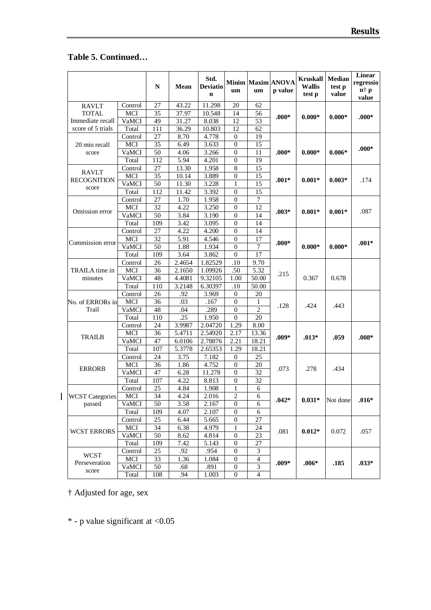## **Table 5. Continued…**

|                        |            | N               | Mean   | Std.<br><b>Deviatio</b><br>$\mathbf n$ | um               | um                      | Minim Maxim ANOVA<br>p value | <b>Kruskall</b><br><b>Wallis</b><br>test p | <b>Median</b><br>test p<br>value | Linear<br>regressio<br>$\mathbf{n}^+ \mathbf{p}$<br>value |
|------------------------|------------|-----------------|--------|----------------------------------------|------------------|-------------------------|------------------------------|--------------------------------------------|----------------------------------|-----------------------------------------------------------|
| <b>RAVLT</b>           | Control    | 27              | 43.22  | 11.298                                 | 20               | 62                      |                              |                                            |                                  |                                                           |
| <b>TOTAL</b>           | <b>MCI</b> | 35              | 37.97  | 10.548                                 | 14               | 56                      | $.000*$                      | $0.000*$                                   | $0.000*$                         | $.000*$                                                   |
| Immediate recall       | VaMCI      | 49              | 31.27  | 8.038                                  | 12               | 53                      |                              |                                            |                                  |                                                           |
| score of 5 trials      | Total      | 111             | 36.29  | 10.803                                 | 12               | 62                      |                              |                                            |                                  |                                                           |
|                        | Control    | 27              | 8.70   | 4.778                                  | $\mathbf{0}$     | 19                      |                              |                                            |                                  |                                                           |
| 20 min recall          | <b>MCI</b> | 35              | 6.49   | 3.633                                  | 0                | 15                      |                              |                                            |                                  | $.000*$                                                   |
| score                  | VaMCI      | $\overline{50}$ | 4.06   | 3.266                                  | $\boldsymbol{0}$ | 11                      | $.000*$                      | $0.000*$                                   | $0.006*$                         |                                                           |
|                        | Total      | 112             | 5.94   | 4.201                                  | $\boldsymbol{0}$ | 19                      |                              |                                            |                                  |                                                           |
| RAVLT                  | Control    | 27              | 13.30  | 1.958                                  | $\,8\,$          | 15                      |                              |                                            |                                  |                                                           |
| <b>RECOGNITION</b>     | MCI        | 35              | 10.14  | 3.889                                  | $\boldsymbol{0}$ | 15                      | $.001*$                      | $0.001*$                                   | $0.003*$                         | .174                                                      |
| score                  | VaMCI      | 50              | 11.30  | 3.228                                  | 1                | 15                      |                              |                                            |                                  |                                                           |
|                        | Total      | 112             | 11.42  | 3.392                                  | $\mathbf{0}$     | 15                      |                              |                                            |                                  |                                                           |
|                        | Control    | 27              | 1.70   | 1.958                                  | $\mathbf{0}$     | 7                       |                              |                                            |                                  |                                                           |
| Omission error         | <b>MCI</b> | $\overline{32}$ | 4.22   | 3.250                                  | $\mathbf{0}$     | 12                      | $.003*$                      | $0.001*$                                   | $0.001*$                         | .087                                                      |
|                        | VaMCI      | 50              | 3.84   | 3.190                                  | $\boldsymbol{0}$ | 14                      |                              |                                            |                                  |                                                           |
|                        | Total      | 109             | 3.42   | 3.095                                  | 0                | 14                      |                              |                                            |                                  |                                                           |
|                        | Control    | 27              | 4.22   | 4.200                                  | 0                | 14                      |                              |                                            |                                  |                                                           |
| Commission error       | MCI        | 32              | 5.91   | 4.546                                  | $\mathbf{0}$     | 17                      | $.000*$                      |                                            |                                  | $.001*$                                                   |
|                        | VaMCI      | 50              | 1.88   | 1.934                                  | $\mathbf{0}$     | 7                       |                              | $0.000*$                                   | $0.000*$                         |                                                           |
|                        | Total      | 109             | 3.64   | 3.862                                  | $\boldsymbol{0}$ | 17                      |                              |                                            |                                  |                                                           |
|                        | Control    | 26              | 2.4654 | 1.82529                                | .10              | 9.70                    |                              |                                            |                                  |                                                           |
| TRAILA time in         | MCI        | 36              | 2.1650 | 1.09926                                | .50              | 5.32                    | .215                         |                                            |                                  |                                                           |
| minutes                | VaMCI      | 48              | 4.4081 | 9.32105                                | 1.00             | 50.00                   |                              | 0.367                                      | 0.678                            |                                                           |
|                        | Total      | 110             | 3.2148 | 6.30397                                | .10              | 50.00                   |                              |                                            |                                  |                                                           |
|                        | Control    | 26              | .92    | 3.969                                  | $\boldsymbol{0}$ | 20                      |                              |                                            |                                  |                                                           |
| No. of ERRORs inl      | MCI        | 36              | .03    | .167                                   | 0                | 1                       | .128                         | .424                                       | .443                             |                                                           |
| Trail                  | VaMCI      | 48              | .04    | .289                                   | $\mathbf{0}$     | $\overline{c}$          |                              |                                            |                                  |                                                           |
|                        | Total      | 110             | .25    | 1.950                                  | $\mathbf{0}$     | 20                      |                              |                                            |                                  |                                                           |
|                        | Control    | 24              | 3.9987 | 2.04720                                | 1.29             | 8.00                    |                              |                                            |                                  |                                                           |
| <b>TRAILB</b>          | MCI        | 36              | 5.4711 | 2.54920                                | 2.17             | 13.36                   | $.009*$                      | $.013*$                                    | .059                             | $.008*$                                                   |
|                        | VaMCI      | 47              | 6.0106 | 2.78876                                | 2.21             | 18.21                   |                              |                                            |                                  |                                                           |
|                        | Total      | 107             | 5.3778 | 2.65353                                | 1.29             | 18.21                   |                              |                                            |                                  |                                                           |
|                        | Control    | 24              | 3.75   | 7.182                                  | $\mathbf{0}$     | 25                      |                              |                                            |                                  |                                                           |
| <b>ERRORB</b>          | MCI        | 36              | 1.86   | 4.752                                  | 0                | 20                      | .073                         | .278                                       | .434                             |                                                           |
|                        | VaMCI      | 47              | 6.28   | 11.278                                 | 0                | 32                      |                              |                                            |                                  |                                                           |
|                        | Total      | 107             | 4.22   | 8.813                                  | $\boldsymbol{0}$ | 32                      |                              |                                            |                                  |                                                           |
|                        | Control    | 25              | 4.84   | 1.908                                  | 1                | 6                       |                              |                                            |                                  |                                                           |
| <b>WCST</b> Categories | MCI        | 34              | 4.24   | 2.016                                  | $\overline{2}$   | 6                       | $.042*$                      | $0.031*$                                   | Not done                         | $.016*$                                                   |
| passed                 | VaMCI      | 50              | 3.58   | 2.167                                  | $\mathbf{0}$     | 6                       |                              |                                            |                                  |                                                           |
|                        | Total      | 109             | 4.07   | 2.107                                  | $\mathbf{0}$     | 6                       |                              |                                            |                                  |                                                           |
|                        | Control    | 25              | 6.44   | 5.665                                  | $\boldsymbol{0}$ | 27                      |                              |                                            |                                  |                                                           |
| <b>WCST ERRORS</b>     | MCI        | 34              | 6.38   | 4.979                                  | 1                | 24                      | .081                         | $0.012*$                                   | 0.072                            | .057                                                      |
|                        | VaMCI      | 50              | 8.62   | 4.814                                  | $\boldsymbol{0}$ | 23                      |                              |                                            |                                  |                                                           |
|                        | Total      | 109             | 7.42   | 5.143                                  | $\boldsymbol{0}$ | 27                      |                              |                                            |                                  |                                                           |
| <b>WCST</b>            | Control    | 25              | .92    | .954                                   | $\boldsymbol{0}$ | 3                       |                              |                                            |                                  |                                                           |
| Perseveration          | MCI        | 33              | 1.36   | 1.084                                  | $\boldsymbol{0}$ | $\overline{\mathbf{4}}$ | $.009*$                      | $.006*$<br>.185                            |                                  | $.033*$                                                   |
|                        | VaMCI      | 50              | .68    | .891                                   | $\boldsymbol{0}$ | $\sqrt{3}$              |                              |                                            |                                  |                                                           |
| score                  | Total      | 108             | .94    | 1.003                                  | $\boldsymbol{0}$ | $\overline{\mathbf{4}}$ |                              |                                            |                                  |                                                           |

† Adjusted for age, sex

 $\mathbf{l}$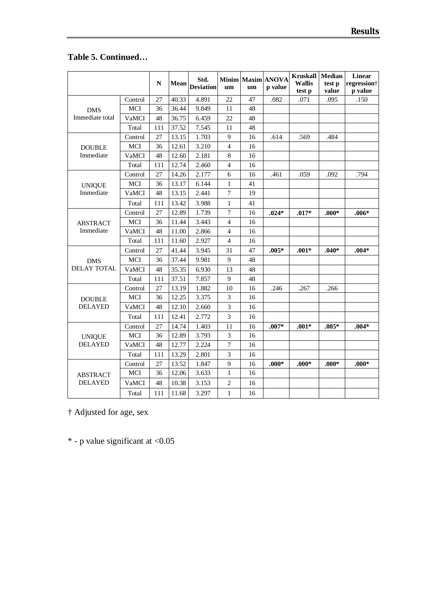# **Table 5. Continued…**

|                                 |            | $\mathbf N$ | Mean  | Std.<br><b>Deviation</b> | um             | um | Minim Maxim ANOVA<br>p value | <b>Kruskall</b><br><b>Wallis</b><br>test p | <b>Median</b><br>test p<br>value | <b>Linear</b><br>regression <sup>+</sup><br>p value |
|---------------------------------|------------|-------------|-------|--------------------------|----------------|----|------------------------------|--------------------------------------------|----------------------------------|-----------------------------------------------------|
|                                 | Control    | 27          | 40.33 | 4.891                    | 22             | 47 | .082                         | .071                                       | .095                             | .150                                                |
| <b>DMS</b>                      | <b>MCI</b> | 36          | 36.44 | 9.849                    | 11             | 48 |                              |                                            |                                  |                                                     |
| Immediate total                 | VaMCI      | 48          | 36.75 | 6.459                    | 22             | 48 |                              |                                            |                                  |                                                     |
|                                 | Total      | 111         | 37.52 | 7.545                    | 11             | 48 |                              |                                            |                                  |                                                     |
|                                 | Control    | 27          | 13.15 | 1.703                    | 9              | 16 | .614                         | .569                                       | .484                             |                                                     |
| <b>DOUBLE</b>                   | MCI        | 36          | 12.61 | 3.210                    | $\overline{4}$ | 16 |                              |                                            |                                  |                                                     |
| Immediate                       | VaMCI      | 48          | 12.60 | 2.181                    | 8              | 16 |                              |                                            |                                  |                                                     |
|                                 | Total      | 111         | 12.74 | 2.460                    | $\overline{4}$ | 16 |                              |                                            |                                  |                                                     |
|                                 | Control    | 27          | 14.26 | 2.177                    | 6              | 16 | .461                         | .059                                       | .092                             | .794                                                |
| <b>UNIQUE</b><br>Immediate      | MCI        | 36          | 13.17 | 6.144                    | $\mathbf{1}$   | 41 |                              |                                            |                                  |                                                     |
|                                 | VaMCI      | 48          | 13.15 | 2.441                    | $\overline{7}$ | 19 |                              |                                            |                                  |                                                     |
|                                 | Total      | 111         | 13.42 | 3.988                    | 1              | 41 |                              |                                            |                                  |                                                     |
|                                 | Control    | 27          | 12.89 | 1.739                    | $\overline{7}$ | 16 | $.024*$                      | $.017*$                                    | $.000*$                          | $.006*$                                             |
| <b>ABSTRACT</b>                 | MCI        | 36          | 11.44 | 3.443                    | 4              | 16 |                              |                                            |                                  |                                                     |
| Immediate                       | VaMCI      | 48          | 11.00 | 2.866                    | $\overline{4}$ | 16 |                              |                                            |                                  |                                                     |
|                                 | Total      | 111         | 11.60 | 2.927                    | $\overline{4}$ | 16 |                              |                                            |                                  |                                                     |
|                                 | Control    | 27          | 41.44 | 3.945                    | 31             | 47 | $.005*$                      | $.001*$                                    | $.040*$                          | $.004*$                                             |
| <b>DMS</b>                      | MCI        | 36          | 37.44 | 9.981                    | 9              | 48 |                              |                                            |                                  |                                                     |
| <b>DELAY TOTAL</b>              | VaMCI      | 48          | 35.35 | 6.930                    | 13             | 48 |                              |                                            |                                  |                                                     |
|                                 | Total      | 111         | 37.51 | 7.857                    | 9              | 48 |                              |                                            |                                  |                                                     |
|                                 | Control    | 27          | 13.19 | 1.882                    | 10             | 16 | .246                         | .267                                       | .266                             |                                                     |
| <b>DOUBLE</b>                   | MCI        | 36          | 12.25 | 3.375                    | 3              | 16 |                              |                                            |                                  |                                                     |
| <b>DELAYED</b>                  | VaMCI      | 48          | 12.10 | 2.660                    | 3              | 16 |                              |                                            |                                  |                                                     |
|                                 | Total      | 111         | 12.41 | 2.772                    | 3              | 16 |                              |                                            |                                  |                                                     |
|                                 | Control    | 27          | 14.74 | 1.403                    | 11             | 16 | $.007*$                      | $.001*$                                    | $.005*$                          | $.004*$                                             |
| <b>UNIQUE</b><br><b>DELAYED</b> | MCI        | 36          | 12.89 | 3.793                    | 3              | 16 |                              |                                            |                                  |                                                     |
|                                 | VaMCI      | 48          | 12.77 | 2.224                    | $\overline{7}$ | 16 |                              |                                            |                                  |                                                     |
|                                 | Total      | 111         | 13.29 | 2.801                    | 3              | 16 |                              |                                            |                                  |                                                     |
|                                 | Control    | 27          | 13.52 | 1.847                    | 9              | 16 | $.000*$                      | $.000*$                                    | $.000*$                          | $.000*$                                             |
| <b>ABSTRACT</b>                 | MCI        | 36          | 12.06 | 3.633                    | $\mathbf{1}$   | 16 |                              |                                            |                                  |                                                     |
| <b>DELAYED</b>                  | VaMCI      | 48          | 10.38 | 3.153                    | $\mathbf{2}$   | 16 |                              |                                            |                                  |                                                     |
|                                 | Total      | 111         | 11.68 | 3.297                    | $\mathbf{1}$   | 16 |                              |                                            |                                  |                                                     |

† Adjusted for age, sex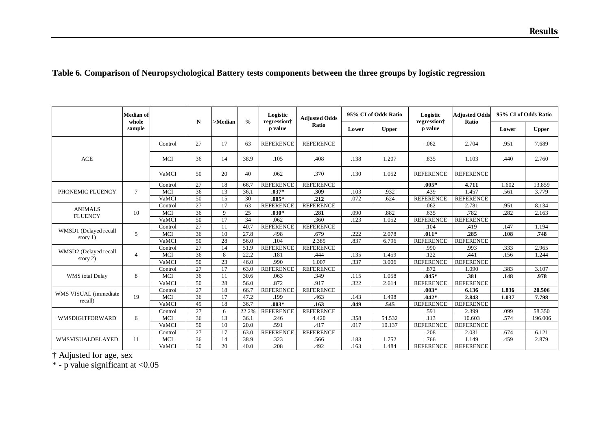## **Table 6. Comparison of Neuropsychological Battery tests components between the three groups by logistic regression**

|                                     | <b>Median</b> of<br>whole |              | N               | $>$ Median  | $\frac{0}{0}$ | Logistic<br>regression <sup>+</sup> | <b>Adjusted Odds</b> |       | 95% CI of Odds Ratio | Logistic<br>regression <sup>†</sup> | <b>Adiusted Odds</b><br>Ratio | 95% CI of Odds Ratio |              |
|-------------------------------------|---------------------------|--------------|-----------------|-------------|---------------|-------------------------------------|----------------------|-------|----------------------|-------------------------------------|-------------------------------|----------------------|--------------|
|                                     | sample                    |              |                 |             |               | p value                             | Ratio                | Lower | <b>Upper</b>         | p value                             |                               | Lower                | <b>Upper</b> |
|                                     |                           | Control      | 27              | 17          | 63            | <b>REFERENCE</b>                    | <b>REFERENCE</b>     |       |                      | .062                                | 2.704                         | .951                 | 7.689        |
| <b>ACE</b>                          |                           | MCI          | 36              | 14          | 38.9          | .105                                | .408                 | .138  | 1.207                | .835                                | 1.103                         | .440                 | 2.760        |
|                                     |                           | VaMCI        | 50              | 20          | 40            | .062                                | .370                 | .130  | 1.052                | <b>REFERENCE</b>                    | <b>REFERENCE</b>              |                      |              |
|                                     |                           | Control      | 27              | 18          | 66.7          | <b>REFERENCE</b>                    | <b>REFERENCE</b>     |       |                      | $.005*$                             | 4.711                         | 1.602                | 13.859       |
| PHONEMIC FLUENCY                    | $\tau$                    | MCI          | 36              | 13          | 36.1          | $.037*$                             | .309                 | .103  | .932                 | .439                                | 1.457                         | .561                 | 3.779        |
|                                     |                           | VaMCI        | 50              | 15          | 30            | $.005*$                             | .212                 | .072  | .624                 | <b>REFERENCE</b>                    | <b>REFERENCE</b>              |                      |              |
| <b>ANIMALS</b>                      |                           | Control      | 27              | 17          | 63            | <b>REFERENCE</b>                    | <b>REFERENCE</b>     |       |                      | .062                                | 2.781                         | .951                 | 8.134        |
| 10<br><b>FLUENCY</b>                |                           | MCI          | 36              | $\mathbf Q$ | 25            | $.030*$                             | .281                 | .090  | .882                 | .635                                | .782                          | .282                 | 2.163        |
|                                     |                           | VaMCI        | 50              | 17          | 34            | .062                                | .360                 | .123  | 1.052                | <b>REFERENCE</b>                    | <b>REFERENCE</b>              |                      |              |
|                                     |                           | Control      | 27              | 11          | 40.7          | <b>REFERENCE</b>                    | <b>REFERENCE</b>     |       |                      | .104                                | .419                          | .147                 | 1.194        |
| WMSD1 (Delayed recall<br>story $1)$ | 5                         | MCI          | 36              | 10          | 27.8          | .498                                | .679                 | .222  | 2.078                | $.011*$                             | .285                          | .108                 | .748         |
|                                     |                           | VaMCI        | 50              | 28          | 56.0          | .104                                | 2.385                | .837  | 6.796                | <b>REFERENCE</b>                    | <b>REFERENCE</b>              |                      |              |
| WMSD2 (Delayed recall               |                           | Control      | 27              | 14          | 51.9          | <b>REFERENCE</b>                    | <b>REFERENCE</b>     |       |                      | .990                                | .993                          | .333                 | 2.965        |
| story $2)$                          | $\overline{4}$            | MCI          | 36              | 8           | 22.2          | .181                                | .444                 | .135  | 1.459                | .122                                | .441                          | .156                 | 1.244        |
|                                     |                           | VaMCI        | 50              | 23          | 46.0          | .990                                | 1.007                | .337  | 3.006                | <b>REFERENCE</b>                    | <b>REFERENCE</b>              |                      |              |
|                                     |                           | Control      | 27              | 17          | 63.0          | <b>REFERENCE</b>                    | <b>REFERENCE</b>     |       |                      | .872                                | 1.090                         | .383                 | 3.107        |
| WMS total Delay                     | 8                         | MCI          | 36              | 11          | 30.6          | .063                                | .349                 | .115  | 1.058                | $.045*$                             | .381                          | .148                 | .978         |
|                                     |                           | VaMCI        | 50              | 28          | 56.0          | .872                                | .917                 | .322  | 2.614                | <b>REFERENCE</b>                    | <b>REFERENCE</b>              |                      |              |
| WMS VISUAL (immediate               |                           | Control      | 27              | 18          | 66.7          | <b>REFERENCE</b>                    | <b>REFERENCE</b>     |       |                      | $.003*$                             | 6.136                         | 1.836                | 20.506       |
| recall)                             | 19                        | MCI          | 36              | 17          | 47.2          | .199                                | .463                 | .143  | 1.498                | $.042*$                             | 2.843                         | 1.037                | 7.798        |
|                                     |                           | <b>VaMCI</b> | 49              | 18          | 36.7          | $.003*$                             | .163                 | .049  | .545                 | <b>REFERENCE</b>                    | <b>REFERENCE</b>              |                      |              |
|                                     |                           | Control      | 27              | 6           | 22.2%         | <b>REFERENCE</b>                    | <b>REFERENCE</b>     |       |                      | .591                                | 2.399                         | .099                 | 58.350       |
| <b>WMSDIGITFORWARD</b>              | 6                         | MCI          | 36              | 13          | 36.1          | .246                                | 4.420                | .358  | 54.532               | .113                                | 10.603                        | .574                 | 196.006      |
|                                     |                           | VaMCI        | $\overline{50}$ | 10          | 20.0          | .591                                | .417                 | .017  | 10.137               | <b>REFERENCE</b>                    | <b>REFERENCE</b>              |                      |              |
|                                     |                           | Control      | 27              | 17          | 63.0          | <b>REFERENCE</b>                    | <b>REFERENCE</b>     |       |                      | .208                                | 2.031                         | .674                 | 6.121        |
| WMSVISUALDELAYED                    | 11                        | MCI          | 36              | 14          | 38.9          | .323                                | .566                 | .183  | 1.752                | .766                                | 1.149                         | .459                 | 2.879        |
|                                     |                           | VaMCI        | 50              | 20          | 40.0          | .208                                | .492                 | .163  | 1.484                | <b>REFERENCE</b>                    | <b>REFERENCE</b>              |                      |              |

† Adjusted for age, sex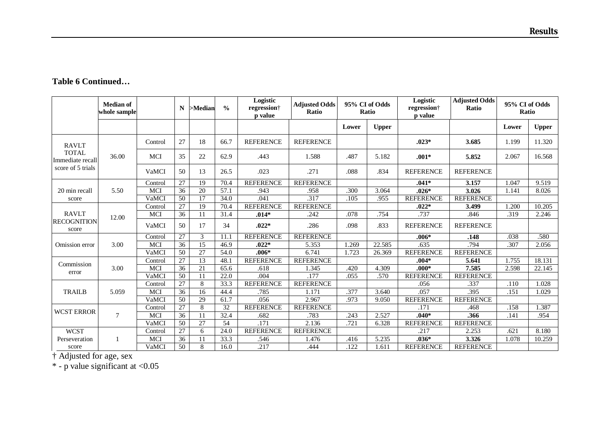|  | <b>Table 6 Continued</b> |
|--|--------------------------|
|--|--------------------------|

|                                  | <b>Median of</b><br>whole sample |            | N               | $>$ Median | $\frac{0}{0}$   | Logistic<br>regression <sup>+</sup><br>p value | <b>Adjusted Odds</b><br>Ratio |       | 95% CI of Odds<br>Ratio | Logistic<br>regression <sup>†</sup><br><b>p</b> value | <b>Adjusted Odds</b><br>Ratio | 95% CI of Odds<br>Ratio |              |
|----------------------------------|----------------------------------|------------|-----------------|------------|-----------------|------------------------------------------------|-------------------------------|-------|-------------------------|-------------------------------------------------------|-------------------------------|-------------------------|--------------|
|                                  |                                  |            |                 |            |                 |                                                |                               | Lower | <b>Upper</b>            |                                                       |                               | Lower                   | <b>Upper</b> |
| <b>RAVLT</b>                     |                                  | Control    | 27              | 18         | 66.7            | <b>REFERENCE</b>                               | <b>REFERENCE</b>              |       |                         | $.023*$                                               | 3.685                         | 1.199                   | 11.320       |
| <b>TOTAL</b><br>Immediate recall | 36.00                            | <b>MCI</b> | 35              | 22         | 62.9            | .443                                           | 1.588                         | .487  | 5.182                   | $.001*$                                               | 5.852                         | 2.067                   | 16.568       |
| score of 5 trials                |                                  | VaMCI      | 50              | 13         | 26.5            | .023                                           | .271                          | .088  | .834                    | <b>REFERENCE</b>                                      | <b>REFERENCE</b>              |                         |              |
|                                  |                                  | Control    | 27              | 19         | 70.4            | <b>REFERENCE</b>                               | <b>REFERENCE</b>              |       |                         | $.041*$                                               | 3.157                         | 1.047                   | 9.519        |
| 20 min recall                    | 5.50                             | <b>MCI</b> | 36              | 20         | 57.1            | .943                                           | .958                          | .300  | 3.064                   | $.026*$                                               | 3.026                         | 1.141                   | 8.026        |
| score                            |                                  | VaMCI      | 50              | 17         | 34.0            | .041                                           | .317                          | .105  | .955                    | <b>REFERENCE</b>                                      | <b>REFERENCE</b>              |                         |              |
|                                  |                                  | Control    | 27              | 19         | 70.4            | <b>REFERENCE</b>                               | <b>REFERENCE</b>              |       |                         | $.022*$                                               | 3.499                         | 1.200                   | 10.205       |
| <b>RAVLT</b>                     | 12.00                            | <b>MCI</b> | 36              | 11         | 31.4            | $.014*$                                        | .242                          | .078  | .754                    | .737                                                  | .846                          | .319                    | 2.246        |
| <b>RECOGNITION</b><br>score      |                                  | VaMCI      | 50              | 17         | 34              | $.022*$                                        | .286                          | .098  | .833                    | <b>REFERENCE</b>                                      | <b>REFERENCE</b>              |                         |              |
|                                  |                                  | Control    | 27              | 3          | 11.1            | <b>REFERENCE</b>                               | <b>REFERENCE</b>              |       |                         | $.006*$                                               | .148                          | .038                    | .580         |
| Omission error                   | 3.00                             | <b>MCI</b> | 36              | 15         | 46.9            | $.022*$                                        | 5.353                         | 1.269 | 22.585                  | .635                                                  | .794                          | .307                    | 2.056        |
|                                  |                                  | VaMCI      | 50              | 27         | 54.0            | $.006*$                                        | 6.741                         | 1.723 | 26.369                  | <b>REFERENCE</b>                                      | <b>REFERENCE</b>              |                         |              |
|                                  |                                  | Control    | $\overline{27}$ | 13         | 48.1            | <b>REFERENCE</b>                               | <b>REFERENCE</b>              |       |                         | $.004*$                                               | 5.641                         | 1.755                   | 18.131       |
| Commission                       | 3.00                             | <b>MCI</b> | 36              | 21         | 65.6            | .618                                           | 1.345                         | .420  | 4.309                   | $.000*$                                               | 7.585                         | 2.598                   | 22.145       |
| error                            |                                  | VaMCI      | 50              | 11         | 22.0            | .004                                           | .177                          | .055  | .570                    | <b>REFERENCE</b>                                      | <b>REFERENCE</b>              |                         |              |
|                                  |                                  | Control    | 27              | 8          | 33.3            | <b>REFERENCE</b>                               | <b>REFERENCE</b>              |       |                         | .056                                                  | .337                          | .110                    | 1.028        |
| <b>TRAILB</b>                    | 5.059                            | <b>MCI</b> | 36              | 16         | 44.4            | .785                                           | 1.171                         | .377  | 3.640                   | .057                                                  | .395                          | .151                    | 1.029        |
|                                  |                                  | VaMCI      | 50              | 29         | 61.7            | .056                                           | 2.967                         | .973  | 9.050                   | <b>REFERENCE</b>                                      | <b>REFERENCE</b>              |                         |              |
| <b>WCST ERROR</b>                |                                  | Control    | 27              | 8          | $\overline{32}$ | <b>REFERENCE</b>                               | <b>REFERENCE</b>              |       |                         | .171                                                  | .468                          | .158                    | 1.387        |
|                                  | $\overline{7}$                   | <b>MCI</b> | 36              | 11         | 32.4            | .682                                           | .783                          | .243  | 2.527                   | $.040*$                                               | .366                          | .141                    | .954         |
|                                  |                                  | VaMCI      | 50              | 27         | 54              | .171                                           | 2.136                         | .721  | 6.328                   | <b>REFERENCE</b>                                      | <b>REFERENCE</b>              |                         |              |
| <b>WCST</b>                      |                                  | Control    | 27              | 6          | 24.0            | <b>REFERENCE</b>                               | <b>REFERENCE</b>              |       |                         | .217                                                  | 2.253                         | .621                    | 8.180        |
| Perseveration                    |                                  | <b>MCI</b> | 36              | 11         | 33.3            | .546                                           | 1.476                         | .416  | 5.235                   | $.036*$                                               | 3.326                         | 1.078                   | 10.259       |
| score                            |                                  | VaMCI      | 50              | 8          | 16.0            | .217                                           | .444                          | .122  | 1.611                   | <b>REFERENCE</b>                                      | <b>REFERENCE</b>              |                         |              |

† Adjusted for age, sex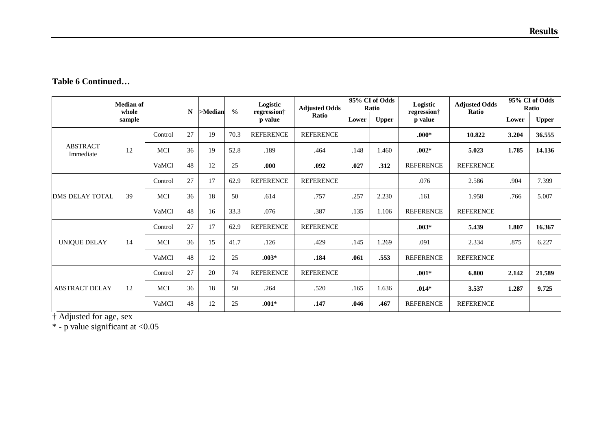|                              | <b>Median of</b><br>whole |            | N  | >Median | $\frac{0}{0}$ | Logistic<br>regression <sup>+</sup> | <b>Adjusted Odds</b> |       | 95% CI of Odds<br>Ratio | Logistic         | <b>Adjusted Odds</b><br>regression <sup>†</sup><br>Ratio |       | 95% CI of Odds<br>Ratio |
|------------------------------|---------------------------|------------|----|---------|---------------|-------------------------------------|----------------------|-------|-------------------------|------------------|----------------------------------------------------------|-------|-------------------------|
|                              | sample                    |            |    |         |               | p value                             | Ratio                | Lower | <b>Upper</b>            | p value          |                                                          | Lower | <b>Upper</b>            |
|                              |                           | Control    | 27 | 19      | 70.3          | <b>REFERENCE</b>                    | <b>REFERENCE</b>     |       |                         | $.000*$          | 10.822                                                   | 3.204 | 36.555                  |
| <b>ABSTRACT</b><br>Immediate | 12                        | <b>MCI</b> | 36 | 19      | 52.8          | .189                                | .464                 | .148  | 1.460                   | $.002*$          | 5.023                                                    | 1.785 | 14.136                  |
|                              |                           | VaMCI      | 48 | 12      | 25            | .000                                | .092                 | .027  | .312                    | <b>REFERENCE</b> | <b>REFERENCE</b>                                         |       |                         |
|                              | 39                        | Control    | 27 | 17      | 62.9          | <b>REFERENCE</b>                    | <b>REFERENCE</b>     |       |                         | .076             | 2.586                                                    | .904  | 7.399                   |
| <b>DMS DELAY TOTAL</b>       |                           | MCI        | 36 | 18      | 50            | .614                                | .757                 | .257  | 2.230                   | .161             | 1.958                                                    | .766  | 5.007                   |
|                              |                           | VaMCI      | 48 | 16      | 33.3          | .076                                | .387                 | .135  | 1.106                   | <b>REFERENCE</b> | <b>REFERENCE</b>                                         |       |                         |
|                              |                           | Control    | 27 | 17      | 62.9          | <b>REFERENCE</b>                    | <b>REFERENCE</b>     |       |                         | $.003*$          | 5.439                                                    | 1.807 | 16.367                  |
| <b>UNIQUE DELAY</b>          | 14                        | MCI        | 36 | 15      | 41.7          | .126                                | .429                 | .145  | 1.269                   | .091             | 2.334                                                    | .875  | 6.227                   |
|                              |                           | VaMCI      | 48 | 12      | 25            | $.003*$                             | .184                 | .061  | .553                    | <b>REFERENCE</b> | <b>REFERENCE</b>                                         |       |                         |
| <b>ABSTRACT DELAY</b>        |                           | Control    | 27 | 20      | 74            | <b>REFERENCE</b>                    | <b>REFERENCE</b>     |       |                         | $.001*$          | 6.800                                                    | 2.142 | 21.589                  |
|                              | 12                        | MCI        | 36 | 18      | 50            | .264                                | .520                 | .165  | 1.636                   | $.014*$          | 3.537                                                    | 1.287 | 9.725                   |
|                              |                           | VaMCI      | 48 | 12      | 25            | $.001*$                             | .147                 | .046  | .467                    | <b>REFERENCE</b> | <b>REFERENCE</b>                                         |       |                         |

† Adjusted for age, sex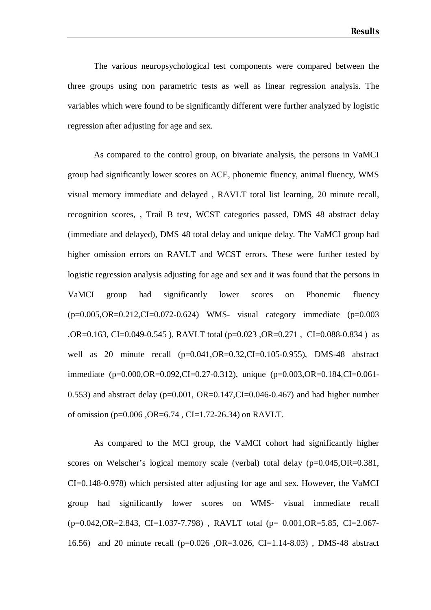The various neuropsychological test components were compared between the three groups using non parametric tests as well as linear regression analysis. The variables which were found to be significantly different were further analyzed by logistic regression after adjusting for age and sex.

As compared to the control group, on bivariate analysis, the persons in VaMCI group had significantly lower scores on ACE, phonemic fluency, animal fluency, WMS visual memory immediate and delayed , RAVLT total list learning, 20 minute recall, recognition scores, , Trail B test, WCST categories passed, DMS 48 abstract delay (immediate and delayed), DMS 48 total delay and unique delay. The VaMCI group had higher omission errors on RAVLT and WCST errors. These were further tested by logistic regression analysis adjusting for age and sex and it was found that the persons in VaMCI group had significantly lower scores on Phonemic fluency  $(p=0.005, OR=0.212, CI=0.072-0.624)$  WMS- visual category immediate  $(p=0.003$ ,OR=0.163, CI=0.049-0.545 ), RAVLT total (p=0.023 ,OR=0.271 , CI=0.088-0.834 ) as well as 20 minute recall (p=0.041,OR=0.32,CI=0.105-0.955), DMS-48 abstract immediate (p=0.000,OR=0.092,CI=0.27-0.312), unique (p=0.003,OR=0.184,CI=0.061- 0.553) and abstract delay ( $p=0.001$ , OR=0.147,CI=0.046-0.467) and had higher number of omission (p=0.006 ,OR=6.74 , CI=1.72-26.34) on RAVLT.

As compared to the MCI group, the VaMCI cohort had significantly higher scores on Welscher's logical memory scale (verbal) total delay (p=0.045,OR=0.381, CI=0.148-0.978) which persisted after adjusting for age and sex. However, the VaMCI group had significantly lower scores on WMS- visual immediate recall (p=0.042,OR=2.843, CI=1.037-7.798) , RAVLT total (p= 0.001,OR=5.85, CI=2.067- 16.56) and 20 minute recall (p=0.026 ,OR=3.026, CI=1.14-8.03) , DMS-48 abstract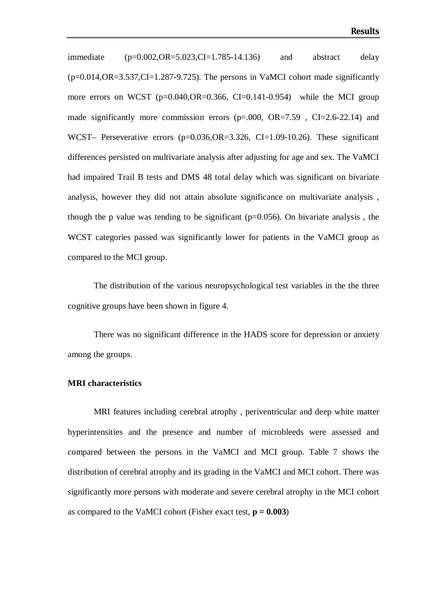immediate (p=0.002,OR=5.023,CI=1.785-14.136) and abstract delay  $(p=0.014, OR=3.537, CI=1.287-9.725)$ . The persons in VaMCI cohort made significantly more errors on WCST ( $p=0.040$ , $OR=0.366$ , CI $=0.141$ - $0.954$ ) while the MCI group made significantly more commission errors  $(p=.000, OR=7.59, CL=2.6-22.14)$  and WCST– Perseverative errors (p=0.036, OR=3.326, CI=1.09-10.26). These significant differences persisted on multivariate analysis after adjusting for age and sex. The VaMCI had impaired Trail B tests and DMS 48 total delay which was significant on bivariate analysis, however they did not attain absolute significance on multivariate analysis , though the p value was tending to be significant  $(p=0.056)$ . On bivariate analysis, the WCST categories passed was significantly lower for patients in the VaMCI group as compared to the MCI group.

The distribution of the various neuropsychological test variables in the the three cognitive groups have been shown in figure 4.

There was no significant difference in the HADS score for depression or anxiety among the groups.

#### **MRI characteristics**

MRI features including cerebral atrophy , periventricular and deep white matter hyperintensities and the presence and number of microbleeds were assessed and compared between the persons in the VaMCI and MCI group. Table 7 shows the distribution of cerebral atrophy and its grading in the VaMCI and MCI cohort. There was significantly more persons with moderate and severe cerebral atrophy in the MCI cohort as compared to the VaMCI cohort (Fisher exact test,  $p = 0.003$ )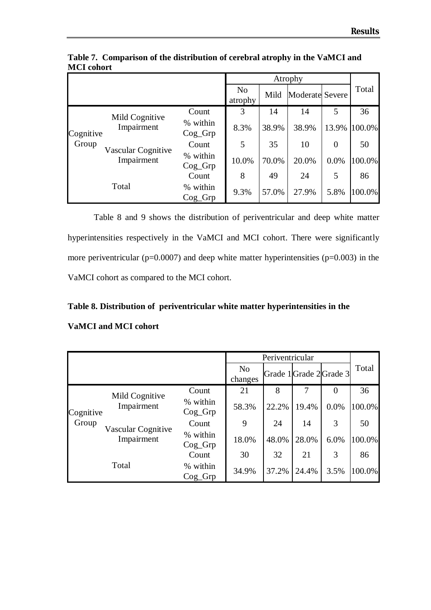|           |                                  |                       |                           |       | Atrophy                |                |        |
|-----------|----------------------------------|-----------------------|---------------------------|-------|------------------------|----------------|--------|
|           |                                  |                       | N <sub>o</sub><br>atrophy | Mild  | <b>Moderate Severe</b> |                | Total  |
|           |                                  | Count                 | 3                         | 14    | 14                     | 5              | 36     |
| Cognitive | Mild Cognitive<br>Impairment     | % within<br>$Cog_G$   | 8.3%                      | 38.9% | 38.9%                  | 13.9%          | 100.0% |
| Group     |                                  | Count                 | 5                         | 35    | 10                     | $\overline{0}$ | 50     |
|           | Vascular Cognitive<br>Impairment | % within<br>$Cog_G$   | 10.0%                     | 70.0% | 20.0%                  | 0.0%           | 100.0% |
|           |                                  | Count                 | 8                         | 49    | 24                     | 5              | 86     |
|           | Total                            | % within<br>$Cog_Grp$ | 9.3%                      | 57.0% | 27.9%                  | 5.8%           | 100.0% |

**Table 7. Comparison of the distribution of cerebral atrophy in the VaMCI and MCI cohort**

Table 8 and 9 shows the distribution of periventricular and deep white matter hyperintensities respectively in the VaMCI and MCI cohort. There were significantly more periventricular ( $p=0.0007$ ) and deep white matter hyperintensities ( $p=0.003$ ) in the VaMCI cohort as compared to the MCI cohort.

## **Table 8. Distribution of periventricular white matter hyperintensities in the**

## **VaMCI and MCI cohort**

|           |                                  |                       | Periventricular           |                         |       |                |        |
|-----------|----------------------------------|-----------------------|---------------------------|-------------------------|-------|----------------|--------|
|           |                                  |                       | N <sub>o</sub><br>changes | Grade 1 Grade 2 Grade 3 |       |                | Total  |
|           |                                  | Count                 | 21                        | 8                       | 7     | $\overline{0}$ | 36     |
| Cognitive | Mild Cognitive<br>Impairment     | % within<br>$Cog_G$   | 58.3%                     | 22.2%                   | 19.4% | 0.0%           | 100.0% |
| Group     |                                  | Count                 | 9                         | 24                      | 14    | 3              | 50     |
|           | Vascular Cognitive<br>Impairment | % within<br>$Cog_Grp$ | 18.0%                     | 48.0%                   | 28.0% | 6.0%           | 100.0% |
|           |                                  | Count                 | 30                        | 32                      | 21    | 3              | 86     |
|           | Total                            | % within<br>$Cog_G$   | 34.9%                     | 37.2%                   | 24.4% | 3.5%           | 100.0% |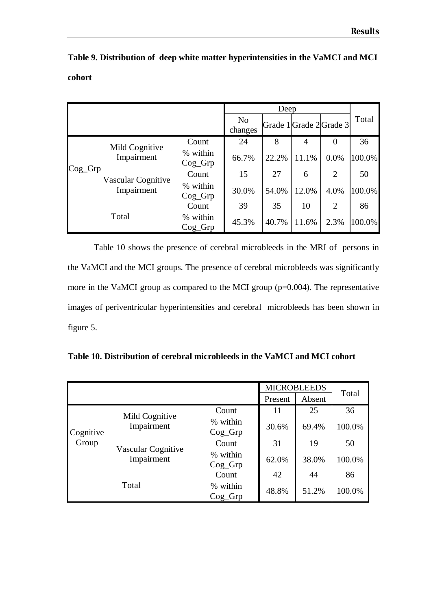|        | Table 9. Distribution of deep white matter hyperintensities in the VaMCI and MCI |
|--------|----------------------------------------------------------------------------------|
| cohort |                                                                                  |

|            |                                  |                       |                           | Deep  |       |                         |        |
|------------|----------------------------------|-----------------------|---------------------------|-------|-------|-------------------------|--------|
|            |                                  |                       | N <sub>o</sub><br>changes |       |       | Grade 1 Grade 2 Grade 3 | Total  |
|            |                                  | Count                 | 24                        | 8     | 4     | $\theta$                | 36     |
|            | Mild Cognitive<br>Impairment     | % within<br>$Cog_Grp$ | 66.7%                     | 22.2% | 11.1% | 0.0%                    | 100.0% |
| $Cog_G$ rp |                                  | Count                 | 15                        | 27    | 6     | $\overline{2}$          | 50     |
|            | Vascular Cognitive<br>Impairment | % within<br>$Cog_G$   | 30.0%                     | 54.0% | 12.0% | 4.0%                    | 100.0% |
|            |                                  | Count                 | 39                        | 35    | 10    | 2                       | 86     |
|            | Total                            | % within<br>$Cog_G$   | 45.3%                     | 40.7% | 11.6% | 2.3%                    | 100.0% |

Table 10 shows the presence of cerebral microbleeds in the MRI of persons in the VaMCI and the MCI groups. The presence of cerebral microbleeds was significantly more in the VaMCI group as compared to the MCI group (p=0.004). The representative images of periventricular hyperintensities and cerebral microbleeds has been shown in figure 5.

|           |                    |                       |                   | <b>MICROBLEEDS</b> |        |
|-----------|--------------------|-----------------------|-------------------|--------------------|--------|
|           |                    |                       | Absent<br>Present |                    | Total  |
|           | Mild Cognitive     | Count                 | 11                | 25                 | 36     |
| Cognitive | Impairment         | % within<br>$Cog_Grp$ | 30.6%             | 69.4%              | 100.0% |
| Group     | Vascular Cognitive | Count                 | 31                | 19                 | 50     |
|           | Impairment         | % within<br>$Cog_Grp$ | 62.0%             | 38.0%              | 100.0% |
|           |                    | Count                 | 42                | 44                 | 86     |
|           | Total              | % within<br>$Cog_Grp$ | 48.8%             | 51.2%              | 100.0% |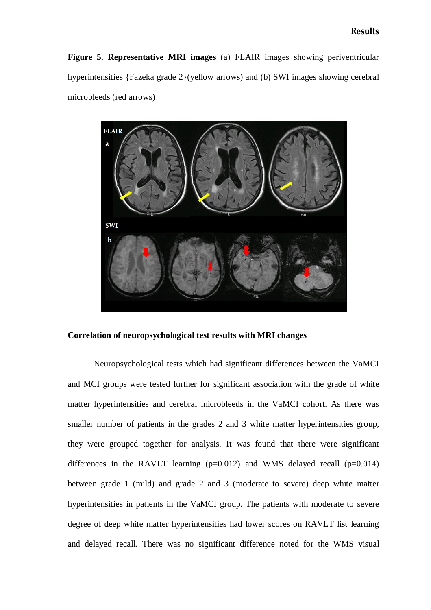**Figure 5. Representative MRI images** (a) FLAIR images showing periventricular hyperintensities {Fazeka grade 2}(yellow arrows) and (b) SWI images showing cerebral microbleeds (red arrows)



#### **Correlation of neuropsychological test results with MRI changes**

Neuropsychological tests which had significant differences between the VaMCI and MCI groups were tested further for significant association with the grade of white matter hyperintensities and cerebral microbleeds in the VaMCI cohort. As there was smaller number of patients in the grades 2 and 3 white matter hyperintensities group, they were grouped together for analysis. It was found that there were significant differences in the RAVLT learning  $(p=0.012)$  and WMS delayed recall  $(p=0.014)$ between grade 1 (mild) and grade 2 and 3 (moderate to severe) deep white matter hyperintensities in patients in the VaMCI group. The patients with moderate to severe degree of deep white matter hyperintensities had lower scores on RAVLT list learning and delayed recall. There was no significant difference noted for the WMS visual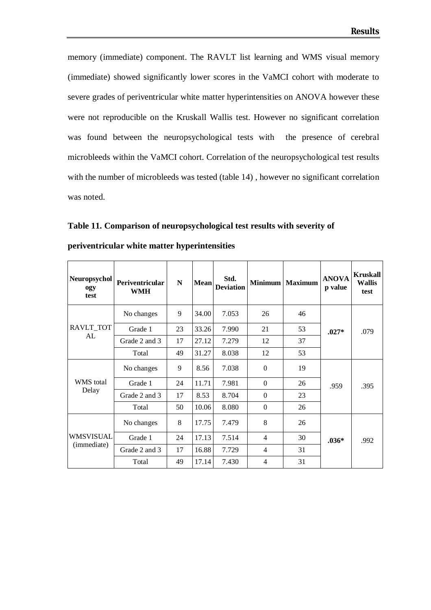memory (immediate) component. The RAVLT list learning and WMS visual memory (immediate) showed significantly lower scores in the VaMCI cohort with moderate to severe grades of periventricular white matter hyperintensities on ANOVA however these were not reproducible on the Kruskall Wallis test. However no significant correlation was found between the neuropsychological tests with the presence of cerebral microbleeds within the VaMCI cohort. Correlation of the neuropsychological test results with the number of microbleeds was tested (table 14) , however no significant correlation was noted.

**Table 11. Comparison of neuropsychological test results with severity of** 

| Neuropsychol<br>ogy<br>test     | Periventricular<br><b>WMH</b> | $\mathbf N$ | <b>Mean</b> | Std.<br><b>Deviation</b> |                | Minimum   Maximum | <b>ANOVA</b><br>p value | <b>Kruskall</b><br><b>Wallis</b><br>test |
|---------------------------------|-------------------------------|-------------|-------------|--------------------------|----------------|-------------------|-------------------------|------------------------------------------|
|                                 | No changes                    | 9           | 34.00       | 7.053                    | 26             | 46                |                         |                                          |
| RAVLT TOT                       | Grade 1                       | 23          | 33.26       | 7.990                    | 21             | 53                | $.027*$                 | .079                                     |
| AL                              | Grade 2 and 3                 | 17          | 27.12       | 7.279                    | 12             | 37                |                         |                                          |
|                                 | Total                         | 49          | 31.27       | 8.038                    | 12             | 53                |                         |                                          |
|                                 | No changes                    | 9           | 8.56        | 7.038                    | $\Omega$       | 19                |                         |                                          |
| WMS total                       | Grade 1                       | 24          | 11.71       | 7.981                    | $\theta$       | 26                | .959                    | .395                                     |
| Delay                           | Grade 2 and 3                 | 17          | 8.53        | 8.704                    | $\theta$       | 23                |                         |                                          |
|                                 | Total                         | 50          | 10.06       | 8.080                    | $\Omega$       | 26                |                         |                                          |
| <b>WMSVISUAL</b><br>(immediate) | No changes                    | 8           | 17.75       | 7.479                    | 8              | 26                |                         |                                          |
|                                 | Grade 1                       | 24          | 17.13       | 7.514                    | $\overline{4}$ | 30                | $.036*$                 | .992                                     |
|                                 | Grade 2 and 3                 | 17          | 16.88       | 7.729                    | $\overline{4}$ | 31                |                         |                                          |
|                                 | Total                         | 49          | 17.14       | 7.430                    | $\overline{4}$ | 31                |                         |                                          |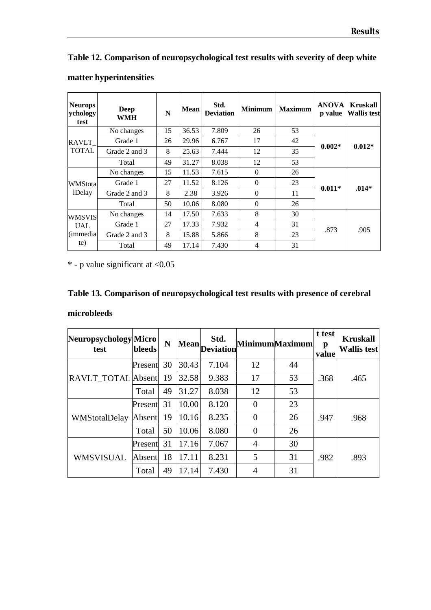## **Table 12. Comparison of neuropsychological test results with severity of deep white**

| <b>Neurops</b><br>ychology<br>test    | Deep<br><b>WMH</b> | ${\bf N}$ | <b>Mean</b> | Std.<br><b>Deviation</b> | <b>Minimum</b> | <b>Maximum</b> | <b>ANOVA</b><br>p value | <b>Kruskall</b><br><b>Wallis test</b> |
|---------------------------------------|--------------------|-----------|-------------|--------------------------|----------------|----------------|-------------------------|---------------------------------------|
|                                       | No changes         | 15        | 36.53       | 7.809                    | 26             | 53             |                         | $0.012*$                              |
| RAVLT                                 | Grade 1            | 26        | 29.96       | 6.767                    | 17             | 42             | $0.002*$                |                                       |
| <b>TOTAL</b>                          | Grade 2 and 3      | 8         | 25.63       | 7.444                    | 12             | 35             |                         |                                       |
|                                       | Total              | 49        | 31.27       | 8.038                    | 12             | 53             |                         |                                       |
|                                       | No changes         | 15        | 11.53       | 7.615                    | $\Omega$       | 26             |                         |                                       |
| WMStotal                              | Grade 1            | 27        | 11.52       | 8.126                    | $\Omega$       | 23             | $0.011*$                | .014*                                 |
| <b>IDelay</b>                         | Grade 2 and 3      | 8         | 2.38        | 3.926                    | $\theta$       | 11             |                         |                                       |
|                                       | Total              | 50        | 10.06       | 8.080                    | $\Omega$       | 26             |                         |                                       |
| <b>WMSVIS</b>                         | No changes         | 14        | 17.50       | 7.633                    | 8              | 30             |                         |                                       |
| <b>UAL</b><br><i>(immedia)</i><br>te) | Grade 1            | 27        | 17.33       | 7.932                    | 4              | 31             |                         |                                       |
|                                       | Grade 2 and 3      | 8         | 15.88       | 5.866                    | 8              | 23             | .873                    | .905                                  |
|                                       | Total              | 49        | 17.14       | 7.430                    | 4              | 31             |                         |                                       |

## **matter hyperintensities**

 $*$  - p value significant at  $< 0.05$ 

## **Table 13. Comparison of neuropsychological test results with presence of cerebral**

#### **microbleeds**

| Neuropsychology Micro<br>test | <b>bleeds</b> | N  |       | Std.<br>$ \text{Mean} $ Deviation |                | <b>MinimumMaximum</b> | t test<br>p<br>value | <b>Kruskall</b><br><b>Wallis test</b> |
|-------------------------------|---------------|----|-------|-----------------------------------|----------------|-----------------------|----------------------|---------------------------------------|
| <b>RAVLT TOTAL</b> Absent     | Present       | 30 | 30.43 | 7.104                             | 12             | 44                    | .368                 | .465                                  |
|                               |               | 19 | 32.58 | 9.383                             | 17             | 53                    |                      |                                       |
|                               | Total         | 49 | 31.27 | 8.038                             | 12             | 53                    |                      |                                       |
| WMStotalDelay                 | Present       | 31 | 10.00 | 8.120                             | $\Omega$       | 23                    |                      |                                       |
|                               | Absent        | 19 | 10.16 | 8.235                             | $\Omega$       | 26                    | .947                 | .968                                  |
|                               | Total         | 50 | 10.06 | 8.080                             | $\Omega$       | 26                    |                      |                                       |
| <b>WMSVISUAL</b>              | Present       | 31 | 17.16 | 7.067                             | $\overline{4}$ | 30                    |                      |                                       |
|                               | Absent        | 18 | 17.11 | 8.231                             | 5              | 31                    | .982                 | .893                                  |
|                               | Total         | 49 | 17.14 | 7.430                             | $\overline{4}$ | 31                    |                      |                                       |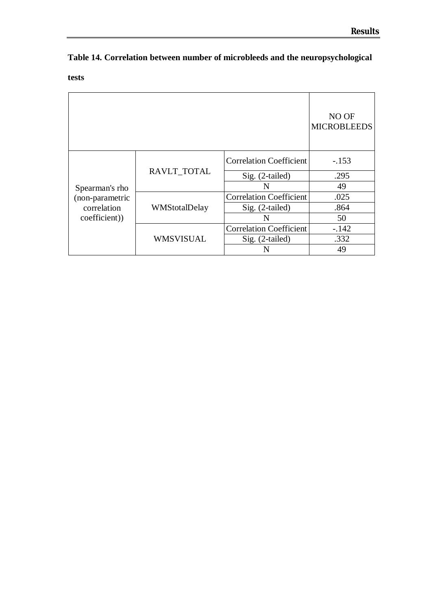|  |  |  | Table 14. Correlation between number of microbleeds and the neuropsychological |
|--|--|--|--------------------------------------------------------------------------------|
|--|--|--|--------------------------------------------------------------------------------|

**tests**

|                                                                  |               |                                | NO OF<br><b>MICROBLEEDS</b> |
|------------------------------------------------------------------|---------------|--------------------------------|-----------------------------|
| Spearman's rho<br>(non-parametric<br>correlation<br>coefficient) |               | <b>Correlation Coefficient</b> | $-.153$                     |
|                                                                  | RAVLT_TOTAL   | Sig. (2-tailed)                | .295                        |
|                                                                  |               | N                              | 49                          |
|                                                                  |               | <b>Correlation Coefficient</b> | .025                        |
|                                                                  | WMStotalDelay | Sig. (2-tailed)                | .864                        |
|                                                                  |               | N                              | 50                          |
|                                                                  |               | <b>Correlation Coefficient</b> | $-.142$                     |
|                                                                  | WMSVISUAL     | Sig. (2-tailed)                | .332                        |
|                                                                  |               |                                | 49                          |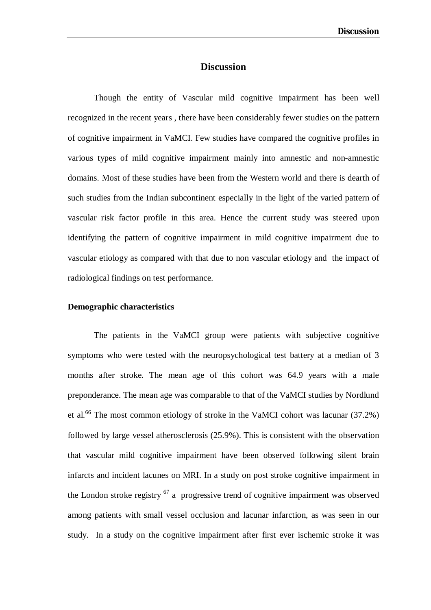## **Discussion**

Though the entity of Vascular mild cognitive impairment has been well recognized in the recent years , there have been considerably fewer studies on the pattern of cognitive impairment in VaMCI. Few studies have compared the cognitive profiles in various types of mild cognitive impairment mainly into amnestic and non-amnestic domains. Most of these studies have been from the Western world and there is dearth of such studies from the Indian subcontinent especially in the light of the varied pattern of vascular risk factor profile in this area. Hence the current study was steered upon identifying the pattern of cognitive impairment in mild cognitive impairment due to vascular etiology as compared with that due to non vascular etiology and the impact of radiological findings on test performance.

#### **Demographic characteristics**

The patients in the VaMCI group were patients with subjective cognitive symptoms who were tested with the neuropsychological test battery at a median of 3 months after stroke. The mean age of this cohort was 64.9 years with a male preponderance. The mean age was comparable to that of the VaMCI studies by Nordlund et al.<sup>66</sup> The most common etiology of stroke in the VaMCI cohort was lacunar (37.2%) followed by large vessel atherosclerosis (25.9%). This is consistent with the observation that vascular mild cognitive impairment have been observed following silent brain infarcts and incident lacunes on MRI. In a study on post stroke cognitive impairment in the London stroke registry  $67$  a progressive trend of cognitive impairment was observed among patients with small vessel occlusion and lacunar infarction, as was seen in our study. In a study on the cognitive impairment after first ever ischemic stroke it was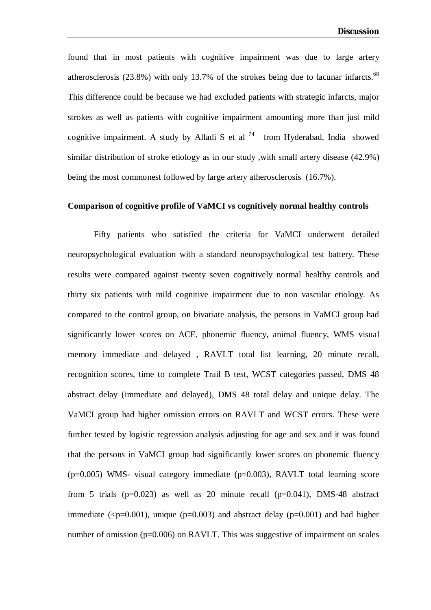found that in most patients with cognitive impairment was due to large artery atherosclerosis  $(23.8\%)$  with only 13.7% of the strokes being due to lacunar infarcts.<sup>68</sup> This difference could be because we had excluded patients with strategic infarcts, major strokes as well as patients with cognitive impairment amounting more than just mild cognitive impairment. A study by Alladi S et al  $^{74}$  from Hyderabad, India showed similar distribution of stroke etiology as in our study ,with small artery disease (42.9%) being the most commonest followed by large artery atherosclerosis (16.7%).

#### **Comparison of cognitive profile of VaMCI vs cognitively normal healthy controls**

Fifty patients who satisfied the criteria for VaMCI underwent detailed neuropsychological evaluation with a standard neuropsychological test battery. These results were compared against twenty seven cognitively normal healthy controls and thirty six patients with mild cognitive impairment due to non vascular etiology. As compared to the control group, on bivariate analysis, the persons in VaMCI group had significantly lower scores on ACE, phonemic fluency, animal fluency, WMS visual memory immediate and delayed , RAVLT total list learning, 20 minute recall, recognition scores, time to complete Trail B test, WCST categories passed, DMS 48 abstract delay (immediate and delayed), DMS 48 total delay and unique delay. The VaMCI group had higher omission errors on RAVLT and WCST errors. These were further tested by logistic regression analysis adjusting for age and sex and it was found that the persons in VaMCI group had significantly lower scores on phonemic fluency  $(p=0.005)$  WMS- visual category immediate  $(p=0.003)$ , RAVLT total learning score from 5 trials  $(p=0.023)$  as well as 20 minute recall  $(p=0.041)$ , DMS-48 abstract immediate ( $\leq p=0.001$ ), unique ( $p=0.003$ ) and abstract delay ( $p=0.001$ ) and had higher number of omission (p=0.006) on RAVLT. This was suggestive of impairment on scales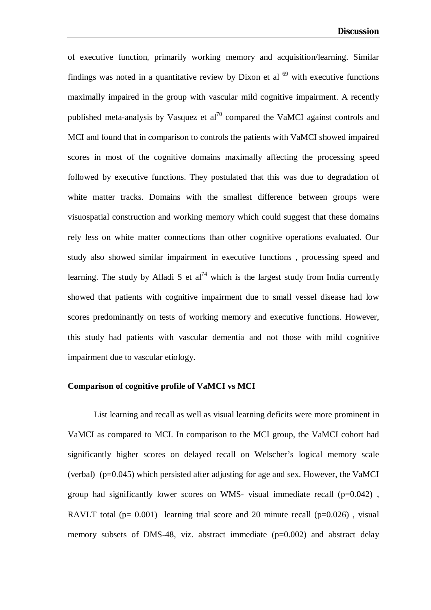of executive function, primarily working memory and acquisition/learning. Similar findings was noted in a quantitative review by Dixon et al  $^{69}$  with executive functions maximally impaired in the group with vascular mild cognitive impairment. A recently published meta-analysis by Vasquez et  $al^{70}$  compared the VaMCI against controls and MCI and found that in comparison to controls the patients with VaMCI showed impaired scores in most of the cognitive domains maximally affecting the processing speed followed by executive functions. They postulated that this was due to degradation of white matter tracks. Domains with the smallest difference between groups were visuospatial construction and working memory which could suggest that these domains rely less on white matter connections than other cognitive operations evaluated. Our study also showed similar impairment in executive functions , processing speed and learning. The study by Alladi S et  $al^{74}$  which is the largest study from India currently showed that patients with cognitive impairment due to small vessel disease had low scores predominantly on tests of working memory and executive functions. However, this study had patients with vascular dementia and not those with mild cognitive impairment due to vascular etiology.

#### **Comparison of cognitive profile of VaMCI vs MCI**

List learning and recall as well as visual learning deficits were more prominent in VaMCI as compared to MCI. In comparison to the MCI group, the VaMCI cohort had significantly higher scores on delayed recall on Welscher's logical memory scale (verbal) ( $p=0.045$ ) which persisted after adjusting for age and sex. However, the VaMCI group had significantly lower scores on WMS- visual immediate recall  $(p=0.042)$ , RAVLT total ( $p= 0.001$ ) learning trial score and 20 minute recall ( $p=0.026$ ), visual memory subsets of DMS-48, viz. abstract immediate (p=0.002) and abstract delay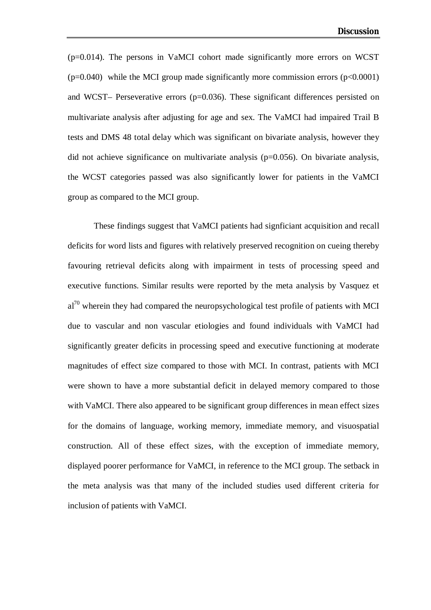(p=0.014). The persons in VaMCI cohort made significantly more errors on WCST  $(p=0.040)$  while the MCI group made significantly more commission errors  $(p<0.0001)$ and WCST– Perseverative errors  $(p=0.036)$ . These significant differences persisted on multivariate analysis after adjusting for age and sex. The VaMCI had impaired Trail B tests and DMS 48 total delay which was significant on bivariate analysis, however they did not achieve significance on multivariate analysis ( $p=0.056$ ). On bivariate analysis, the WCST categories passed was also significantly lower for patients in the VaMCI group as compared to the MCI group.

These findings suggest that VaMCI patients had signficiant acquisition and recall deficits for word lists and figures with relatively preserved recognition on cueing thereby favouring retrieval deficits along with impairment in tests of processing speed and executive functions. Similar results were reported by the meta analysis by Vasquez et  $al^{70}$  wherein they had compared the neuropsychological test profile of patients with MCI due to vascular and non vascular etiologies and found individuals with VaMCI had significantly greater deficits in processing speed and executive functioning at moderate magnitudes of effect size compared to those with MCI. In contrast, patients with MCI were shown to have a more substantial deficit in delayed memory compared to those with VaMCI. There also appeared to be significant group differences in mean effect sizes for the domains of language, working memory, immediate memory, and visuospatial construction. All of these effect sizes, with the exception of immediate memory, displayed poorer performance for VaMCI, in reference to the MCI group. The setback in the meta analysis was that many of the included studies used different criteria for inclusion of patients with VaMCI.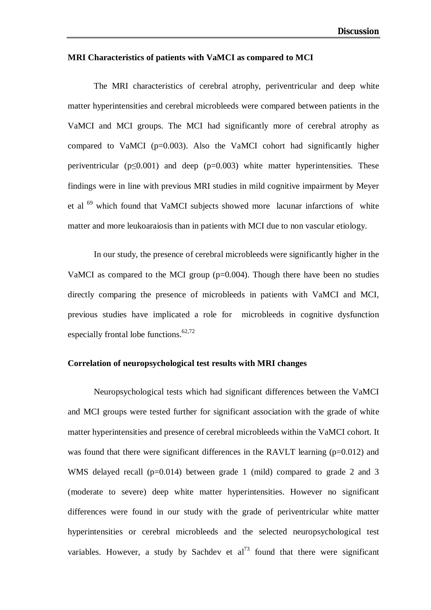#### **MRI Characteristics of patients with VaMCI as compared to MCI**

The MRI characteristics of cerebral atrophy, periventricular and deep white matter hyperintensities and cerebral microbleeds were compared between patients in the VaMCI and MCI groups. The MCI had significantly more of cerebral atrophy as compared to VaMCI (p=0.003). Also the VaMCI cohort had significantly higher periventricular ( $p \le 0.001$ ) and deep ( $p = 0.003$ ) white matter hyperintensities. These findings were in line with previous MRI studies in mild cognitive impairment by Meyer et al <sup>69</sup> which found that VaMCI subjects showed more lacunar infarctions of white matter and more leukoaraiosis than in patients with MCI due to non vascular etiology.

In our study, the presence of cerebral microbleeds were significantly higher in the VaMCI as compared to the MCI group  $(p=0.004)$ . Though there have been no studies directly comparing the presence of microbleeds in patients with VaMCI and MCI, previous studies have implicated a role for microbleeds in cognitive dysfunction especially frontal lobe functions. $62,72$ 

#### **Correlation of neuropsychological test results with MRI changes**

Neuropsychological tests which had significant differences between the VaMCI and MCI groups were tested further for significant association with the grade of white matter hyperintensities and presence of cerebral microbleeds within the VaMCI cohort. It was found that there were significant differences in the RAVLT learning  $(p=0.012)$  and WMS delayed recall (p=0.014) between grade 1 (mild) compared to grade 2 and 3 (moderate to severe) deep white matter hyperintensities. However no significant differences were found in our study with the grade of periventricular white matter hyperintensities or cerebral microbleeds and the selected neuropsychological test variables. However, a study by Sachdev et  $al^{73}$  found that there were significant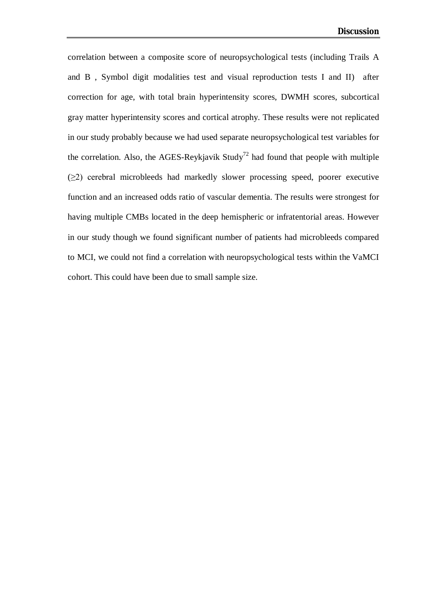correlation between a composite score of neuropsychological tests (including Trails A and B , Symbol digit modalities test and visual reproduction tests I and II) after correction for age, with total brain hyperintensity scores, DWMH scores, subcortical gray matter hyperintensity scores and cortical atrophy. These results were not replicated in our study probably because we had used separate neuropsychological test variables for the correlation. Also, the AGES-Reykjavik Study<sup>72</sup> had found that people with multiple (≥2) cerebral microbleeds had markedly slower processing speed, poorer executive function and an increased odds ratio of vascular dementia. The results were strongest for having multiple CMBs located in the deep hemispheric or infratentorial areas. However in our study though we found significant number of patients had microbleeds compared to MCI, we could not find a correlation with neuropsychological tests within the VaMCI cohort. This could have been due to small sample size.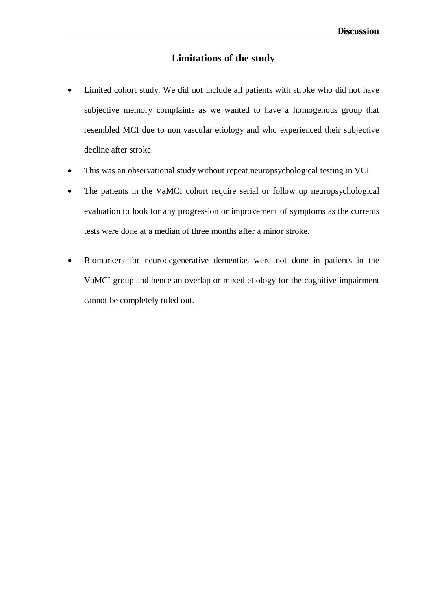## **Limitations of the study**

- Limited cohort study. We did not include all patients with stroke who did not have subjective memory complaints as we wanted to have a homogenous group that resembled MCI due to non vascular etiology and who experienced their subjective decline after stroke.
- This was an observational study without repeat neuropsychological testing in VCI
- The patients in the VaMCI cohort require serial or follow up neuropsychological evaluation to look for any progression or improvement of symptoms as the currents tests were done at a median of three months after a minor stroke.
- Biomarkers for neurodegenerative dementias were not done in patients in the VaMCI group and hence an overlap or mixed etiology for the cognitive impairment cannot be completely ruled out.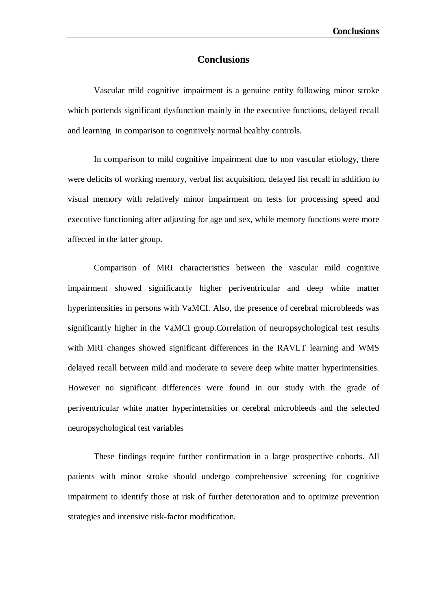## **Conclusions**

Vascular mild cognitive impairment is a genuine entity following minor stroke which portends significant dysfunction mainly in the executive functions, delayed recall and learning in comparison to cognitively normal healthy controls.

In comparison to mild cognitive impairment due to non vascular etiology, there were deficits of working memory, verbal list acquisition, delayed list recall in addition to visual memory with relatively minor impairment on tests for processing speed and executive functioning after adjusting for age and sex, while memory functions were more affected in the latter group.

Comparison of MRI characteristics between the vascular mild cognitive impairment showed significantly higher periventricular and deep white matter hyperintensities in persons with VaMCI. Also, the presence of cerebral microbleeds was significantly higher in the VaMCI group.Correlation of neuropsychological test results with MRI changes showed significant differences in the RAVLT learning and WMS delayed recall between mild and moderate to severe deep white matter hyperintensities. However no significant differences were found in our study with the grade of periventricular white matter hyperintensities or cerebral microbleeds and the selected neuropsychological test variables

These findings require further confirmation in a large prospective cohorts. All patients with minor stroke should undergo comprehensive screening for cognitive impairment to identify those at risk of further deterioration and to optimize prevention strategies and intensive risk-factor modification.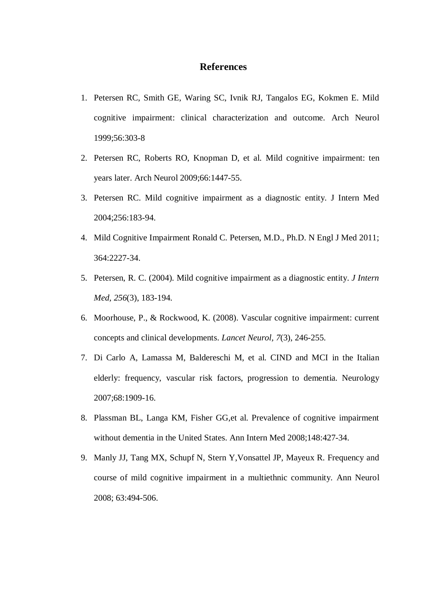## **References**

- 1. Petersen RC, Smith GE, Waring SC, Ivnik RJ, Tangalos EG, Kokmen E. Mild cognitive impairment: clinical characterization and outcome. Arch Neurol 1999;56:303-8
- 2. Petersen RC, Roberts RO, Knopman D, et al. Mild cognitive impairment: ten years later. Arch Neurol 2009;66:1447-55.
- 3. Petersen RC. Mild cognitive impairment as a diagnostic entity. J Intern Med 2004;256:183-94.
- 4. Mild Cognitive Impairment Ronald C. Petersen, M.D., Ph.D. N Engl J Med 2011; 364:2227-34.
- 5. Petersen, R. C. (2004). Mild cognitive impairment as a diagnostic entity. *J Intern Med, 256*(3), 183-194.
- 6. Moorhouse, P., & Rockwood, K. (2008). Vascular cognitive impairment: current concepts and clinical developments. *Lancet Neurol, 7*(3), 246-255.
- 7. Di Carlo A, Lamassa M, Baldereschi M, et al. CIND and MCI in the Italian elderly: frequency, vascular risk factors, progression to dementia. Neurology 2007;68:1909-16.
- 8. Plassman BL, Langa KM, Fisher GG,et al. Prevalence of cognitive impairment without dementia in the United States. Ann Intern Med 2008;148:427-34.
- 9. Manly JJ, Tang MX, Schupf N, Stern Y,Vonsattel JP, Mayeux R. Frequency and course of mild cognitive impairment in a multiethnic community. Ann Neurol 2008; 63:494-506.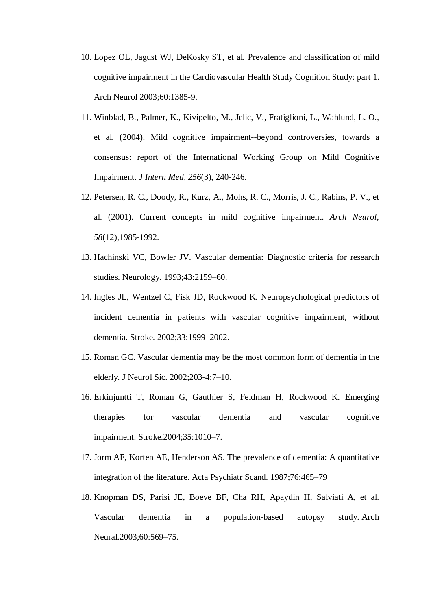- 10. Lopez OL, Jagust WJ, DeKosky ST, et al. Prevalence and classification of mild cognitive impairment in the Cardiovascular Health Study Cognition Study: part 1. Arch Neurol 2003;60:1385-9.
- 11. Winblad, B., Palmer, K., Kivipelto, M., Jelic, V., Fratiglioni, L., Wahlund, L. O., et al. (2004). Mild cognitive impairment--beyond controversies, towards a consensus: report of the International Working Group on Mild Cognitive Impairment. *J Intern Med, 256*(3), 240-246.
- 12. Petersen, R. C., Doody, R., Kurz, A., Mohs, R. C., Morris, J. C., Rabins, P. V., et al. (2001). Current concepts in mild cognitive impairment. *Arch Neurol, 58*(12),1985-1992.
- 13. Hachinski VC, Bowler JV. Vascular dementia: Diagnostic criteria for research studies. Neurology. 1993;43:2159–60.
- 14. Ingles JL, Wentzel C, Fisk JD, Rockwood K. Neuropsychological predictors of incident dementia in patients with vascular cognitive impairment, without dementia. Stroke. 2002;33:1999–2002.
- 15. Roman GC. Vascular dementia may be the most common form of dementia in the elderly. J Neurol Sic. 2002;203-4:7–10.
- 16. Erkinjuntti T, Roman G, Gauthier S, Feldman H, Rockwood K. Emerging therapies for vascular dementia and vascular cognitive impairment. Stroke.2004;35:1010–7.
- 17. Jorm AF, Korten AE, Henderson AS. The prevalence of dementia: A quantitative integration of the literature. Acta Psychiatr Scand. 1987;76:465–79
- 18. Knopman DS, Parisi JE, Boeve BF, Cha RH, Apaydin H, Salviati A, et al. Vascular dementia in a population-based autopsy study. Arch Neural.2003;60:569–75.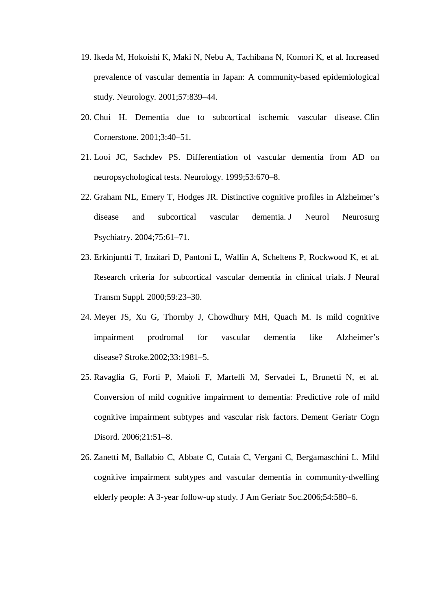- 19. Ikeda M, Hokoishi K, Maki N, Nebu A, Tachibana N, Komori K, et al. Increased prevalence of vascular dementia in Japan: A community-based epidemiological study. Neurology. 2001;57:839–44.
- 20. Chui H. Dementia due to subcortical ischemic vascular disease. Clin Cornerstone. 2001;3:40–51.
- 21. Looi JC, Sachdev PS. Differentiation of vascular dementia from AD on neuropsychological tests. Neurology. 1999;53:670–8.
- 22. Graham NL, Emery T, Hodges JR. Distinctive cognitive profiles in Alzheimer's disease and subcortical vascular dementia. J Neurol Neurosurg Psychiatry. 2004;75:61–71.
- 23. Erkinjuntti T, Inzitari D, Pantoni L, Wallin A, Scheltens P, Rockwood K, et al. Research criteria for subcortical vascular dementia in clinical trials. J Neural Transm Suppl. 2000;59:23–30.
- 24. Meyer JS, Xu G, Thornby J, Chowdhury MH, Quach M. Is mild cognitive impairment prodromal for vascular dementia like Alzheimer's disease? Stroke.2002;33:1981–5.
- 25. Ravaglia G, Forti P, Maioli F, Martelli M, Servadei L, Brunetti N, et al. Conversion of mild cognitive impairment to dementia: Predictive role of mild cognitive impairment subtypes and vascular risk factors. Dement Geriatr Cogn Disord. 2006;21:51–8.
- 26. Zanetti M, Ballabio C, Abbate C, Cutaia C, Vergani C, Bergamaschini L. Mild cognitive impairment subtypes and vascular dementia in community-dwelling elderly people: A 3-year follow-up study. J Am Geriatr Soc.2006;54:580–6.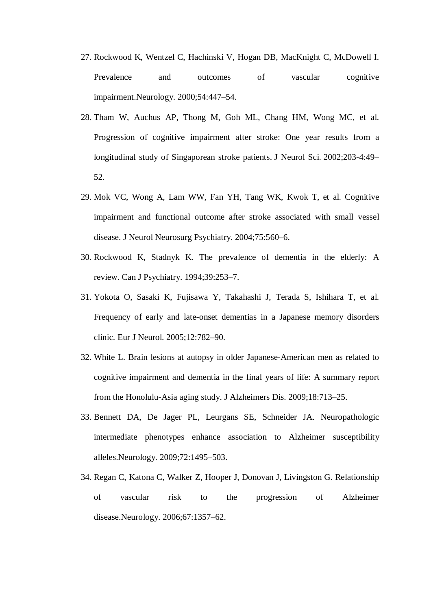- 27. Rockwood K, Wentzel C, Hachinski V, Hogan DB, MacKnight C, McDowell I. Prevalence and outcomes of vascular cognitive impairment.Neurology. 2000;54:447–54.
- 28. Tham W, Auchus AP, Thong M, Goh ML, Chang HM, Wong MC, et al. Progression of cognitive impairment after stroke: One year results from a longitudinal study of Singaporean stroke patients. J Neurol Sci. 2002;203-4:49– 52.
- 29. Mok VC, Wong A, Lam WW, Fan YH, Tang WK, Kwok T, et al. Cognitive impairment and functional outcome after stroke associated with small vessel disease. J Neurol Neurosurg Psychiatry. 2004;75:560–6.
- 30. Rockwood K, Stadnyk K. The prevalence of dementia in the elderly: A review. Can J Psychiatry. 1994;39:253–7.
- 31. Yokota O, Sasaki K, Fujisawa Y, Takahashi J, Terada S, Ishihara T, et al. Frequency of early and late-onset dementias in a Japanese memory disorders clinic. Eur J Neurol. 2005;12:782–90.
- 32. White L. Brain lesions at autopsy in older Japanese-American men as related to cognitive impairment and dementia in the final years of life: A summary report from the Honolulu-Asia aging study. J Alzheimers Dis. 2009;18:713–25.
- 33. Bennett DA, De Jager PL, Leurgans SE, Schneider JA. Neuropathologic intermediate phenotypes enhance association to Alzheimer susceptibility alleles.Neurology. 2009;72:1495–503.
- 34. Regan C, Katona C, Walker Z, Hooper J, Donovan J, Livingston G. Relationship of vascular risk to the progression of Alzheimer disease.Neurology. 2006;67:1357–62.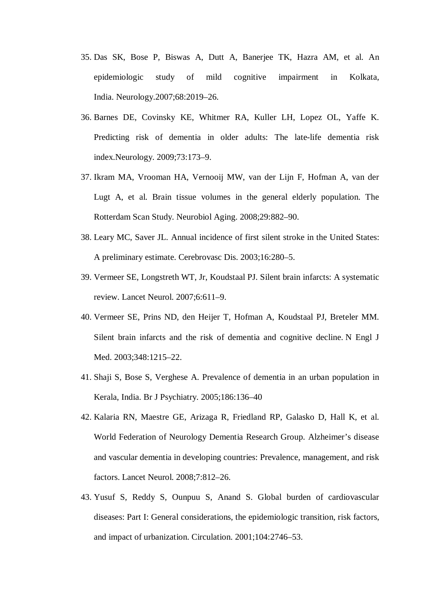- 35. Das SK, Bose P, Biswas A, Dutt A, Banerjee TK, Hazra AM, et al. An epidemiologic study of mild cognitive impairment in Kolkata, India. Neurology.2007;68:2019–26.
- 36. Barnes DE, Covinsky KE, Whitmer RA, Kuller LH, Lopez OL, Yaffe K. Predicting risk of dementia in older adults: The late-life dementia risk index.Neurology. 2009;73:173–9.
- 37. Ikram MA, Vrooman HA, Vernooij MW, van der Lijn F, Hofman A, van der Lugt A, et al. Brain tissue volumes in the general elderly population. The Rotterdam Scan Study. Neurobiol Aging. 2008;29:882–90.
- 38. Leary MC, Saver JL. Annual incidence of first silent stroke in the United States: A preliminary estimate. Cerebrovasc Dis. 2003;16:280–5.
- 39. Vermeer SE, Longstreth WT, Jr, Koudstaal PJ. Silent brain infarcts: A systematic review. Lancet Neurol. 2007;6:611–9.
- 40. Vermeer SE, Prins ND, den Heijer T, Hofman A, Koudstaal PJ, Breteler MM. Silent brain infarcts and the risk of dementia and cognitive decline. N Engl J Med. 2003;348:1215–22.
- 41. Shaji S, Bose S, Verghese A. Prevalence of dementia in an urban population in Kerala, India. Br J Psychiatry. 2005;186:136–40
- 42. Kalaria RN, Maestre GE, Arizaga R, Friedland RP, Galasko D, Hall K, et al. World Federation of Neurology Dementia Research Group. Alzheimer's disease and vascular dementia in developing countries: Prevalence, management, and risk factors. Lancet Neurol. 2008;7:812–26.
- 43. Yusuf S, Reddy S, Ounpuu S, Anand S. Global burden of cardiovascular diseases: Part I: General considerations, the epidemiologic transition, risk factors, and impact of urbanization. Circulation. 2001;104:2746–53.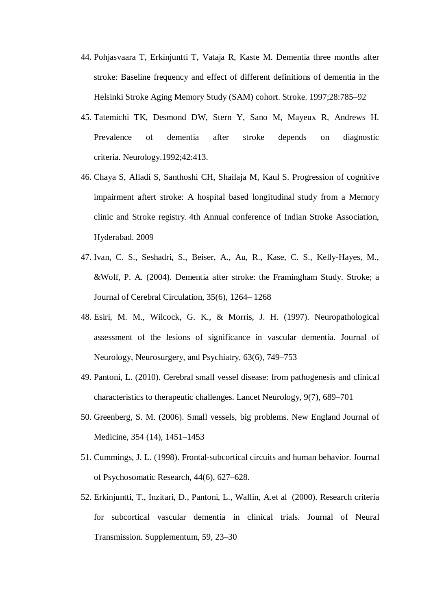- 44. Pohjasvaara T, Erkinjuntti T, Vataja R, Kaste M. Dementia three months after stroke: Baseline frequency and effect of different definitions of dementia in the Helsinki Stroke Aging Memory Study (SAM) cohort. Stroke. 1997;28:785–92
- 45. Tatemichi TK, Desmond DW, Stern Y, Sano M, Mayeux R, Andrews H. Prevalence of dementia after stroke depends on diagnostic criteria. Neurology.1992;42:413.
- 46. Chaya S, Alladi S, Santhoshi CH, Shailaja M, Kaul S. Progression of cognitive impairment aftert stroke: A hospital based longitudinal study from a Memory clinic and Stroke registry. 4th Annual conference of Indian Stroke Association, Hyderabad. 2009
- 47. Ivan, C. S., Seshadri, S., Beiser, A., Au, R., Kase, C. S., Kelly-Hayes, M., &Wolf, P. A. (2004). Dementia after stroke: the Framingham Study. Stroke; a Journal of Cerebral Circulation, 35(6), 1264– 1268
- 48. Esiri, M. M., Wilcock, G. K., & Morris, J. H. (1997). Neuropathological assessment of the lesions of significance in vascular dementia. Journal of Neurology, Neurosurgery, and Psychiatry, 63(6), 749–753
- 49. Pantoni, L. (2010). Cerebral small vessel disease: from pathogenesis and clinical characteristics to therapeutic challenges. Lancet Neurology, 9(7), 689–701
- 50. Greenberg, S. M. (2006). Small vessels, big problems. New England Journal of Medicine, 354 (14), 1451–1453
- 51. Cummings, J. L. (1998). Frontal-subcortical circuits and human behavior. Journal of Psychosomatic Research, 44(6), 627–628.
- 52. Erkinjuntti, T., Inzitari, D., Pantoni, L., Wallin, A.et al (2000). Research criteria for subcortical vascular dementia in clinical trials. Journal of Neural Transmission. Supplementum, 59, 23–30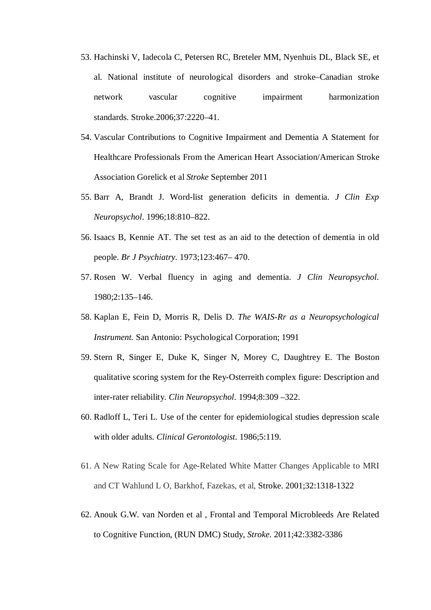- 53. Hachinski V, Iadecola C, Petersen RC, Breteler MM, Nyenhuis DL, Black SE, et al. National institute of neurological disorders and stroke–Canadian stroke network vascular cognitive impairment harmonization standards. Stroke.2006;37:2220–41.
- 54. Vascular Contributions to Cognitive Impairment and Dementia A Statement for Healthcare Professionals From the American Heart Association/American Stroke Association Gorelick et al *Stroke* September 2011
- 55. Barr A, Brandt J. Word-list generation deficits in dementia. *J Clin Exp Neuropsychol*. 1996;18:810–822.
- 56. Isaacs B, Kennie AT. The set test as an aid to the detection of dementia in old people. *Br J Psychiatry*. 1973;123:467– 470.
- 57. Rosen W. Verbal fluency in aging and dementia. *J Clin Neuropsychol*. 1980;2:135–146.
- 58. Kaplan E, Fein D, Morris R, Delis D. *The WAIS-Rr as a Neuropsychological Instrument.* San Antonio: Psychological Corporation; 1991
- 59. Stern R, Singer E, Duke K, Singer N, Morey C, Daughtrey E. The Boston qualitative scoring system for the Rey-Osterreith complex figure: Description and inter-rater reliability. *Clin Neuropsychol*. 1994;8:309 –322.
- 60. Radloff L, Teri L. Use of the center for epidemiological studies depression scale with older adults. *Clinical Gerontologist*. 1986;5:119.
- 61. A New Rating Scale for Age-Related White Matter Changes Applicable to MRI and CT Wahlund L O, Barkhof, Fazekas, et al, Stroke. 2001;32:1318-1322
- 62. Anouk G.W. van Norden et al , Frontal and Temporal Microbleeds Are Related to Cognitive Function, (RUN DMC) Study, *Stroke*. 2011;42:3382-3386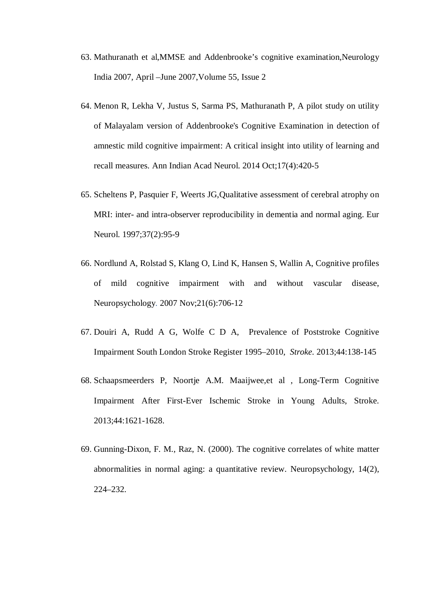- 63. Mathuranath et al,MMSE and Addenbrooke's cognitive examination,Neurology India 2007*,* April –June 2007,Volume 55, Issue 2
- 64. Menon R, Lekha V, Justus S, Sarma PS, Mathuranath P, A pilot study on utility of Malayalam version of Addenbrooke's Cognitive Examination in detection of amnestic mild cognitive impairment: A critical insight into utility of learning and recall measures. Ann Indian Acad Neurol. 2014 Oct;17(4):420-5
- 65. Scheltens P, Pasquier F, Weerts JG,Qualitative assessment of cerebral atrophy on MRI: inter- and intra-observer reproducibility in dementia and normal aging. Eur Neurol. 1997;37(2):95-9
- 66. Nordlund A, Rolstad S, Klang O, Lind K, Hansen S, Wallin A, Cognitive profiles of mild cognitive impairment with and without vascular disease, Neuropsychology. 2007 Nov;21(6):706-12
- 67. Douiri A, Rudd A G, Wolfe C D A, Prevalence of Poststroke Cognitive Impairment South London Stroke Register 1995–2010, *Stroke*. 2013;44:138-145
- 68. Schaapsmeerders P, Noortje A.M. Maaijwee,et al , Long-Term Cognitive Impairment After First-Ever Ischemic Stroke in Young Adults, Stroke. 2013;44:1621-1628.
- 69. Gunning-Dixon, F. M., Raz, N. (2000). The cognitive correlates of white matter abnormalities in normal aging: a quantitative review. Neuropsychology, 14(2), 224–232.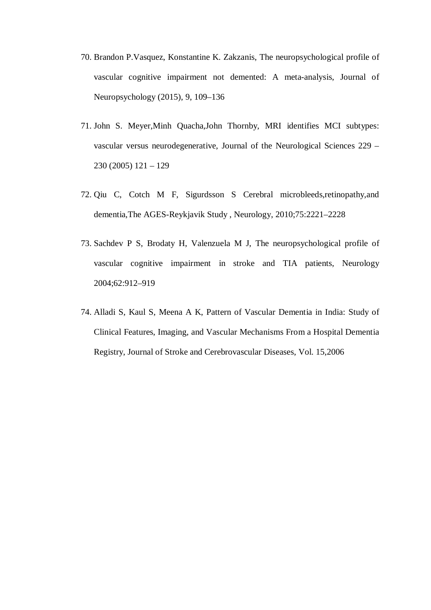- 70. Brandon P.Vasquez, Konstantine K. Zakzanis, The neuropsychological profile of vascular cognitive impairment not demented: A meta-analysis, Journal of Neuropsychology (2015), 9, 109–136
- 71. John S. Meyer,Minh Quacha,John Thornby, MRI identifies MCI subtypes: vascular versus neurodegenerative, Journal of the Neurological Sciences 229 – 230 (2005) 121 – 129
- 72. Qiu C, Cotch M F, Sigurdsson S Cerebral microbleeds,retinopathy,and dementia,The AGES-Reykjavik Study , Neurology, 2010;75:2221–2228
- 73. Sachdev P S, Brodaty H, Valenzuela M J, The neuropsychological profile of vascular cognitive impairment in stroke and TIA patients, Neurology 2004;62:912–919
- 74. Alladi S, Kaul S, Meena A K, Pattern of Vascular Dementia in India: Study of Clinical Features, Imaging, and Vascular Mechanisms From a Hospital Dementia Registry, Journal of Stroke and Cerebrovascular Diseases, Vol. 15,2006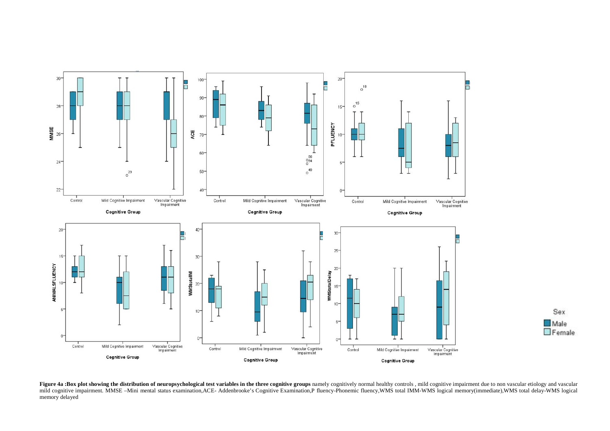

Figure 4a :Box plot showing the distribution of neuropsychological test variables in the three cognitive groups namely cognitively normal healthy controls, mild cognitive impairment due to non vascular etiology and vascula mild cognitive impairment. MMSE -Mini mental status examination,ACE- Addenbrooke's Cognitive Examination,P fluency-Phonemic fluency,WMS total IMM-WMS logical memory(immediate),WMS total delay-WMS logical memory delayed

Sex

 $\Box$  Female

Male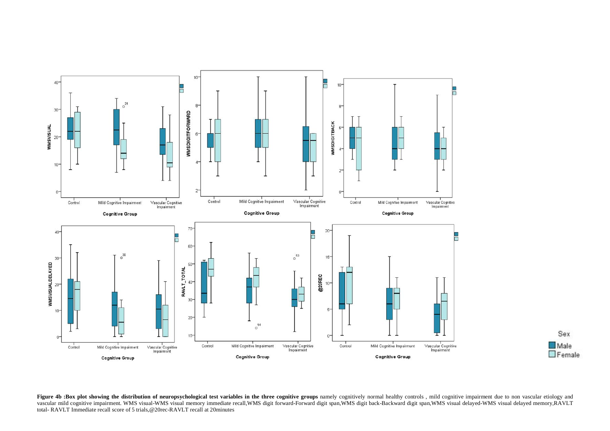



Figure 4b :Box plot showing the distribution of neuropsychological test variables in the three cognitive groups namely cognitively normal healthy controls, mild cognitive impairment due to non vascular etiology and vascular mild cognitive impairment. WMS visual-WMS visual memory immediate recall,WMS digit forward-Forward digit span,WMS digit back-Backward digit span,WMS visual delayed-WMS visual delayed memory,RAVLT total- RAVLT Immediate recall score of 5 trials,@20rec-RAVLT recall at 20minutes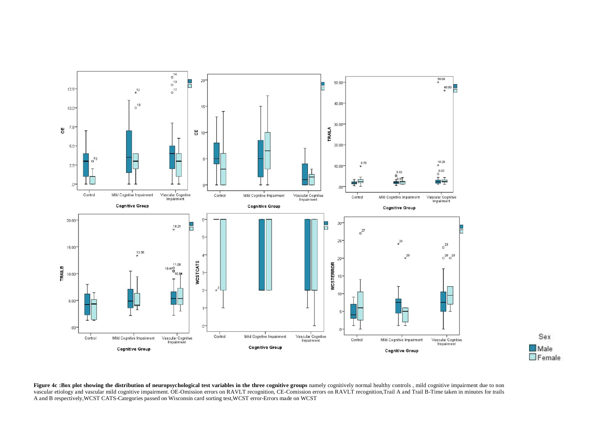



Figure 4c :Box plot showing the distribution of neuropsychological test variables in the three cognitive groups namely cognitively normal healthy controls, mild cognitive impairment due to non vascular etiology and vascular mild cognitive impairment. OE-Omission errors on RAVLT recognition, CE-Comission errors on RAVLT recognition,Trail A and Trail B-Time taken in minutes for trails A and B respectively,WCST CATS-Categories passed on Wisconsin card sorting test,WCST error-Errors made on WCST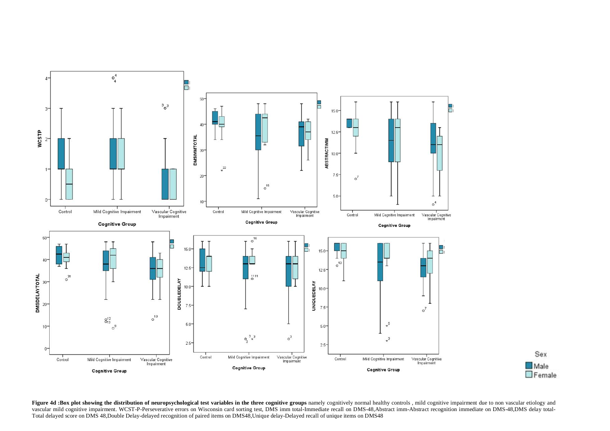

Figure 4d :Box plot showing the distribution of neuropsychological test variables in the three cognitive groups namely cognitively normal healthy controls, mild cognitive impairment due to non vascular etiology and vascular mild cognitive impairment. WCST-P-Perseverative errors on Wisconsin card sorting test, DMS imm total-Immediate recall on DMS-48,Abstract imm-Abstract recognition immediate on DMS-48,DMS delay total-Total delayed score on DMS 48,Double Delay-delayed recognition of paired items on DMS48,Unique delay-Delayed recall of unique items on DMS48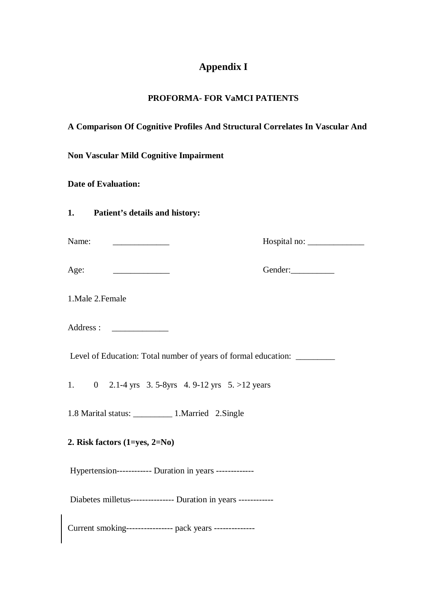# **Appendix I**

## **PROFORMA- FOR VaMCI PATIENTS**

# **A Comparison Of Cognitive Profiles And Structural Correlates In Vascular And**

**Non Vascular Mild Cognitive Impairment** 

**Date of Evaluation:** 

|  | Patient's details and history: |
|--|--------------------------------|

| Name: |  |
|-------|--|
|       |  |

Name: \_\_\_\_\_\_\_\_\_\_\_\_\_ Hospital no: \_\_\_\_\_\_\_\_\_\_\_\_\_

Age: Gender:

1.Male 2.Female

Address : \_\_\_\_\_\_\_\_\_\_\_\_\_

Level of Education: Total number of years of formal education: \_\_\_\_\_\_\_\_\_\_

1. 0 2.1-4 yrs 3. 5-8yrs 4. 9-12 yrs 5. >12 years

1.8 Marital status: \_\_\_\_\_\_\_\_\_ 1.Married 2.Single

**2. Risk factors (1=yes, 2=No)**

Hypertension------------ Duration in years -------------

Diabetes milletus--------------- Duration in years ------------

Current smoking---------------- pack years --------------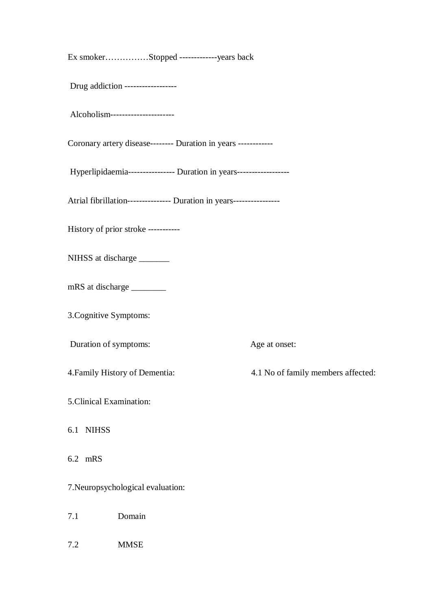| Ex smokerStopped --------------years back                            |                                    |
|----------------------------------------------------------------------|------------------------------------|
| Drug addiction ------------------                                    |                                    |
| Alcoholism----------------------                                     |                                    |
| Coronary artery disease-------- Duration in years ------------       |                                    |
| Hyperlipidaemia---------------- Duration in years------------------  |                                    |
| Atrial fibrillation--------------- Duration in years---------------- |                                    |
| History of prior stroke -----------                                  |                                    |
| NIHSS at discharge                                                   |                                    |
| mRS at discharge __________                                          |                                    |
| 3. Cognitive Symptoms:                                               |                                    |
| Duration of symptoms:                                                | Age at onset:                      |
| 4. Family History of Dementia:                                       | 4.1 No of family members affected: |
| 5. Clinical Examination:                                             |                                    |
| 6.1 NIHSS                                                            |                                    |
| 6.2 mRS                                                              |                                    |
| 7. Neuropsychological evaluation:                                    |                                    |
| Domain<br>7.1                                                        |                                    |
| 7.2<br><b>MMSE</b>                                                   |                                    |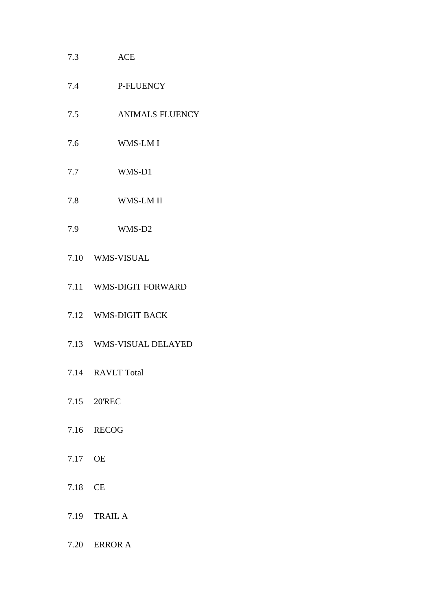## 7.3 ACE

- 7.4 P-FLUENCY
- 7.5 ANIMALS FLUENCY
- 7.6 WMS-LM I
- 7.7 WMS-D1
- 7.8 WMS-LM II
- 7.9 WMS-D2
- 7.10 WMS-VISUAL
- 7.11 WMS-DIGIT FORWARD
- 7.12 WMS-DIGIT BACK
- 7.13 WMS-VISUAL DELAYED
- 7.14 RAVLT Total
- 7.15 20'REC
- 7.16 RECOG
- 7.17 OE
- 7.18 CE
- 7.19 TRAIL A
- 7.20 ERROR A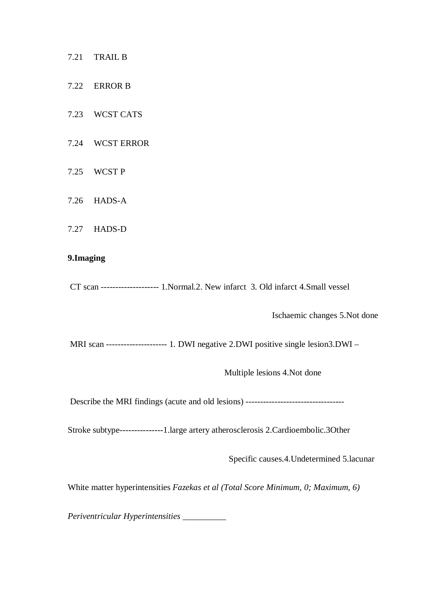- 7.21 TRAIL B
- 7.22 ERROR B
- 7.23 WCST CATS
- 7.24 WCST ERROR
- 7.25 WCST P
- 7.26 HADS-A
- 7.27 HADS-D

#### **9.Imaging**

CT scan -------------------- 1.Normal.2. New infarct 3. Old infarct 4.Small vessel

Ischaemic changes 5.Not done

MRI scan --------------------- 1. DWI negative 2.DWI positive single lesion3.DWI –

Multiple lesions 4.Not done

Describe the MRI findings (acute and old lesions) ----------------------------------

Stroke subtype---------------1.large artery atherosclerosis 2.Cardioembolic.3Other

Specific causes.4.Undetermined 5.lacunar

White matter hyperintensities *Fazekas et al (Total Score Minimum, 0; Maximum, 6)*

*Periventricular Hyperintensities \_\_\_\_\_\_\_\_\_\_*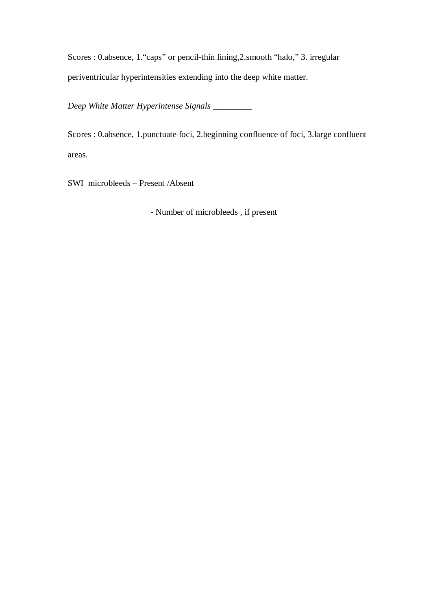Scores : 0.absence, 1."caps" or pencil-thin lining,2.smooth "halo," 3. irregular periventricular hyperintensities extending into the deep white matter.

*Deep White Matter Hyperintense Signals \_\_\_\_\_\_\_\_\_*

Scores : 0.absence, 1.punctuate foci, 2.beginning confluence of foci, 3.large confluent areas.

SWI microbleeds – Present /Absent

- Number of microbleeds , if present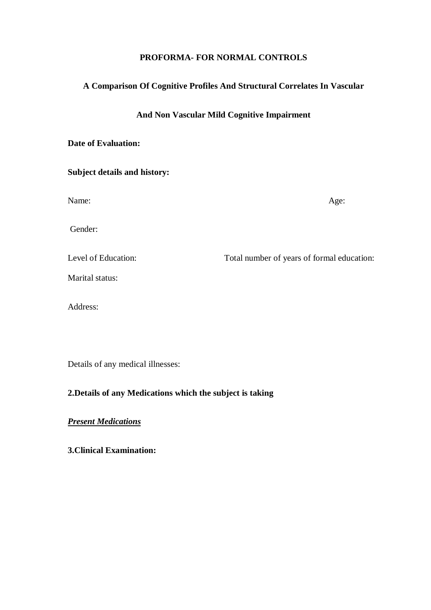#### **PROFORMA- FOR NORMAL CONTROLS**

## **A Comparison Of Cognitive Profiles And Structural Correlates In Vascular**

#### **And Non Vascular Mild Cognitive Impairment**

#### **Date of Evaluation:**

# **Subject details and history:**

Name: Age:

Gender:

Level of Education: Total number of years of formal education:

Marital status:

Address:

Details of any medical illnesses:

# **2.Details of any Medications which the subject is taking**

### *Present Medications*

**3.Clinical Examination:**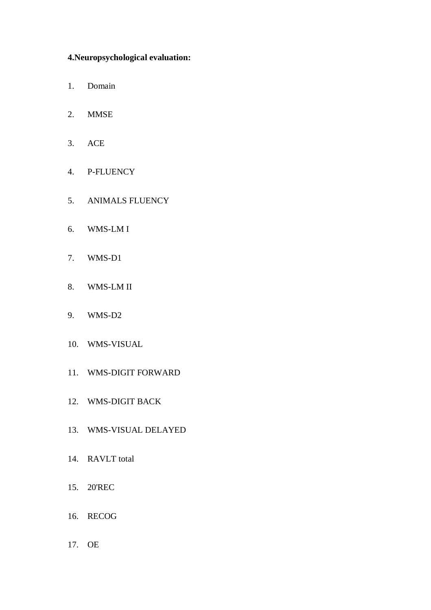## **4.Neuropsychological evaluation:**

- 1. Domain
- 2. MMSE
- 3. ACE
- 4. P-FLUENCY
- 5. ANIMALS FLUENCY
- 6. WMS-LM I
- 7. WMS-D1
- 8. WMS-LM II
- 9. WMS-D2
- 10. WMS-VISUAL
- 11. WMS-DIGIT FORWARD
- 12. WMS-DIGIT BACK
- 13. WMS-VISUAL DELAYED
- 14. RAVLT total
- 15. 20'REC
- 16. RECOG
- 17. OE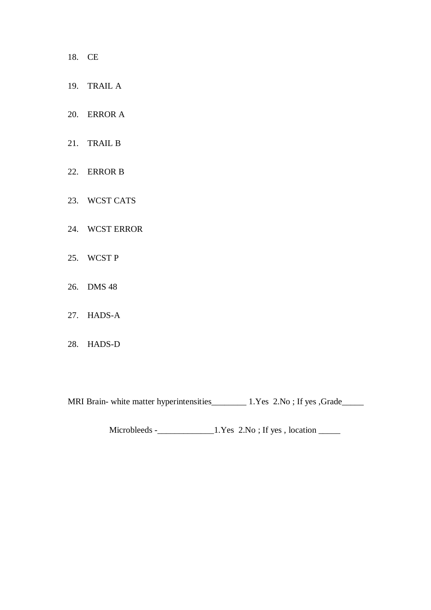- 18. CE
- 19. TRAIL A
- 20. ERROR A
- 21. TRAIL B
- 22. ERROR B
- 23. WCST CATS
- 24. WCST ERROR
- 25. WCST P
- 26. DMS 48
- 27. HADS-A
- 28. HADS-D

MRI Brain- white matter hyperintensities\_\_\_\_\_\_\_\_\_ 1.Yes 2.No; If yes ,Grade\_\_\_\_\_

Microbleeds -\_\_\_\_\_\_\_\_\_\_\_\_\_1.Yes 2.No ; If yes , location \_\_\_\_\_